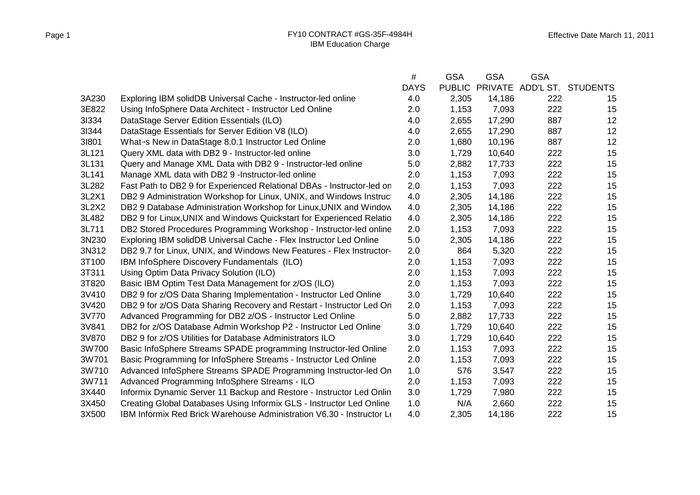|       |                                                                        | #           | <b>GSA</b>    | <b>GSA</b>     | <b>GSA</b> |                    |
|-------|------------------------------------------------------------------------|-------------|---------------|----------------|------------|--------------------|
|       |                                                                        | <b>DAYS</b> | <b>PUBLIC</b> | <b>PRIVATE</b> |            | ADD'L ST. STUDENTS |
| 3A230 | Exploring IBM solidDB Universal Cache - Instructor-led online          | 4.0         | 2,305         | 14,186         | 222        | 15                 |
| 3E822 | Using InfoSphere Data Architect - Instructor Led Online                | 2.0         | 1,153         | 7,093          | 222        | 15                 |
| 31334 | DataStage Server Edition Essentials (ILO)                              | 4.0         | 2,655         | 17,290         | 887        | 12                 |
| 31344 | DataStage Essentials for Server Edition V8 (ILO)                       | 4.0         | 2,655         | 17,290         | 887        | 12                 |
| 31801 | What→s New in DataStage 8.0.1 Instructor Led Online                    | 2.0         | 1,680         | 10,196         | 887        | 12                 |
| 3L121 | Query XML data with DB2 9 - Instructor-led online                      | 3.0         | 1,729         | 10,640         | 222        | 15                 |
| 3L131 | Query and Manage XML Data with DB2 9 - Instructor-led online           | 5.0         | 2,882         | 17,733         | 222        | 15                 |
| 3L141 | Manage XML data with DB2 9 - Instructor-led online                     | 2.0         | 1,153         | 7,093          | 222        | 15                 |
| 3L282 | Fast Path to DB2 9 for Experienced Relational DBAs - Instructor-led on | 2.0         | 1,153         | 7,093          | 222        | 15                 |
| 3L2X1 | DB2 9 Administration Workshop for Linux, UNIX, and Windows Instruct    | 4.0         | 2,305         | 14,186         | 222        | 15                 |
| 3L2X2 | DB2 9 Database Administration Workshop for Linux, UNIX and Window      | 4.0         | 2,305         | 14,186         | 222        | 15                 |
| 3L482 | DB2 9 for Linux, UNIX and Windows Quickstart for Experienced Relatio   | 4.0         | 2,305         | 14,186         | 222        | 15                 |
| 3L711 | DB2 Stored Procedures Programming Workshop - Instructor-led online     | 2.0         | 1,153         | 7,093          | 222        | 15                 |
| 3N230 | Exploring IBM solidDB Universal Cache - Flex Instructor Led Online     | 5.0         | 2,305         | 14,186         | 222        | 15                 |
| 3N312 | DB2 9.7 for Linux, UNIX, and Windows New Features - Flex Instructor-   | 2.0         | 864           | 5,320          | 222        | 15                 |
| 3T100 | IBM InfoSphere Discovery Fundamentals (ILO)                            | 2.0         | 1,153         | 7,093          | 222        | 15                 |
| 3T311 | Using Optim Data Privacy Solution (ILO)                                | 2.0         | 1,153         | 7,093          | 222        | 15                 |
| 3T820 | Basic IBM Optim Test Data Management for z/OS (ILO)                    | 2.0         | 1,153         | 7,093          | 222        | 15                 |
| 3V410 | DB2 9 for z/OS Data Sharing Implementation - Instructor Led Online     | 3.0         | 1,729         | 10,640         | 222        | 15                 |
| 3V420 | DB2 9 for z/OS Data Sharing Recovery and Restart - Instructor Led On   | 2.0         | 1,153         | 7,093          | 222        | 15                 |
| 3V770 | Advanced Programming for DB2 z/OS - Instructor Led Online              | 5.0         | 2,882         | 17,733         | 222        | 15                 |
| 3V841 | DB2 for z/OS Database Admin Workshop P2 - Instructor Led Online        | 3.0         | 1,729         | 10,640         | 222        | 15                 |
| 3V870 | DB2 9 for z/OS Utilities for Database Administrators ILO               | 3.0         | 1,729         | 10,640         | 222        | 15                 |
| 3W700 | Basic InfoSphere Streams SPADE programming Instructor-led Online       | 2.0         | 1,153         | 7,093          | 222        | 15                 |
| 3W701 | Basic Programming for InfoSphere Streams - Instructor Led Online       | 2.0         | 1,153         | 7,093          | 222        | 15                 |
| 3W710 | Advanced InfoSphere Streams SPADE Programming Instructor-led On        | 1.0         | 576           | 3,547          | 222        | 15                 |
| 3W711 | Advanced Programming InfoSphere Streams - ILO                          | 2.0         | 1,153         | 7,093          | 222        | 15                 |
| 3X440 | Informix Dynamic Server 11 Backup and Restore - Instructor Led Onlin   | 3.0         | 1,729         | 7,980          | 222        | 15                 |
| 3X450 | Creating Global Databases Using Informix GLS - Instructor Led Online   | 1.0         | N/A           | 2,660          | 222        | 15                 |
| 3X500 | IBM Informix Red Brick Warehouse Administration V6.30 - Instructor Le  | 4.0         | 2,305         | 14,186         | 222        | 15                 |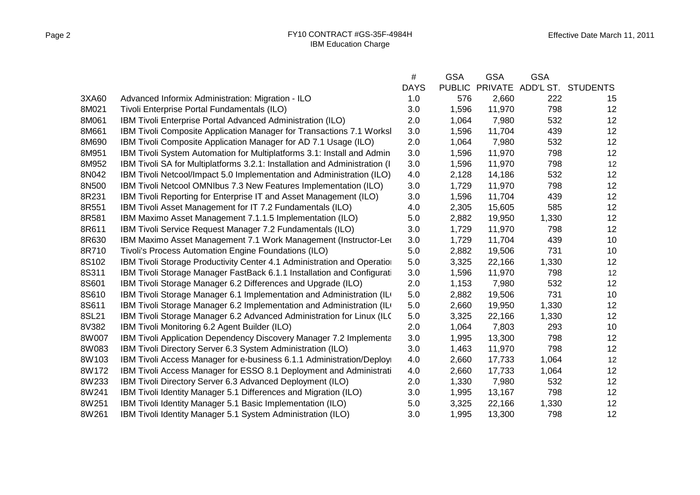|       |                                                                            | $\#$        | <b>GSA</b> | <b>GSA</b>     | <b>GSA</b> |                    |
|-------|----------------------------------------------------------------------------|-------------|------------|----------------|------------|--------------------|
|       |                                                                            | <b>DAYS</b> |            | PUBLIC PRIVATE |            | ADD'L ST. STUDENTS |
| 3XA60 | Advanced Informix Administration: Migration - ILO                          | 1.0         | 576        | 2,660          | 222        | 15                 |
| 8M021 | Tivoli Enterprise Portal Fundamentals (ILO)                                | 3.0         | 1,596      | 11,970         | 798        | 12                 |
| 8M061 | IBM Tivoli Enterprise Portal Advanced Administration (ILO)                 | 2.0         | 1,064      | 7,980          | 532        | 12                 |
| 8M661 | IBM Tivoli Composite Application Manager for Transactions 7.1 Worksl       | 3.0         | 1,596      | 11,704         | 439        | 12                 |
| 8M690 | IBM Tivoli Composite Application Manager for AD 7.1 Usage (ILO)            | 2.0         | 1,064      | 7,980          | 532        | 12                 |
| 8M951 | IBM Tivoli System Automation for Multiplatforms 3.1: Install and Admin     | 3.0         | 1,596      | 11,970         | 798        | 12                 |
| 8M952 | IBM Tivoli SA for Multiplatforms 3.2.1: Installation and Administration (I | 3.0         | 1,596      | 11,970         | 798        | 12                 |
| 8N042 | IBM Tivoli Netcool/Impact 5.0 Implementation and Administration (ILO)      | 4.0         | 2,128      | 14,186         | 532        | 12                 |
| 8N500 | IBM Tivoli Netcool OMNIbus 7.3 New Features Implementation (ILO)           | 3.0         | 1,729      | 11,970         | 798        | 12                 |
| 8R231 | IBM Tivoli Reporting for Enterprise IT and Asset Management (ILO)          | 3.0         | 1,596      | 11,704         | 439        | 12                 |
| 8R551 | IBM Tivoli Asset Management for IT 7.2 Fundamentals (ILO)                  | 4.0         | 2,305      | 15,605         | 585        | 12                 |
| 8R581 | IBM Maximo Asset Management 7.1.1.5 Implementation (ILO)                   | 5.0         | 2,882      | 19,950         | 1,330      | 12                 |
| 8R611 | IBM Tivoli Service Request Manager 7.2 Fundamentals (ILO)                  | 3.0         | 1,729      | 11,970         | 798        | 12                 |
| 8R630 | IBM Maximo Asset Management 7.1 Work Management (Instructor-Leo            | 3.0         | 1,729      | 11,704         | 439        | 10                 |
| 8R710 | Tivoli's Process Automation Engine Foundations (ILO)                       | 5.0         | 2,882      | 19,506         | 731        | 10                 |
| 8S102 | IBM Tivoli Storage Productivity Center 4.1 Administration and Operation    | 5.0         | 3,325      | 22,166         | 1,330      | 12                 |
| 8S311 | IBM Tivoli Storage Manager FastBack 6.1.1 Installation and Configurati     | 3.0         | 1,596      | 11,970         | 798        | 12                 |
| 8S601 | IBM Tivoli Storage Manager 6.2 Differences and Upgrade (ILO)               | 2.0         | 1,153      | 7,980          | 532        | 12                 |
| 8S610 | IBM Tivoli Storage Manager 6.1 Implementation and Administration (IL       | 5.0         | 2,882      | 19,506         | 731        | 10                 |
| 8S611 | IBM Tivoli Storage Manager 6.2 Implementation and Administration (IL       | 5.0         | 2,660      | 19,950         | 1,330      | 12                 |
| 8SL21 | IBM Tivoli Storage Manager 6.2 Advanced Administration for Linux (ILC      | 5.0         | 3,325      | 22,166         | 1,330      | 12                 |
| 8V382 | IBM Tivoli Monitoring 6.2 Agent Builder (ILO)                              | 2.0         | 1,064      | 7,803          | 293        | 10                 |
| 8W007 | IBM Tivoli Application Dependency Discovery Manager 7.2 Implementa         | 3.0         | 1,995      | 13,300         | 798        | 12                 |
| 8W083 | IBM Tivoli Directory Server 6.3 System Administration (ILO)                | 3.0         | 1,463      | 11,970         | 798        | 12                 |
| 8W103 | IBM Tivoli Access Manager for e-business 6.1.1 Administration/Deployi      | 4.0         | 2,660      | 17,733         | 1,064      | 12                 |
| 8W172 | IBM Tivoli Access Manager for ESSO 8.1 Deployment and Administrati         | 4.0         | 2,660      | 17,733         | 1,064      | 12                 |
| 8W233 | IBM Tivoli Directory Server 6.3 Advanced Deployment (ILO)                  | 2.0         | 1,330      | 7,980          | 532        | 12                 |
| 8W241 | IBM Tivoli Identity Manager 5.1 Differences and Migration (ILO)            | 3.0         | 1,995      | 13,167         | 798        | 12                 |
| 8W251 | IBM Tivoli Identity Manager 5.1 Basic Implementation (ILO)                 | 5.0         | 3,325      | 22,166         | 1,330      | 12                 |
| 8W261 | IBM Tivoli Identity Manager 5.1 System Administration (ILO)                | 3.0         | 1,995      | 13,300         | 798        | 12                 |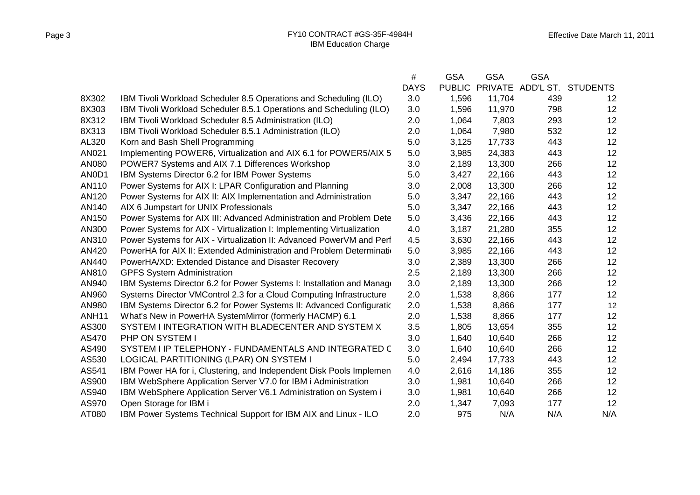Page 3

|                   |                                                                       | #           | <b>GSA</b>    | <b>GSA</b> | <b>GSA</b> |                            |
|-------------------|-----------------------------------------------------------------------|-------------|---------------|------------|------------|----------------------------|
|                   |                                                                       | <b>DAYS</b> | <b>PUBLIC</b> |            |            | PRIVATE ADD'L ST. STUDENTS |
| 8X302             | IBM Tivoli Workload Scheduler 8.5 Operations and Scheduling (ILO)     | 3.0         | 1,596         | 11,704     | 439        | 12 <sup>°</sup>            |
| 8X303             | IBM Tivoli Workload Scheduler 8.5.1 Operations and Scheduling (ILO)   | 3.0         | 1,596         | 11,970     | 798        | 12 <sup>2</sup>            |
| 8X312             | IBM Tivoli Workload Scheduler 8.5 Administration (ILO)                | 2.0         | 1,064         | 7,803      | 293        | 12                         |
| 8X313             | IBM Tivoli Workload Scheduler 8.5.1 Administration (ILO)              | 2.0         | 1,064         | 7,980      | 532        | 12                         |
| AL320             | Korn and Bash Shell Programming                                       | 5.0         | 3,125         | 17,733     | 443        | 12                         |
| AN021             | Implementing POWER6, Virtualization and AIX 6.1 for POWER5/AIX 5      | 5.0         | 3,985         | 24,383     | 443        | 12                         |
| AN080             | POWER7 Systems and AIX 7.1 Differences Workshop                       | 3.0         | 2,189         | 13,300     | 266        | 12                         |
| AN0D1             | IBM Systems Director 6.2 for IBM Power Systems                        | 5.0         | 3,427         | 22,166     | 443        | 12                         |
| AN110             | Power Systems for AIX I: LPAR Configuration and Planning              | 3.0         | 2,008         | 13,300     | 266        | 12                         |
| AN120             | Power Systems for AIX II: AIX Implementation and Administration       | 5.0         | 3,347         | 22,166     | 443        | 12                         |
| AN140             | AIX 6 Jumpstart for UNIX Professionals                                | 5.0         | 3,347         | 22,166     | 443        | 12 <sup>2</sup>            |
| AN150             | Power Systems for AIX III: Advanced Administration and Problem Dete   | 5.0         | 3,436         | 22,166     | 443        | 12                         |
| AN300             | Power Systems for AIX - Virtualization I: Implementing Virtualization | 4.0         | 3,187         | 21,280     | 355        | 12                         |
| AN310             | Power Systems for AIX - Virtualization II: Advanced PowerVM and Perf  | 4.5         | 3,630         | 22,166     | 443        | 12                         |
| AN420             | PowerHA for AIX II: Extended Administration and Problem Determination | 5.0         | 3,985         | 22,166     | 443        | 12                         |
| AN440             | PowerHA/XD: Extended Distance and Disaster Recovery                   | 3.0         | 2,389         | 13,300     | 266        | 12                         |
| AN810             | <b>GPFS System Administration</b>                                     | 2.5         | 2,189         | 13,300     | 266        | 12                         |
| AN940             | IBM Systems Director 6.2 for Power Systems I: Installation and Manage | 3.0         | 2,189         | 13,300     | 266        | 12                         |
| AN960             | Systems Director VMControl 2.3 for a Cloud Computing Infrastructure   | 2.0         | 1,538         | 8,866      | 177        | 12                         |
| AN980             | IBM Systems Director 6.2 for Power Systems II: Advanced Configuratic  | 2.0         | 1,538         | 8,866      | 177        | 12                         |
| ANH <sub>11</sub> | What's New in PowerHA SystemMirror (formerly HACMP) 6.1               | 2.0         | 1,538         | 8,866      | 177        | 12                         |
| AS300             | SYSTEM I INTEGRATION WITH BLADECENTER AND SYSTEM X                    | 3.5         | 1,805         | 13,654     | 355        | 12                         |
| AS470             | PHP ON SYSTEM I                                                       | 3.0         | 1,640         | 10,640     | 266        | 12                         |
| AS490             | SYSTEM I IP TELEPHONY - FUNDAMENTALS AND INTEGRATED C                 | 3.0         | 1,640         | 10,640     | 266        | 12                         |
| AS530             | LOGICAL PARTITIONING (LPAR) ON SYSTEM I                               | 5.0         | 2,494         | 17,733     | 443        | 12                         |
| AS541             | IBM Power HA for i, Clustering, and Independent Disk Pools Implemen   | 4.0         | 2,616         | 14,186     | 355        | 12                         |
| AS900             | IBM WebSphere Application Server V7.0 for IBM i Administration        | 3.0         | 1,981         | 10,640     | 266        | 12                         |
| AS940             | IBM WebSphere Application Server V6.1 Administration on System i      | 3.0         | 1,981         | 10,640     | 266        | 12                         |
| AS970             | Open Storage for IBM i                                                | 2.0         | 1,347         | 7,093      | 177        | 12                         |
| AT080             | IBM Power Systems Technical Support for IBM AIX and Linux - ILO       | 2.0         | 975           | N/A        | N/A        | N/A                        |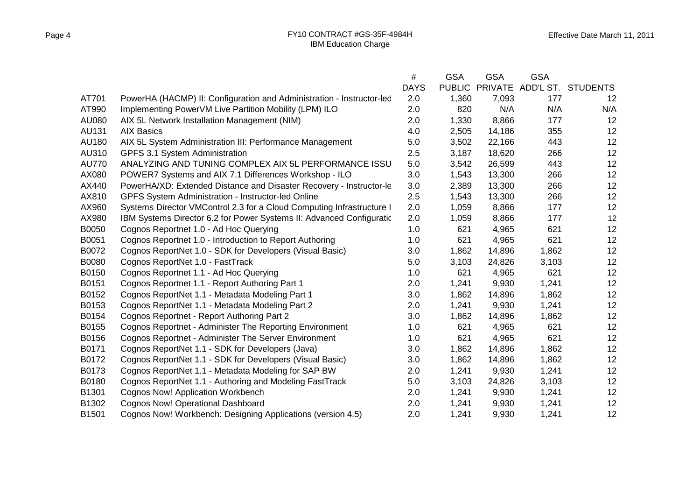|       |                                                                       | #           | <b>GSA</b>    | <b>GSA</b> | <b>GSA</b> |                            |
|-------|-----------------------------------------------------------------------|-------------|---------------|------------|------------|----------------------------|
|       |                                                                       | <b>DAYS</b> | <b>PUBLIC</b> |            |            | PRIVATE ADD'L ST. STUDENTS |
| AT701 | PowerHA (HACMP) II: Configuration and Administration - Instructor-led | 2.0         | 1,360         | 7,093      | 177        | 12 <sup>°</sup>            |
| AT990 | Implementing PowerVM Live Partition Mobility (LPM) ILO                | 2.0         | 820           | N/A        | N/A        | N/A                        |
| AU080 | AIX 5L Network Installation Management (NIM)                          | 2.0         | 1,330         | 8,866      | 177        | 12                         |
| AU131 | <b>AIX Basics</b>                                                     | 4.0         | 2,505         | 14,186     | 355        | 12                         |
| AU180 | AIX 5L System Administration III: Performance Management              | 5.0         | 3,502         | 22,166     | 443        | 12                         |
| AU310 | GPFS 3.1 System Administration                                        | 2.5         | 3,187         | 18,620     | 266        | 12                         |
| AU770 | ANALYZING AND TUNING COMPLEX AIX 5L PERFORMANCE ISSU                  | 5.0         | 3,542         | 26,599     | 443        | 12                         |
| AX080 | POWER7 Systems and AIX 7.1 Differences Workshop - ILO                 | 3.0         | 1,543         | 13,300     | 266        | 12                         |
| AX440 | PowerHA/XD: Extended Distance and Disaster Recovery - Instructor-le   | 3.0         | 2,389         | 13,300     | 266        | 12                         |
| AX810 | GPFS System Administration - Instructor-led Online                    | 2.5         | 1,543         | 13,300     | 266        | 12                         |
| AX960 | Systems Director VMControl 2.3 for a Cloud Computing Infrastructure I | 2.0         | 1,059         | 8,866      | 177        | 12                         |
| AX980 | IBM Systems Director 6.2 for Power Systems II: Advanced Configuratic  | 2.0         | 1,059         | 8,866      | 177        | 12                         |
| B0050 | Cognos Reportnet 1.0 - Ad Hoc Querying                                | 1.0         | 621           | 4,965      | 621        | 12                         |
| B0051 | Cognos Reportnet 1.0 - Introduction to Report Authoring               | 1.0         | 621           | 4,965      | 621        | 12                         |
| B0072 | Cognos ReportNet 1.0 - SDK for Developers (Visual Basic)              | 3.0         | 1,862         | 14,896     | 1,862      | 12                         |
| B0080 | Cognos ReportNet 1.0 - FastTrack                                      | 5.0         | 3,103         | 24,826     | 3,103      | 12                         |
| B0150 | Cognos Reportnet 1.1 - Ad Hoc Querying                                | 1.0         | 621           | 4,965      | 621        | 12                         |
| B0151 | Cognos Reportnet 1.1 - Report Authoring Part 1                        | 2.0         | 1,241         | 9,930      | 1,241      | 12                         |
| B0152 | Cognos ReportNet 1.1 - Metadata Modeling Part 1                       | 3.0         | 1,862         | 14,896     | 1,862      | 12                         |
| B0153 | Cognos ReportNet 1.1 - Metadata Modeling Part 2                       | 2.0         | 1,241         | 9,930      | 1,241      | 12                         |
| B0154 | Cognos Reportnet - Report Authoring Part 2                            | 3.0         | 1,862         | 14,896     | 1,862      | 12                         |
| B0155 | Cognos Reportnet - Administer The Reporting Environment               | 1.0         | 621           | 4,965      | 621        | 12                         |
| B0156 | Cognos Reportnet - Administer The Server Environment                  | 1.0         | 621           | 4,965      | 621        | 12                         |
| B0171 | Cognos ReportNet 1.1 - SDK for Developers (Java)                      | 3.0         | 1,862         | 14,896     | 1,862      | 12                         |
| B0172 | Cognos ReportNet 1.1 - SDK for Developers (Visual Basic)              | 3.0         | 1,862         | 14,896     | 1,862      | 12                         |
| B0173 | Cognos ReportNet 1.1 - Metadata Modeling for SAP BW                   | 2.0         | 1,241         | 9,930      | 1,241      | 12                         |
| B0180 | Cognos ReportNet 1.1 - Authoring and Modeling FastTrack               | 5.0         | 3,103         | 24,826     | 3,103      | 12                         |
| B1301 | Cognos Now! Application Workbench                                     | 2.0         | 1,241         | 9,930      | 1,241      | 12                         |
| B1302 | Cognos Now! Operational Dashboard                                     | 2.0         | 1,241         | 9,930      | 1,241      | 12                         |
| B1501 | Cognos Now! Workbench: Designing Applications (version 4.5)           | 2.0         | 1,241         | 9,930      | 1,241      | 12                         |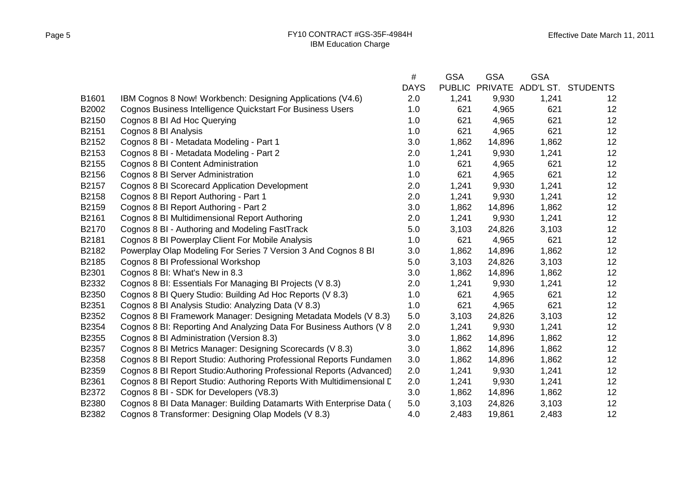|                                                                      | <b>DAYS</b>                                                                                | <b>PUBLIC</b> |                   |                                  | ADD'L ST. STUDENTS                                                 |
|----------------------------------------------------------------------|--------------------------------------------------------------------------------------------|---------------|-------------------|----------------------------------|--------------------------------------------------------------------|
| IBM Cognos 8 Now! Workbench: Designing Applications (V4.6)           | 2.0                                                                                        | 1,241         | 9,930             | 1,241                            | 12 <sub>2</sub>                                                    |
| Cognos Business Intelligence Quickstart For Business Users           | 1.0                                                                                        | 621           | 4,965             | 621                              | 12                                                                 |
| Cognos 8 BI Ad Hoc Querying                                          | 1.0                                                                                        | 621           | 4,965             | 621                              | 12                                                                 |
| Cognos 8 BI Analysis                                                 | 1.0                                                                                        |               | 4,965             |                                  | 12                                                                 |
|                                                                      | 3.0                                                                                        | 1,862         | 14,896            | 1,862                            | 12                                                                 |
| Cognos 8 BI - Metadata Modeling - Part 2                             | 2.0                                                                                        | 1,241         |                   | 1,241                            | 12                                                                 |
| Cognos 8 BI Content Administration                                   | 1.0                                                                                        | 621           | 4,965             | 621                              | 12                                                                 |
| Cognos 8 BI Server Administration                                    | 1.0                                                                                        |               | 4,965             |                                  | 12                                                                 |
| Cognos 8 BI Scorecard Application Development                        | 2.0                                                                                        | 1,241         | 9,930             | 1,241                            | 12                                                                 |
| Cognos 8 BI Report Authoring - Part 1                                | 2.0                                                                                        | 1,241         | 9,930             | 1,241                            | 12                                                                 |
| Cognos 8 BI Report Authoring - Part 2                                | 3.0                                                                                        | 1,862         | 14,896            | 1,862                            | 12                                                                 |
| Cognos 8 BI Multidimensional Report Authoring                        | 2.0                                                                                        | 1,241         | 9,930             | 1,241                            | 12                                                                 |
|                                                                      | 5.0                                                                                        | 3,103         | 24,826            | 3,103                            | 12                                                                 |
| Cognos 8 BI Powerplay Client For Mobile Analysis                     | 1.0                                                                                        |               |                   |                                  | 12                                                                 |
| Powerplay Olap Modeling For Series 7 Version 3 And Cognos 8 BI       | 3.0                                                                                        | 1,862         | 14,896            | 1,862                            | 12                                                                 |
| Cognos 8 BI Professional Workshop                                    | 5.0                                                                                        | 3,103         | 24,826            | 3,103                            | 12                                                                 |
| Cognos 8 BI: What's New in 8.3                                       | 3.0                                                                                        | 1,862         | 14,896            | 1,862                            | 12                                                                 |
| Cognos 8 BI: Essentials For Managing BI Projects (V 8.3)             | 2.0                                                                                        | 1,241         | 9,930             | 1,241                            | 12                                                                 |
| Cognos 8 BI Query Studio: Building Ad Hoc Reports (V 8.3)            | 1.0                                                                                        | 621           | 4,965             | 621                              | 12                                                                 |
| Cognos 8 BI Analysis Studio: Analyzing Data (V 8.3)                  | 1.0                                                                                        | 621           | 4,965             |                                  | 12                                                                 |
| Cognos 8 BI Framework Manager: Designing Metadata Models (V 8.3)     | 5.0                                                                                        | 3,103         | 24,826            | 3,103                            | 12                                                                 |
| Cognos 8 BI: Reporting And Analyzing Data For Business Authors (V 8  |                                                                                            | 1,241         | 9,930             | 1,241                            | 12                                                                 |
| Cognos 8 BI Administration (Version 8.3)                             | 3.0                                                                                        | 1,862         | 14,896            | 1,862                            | 12                                                                 |
| Cognos 8 BI Metrics Manager: Designing Scorecards (V 8.3)            | 3.0                                                                                        | 1,862         | 14,896            | 1,862                            | 12                                                                 |
| Cognos 8 BI Report Studio: Authoring Professional Reports Fundamen   | 3.0                                                                                        | 1,862         | 14,896            | 1,862                            | 12                                                                 |
| Cognos 8 BI Report Studio: Authoring Professional Reports (Advanced) | 2.0                                                                                        | 1,241         | 9,930             | 1,241                            | 12                                                                 |
| Cognos 8 BI Report Studio: Authoring Reports With Multidimensional D | 2.0                                                                                        | 1,241         | 9,930             | 1,241                            | 12                                                                 |
| Cognos 8 BI - SDK for Developers (V8.3)                              | 3.0                                                                                        | 1,862         | 14,896            | 1,862                            | 12                                                                 |
| Cognos 8 BI Data Manager: Building Datamarts With Enterprise Data (  | 5.0                                                                                        | 3,103         | 24,826            | 3,103                            | 12                                                                 |
| Cognos 8 Transformer: Designing Olap Models (V 8.3)                  | 4.0                                                                                        | 2,483         | 19,861            | 2,483                            | 12                                                                 |
|                                                                      | Cognos 8 BI - Metadata Modeling - Part 1<br>Cognos 8 BI - Authoring and Modeling FastTrack | #<br>2.0      | 621<br>621<br>621 | <b>PRIVATE</b><br>9,930<br>4,965 | <b>GSA</b><br><b>GSA</b><br><b>GSA</b><br>621<br>621<br>621<br>621 |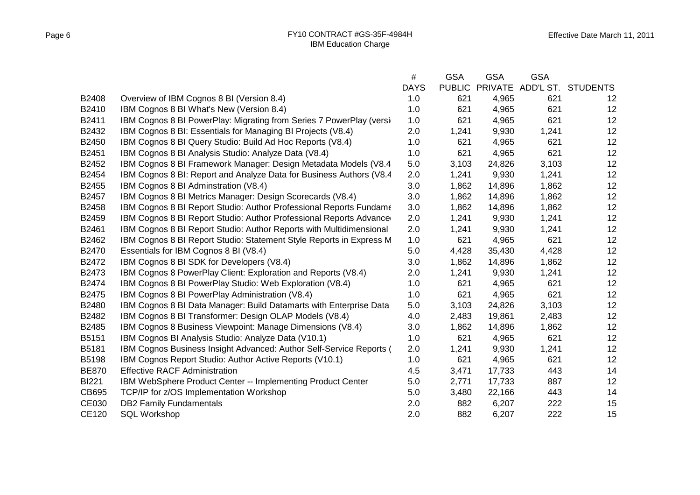Page 6

|              |                                                                      | $\#$        | <b>GSA</b>    | <b>GSA</b>     | <b>GSA</b> |                    |
|--------------|----------------------------------------------------------------------|-------------|---------------|----------------|------------|--------------------|
|              |                                                                      | <b>DAYS</b> | <b>PUBLIC</b> | <b>PRIVATE</b> |            | ADD'L ST. STUDENTS |
| B2408        | Overview of IBM Cognos 8 BI (Version 8.4)                            | 1.0         | 621           | 4,965          | 621        | 12                 |
| B2410        | IBM Cognos 8 BI What's New (Version 8.4)                             | 1.0         | 621           | 4,965          | 621        | 12                 |
| B2411        | IBM Cognos 8 BI PowerPlay: Migrating from Series 7 PowerPlay (versid | 1.0         | 621           | 4,965          | 621        | 12                 |
| B2432        | IBM Cognos 8 BI: Essentials for Managing BI Projects (V8.4)          | 2.0         | 1,241         | 9,930          | 1,241      | 12                 |
| B2450        | IBM Cognos 8 BI Query Studio: Build Ad Hoc Reports (V8.4)            | 1.0         | 621           | 4,965          | 621        | 12                 |
| B2451        | IBM Cognos 8 BI Analysis Studio: Analyze Data (V8.4)                 | 1.0         | 621           | 4,965          | 621        | 12                 |
| B2452        | IBM Cognos 8 BI Framework Manager: Design Metadata Models (V8.4      | 5.0         | 3,103         | 24,826         | 3,103      | 12                 |
| B2454        | IBM Cognos 8 BI: Report and Analyze Data for Business Authors (V8.4) | 2.0         | 1,241         | 9,930          | 1,241      | 12                 |
| B2455        | IBM Cognos 8 BI Adminstration (V8.4)                                 | 3.0         | 1,862         | 14,896         | 1,862      | 12                 |
| B2457        | IBM Cognos 8 BI Metrics Manager: Design Scorecards (V8.4)            | 3.0         | 1,862         | 14,896         | 1,862      | 12                 |
| B2458        | IBM Cognos 8 BI Report Studio: Author Professional Reports Fundame   | 3.0         | 1,862         | 14,896         | 1,862      | 12                 |
| B2459        | IBM Cognos 8 BI Report Studio: Author Professional Reports Advance   | 2.0         | 1,241         | 9,930          | 1,241      | 12                 |
| B2461        | IBM Cognos 8 BI Report Studio: Author Reports with Multidimensional  | 2.0         | 1,241         | 9,930          | 1,241      | 12                 |
| B2462        | IBM Cognos 8 BI Report Studio: Statement Style Reports in Express M  | 1.0         | 621           | 4,965          | 621        | 12                 |
| B2470        | Essentials for IBM Cognos 8 BI (V8.4)                                | 5.0         | 4,428         | 35,430         | 4,428      | 12                 |
| B2472        | IBM Cognos 8 BI SDK for Developers (V8.4)                            | 3.0         | 1,862         | 14,896         | 1,862      | 12                 |
| B2473        | IBM Cognos 8 PowerPlay Client: Exploration and Reports (V8.4)        | 2.0         | 1,241         | 9,930          | 1,241      | 12                 |
| B2474        | IBM Cognos 8 BI PowerPlay Studio: Web Exploration (V8.4)             | 1.0         | 621           | 4,965          | 621        | 12                 |
| B2475        | IBM Cognos 8 BI PowerPlay Administration (V8.4)                      | 1.0         | 621           | 4,965          | 621        | 12                 |
| B2480        | IBM Cognos 8 BI Data Manager: Build Datamarts with Enterprise Data   | 5.0         | 3,103         | 24,826         | 3,103      | 12                 |
| B2482        | IBM Cognos 8 BI Transformer: Design OLAP Models (V8.4)               | 4.0         | 2,483         | 19,861         | 2,483      | 12                 |
| B2485        | IBM Cognos 8 Business Viewpoint: Manage Dimensions (V8.4)            | 3.0         | 1,862         | 14,896         | 1,862      | 12                 |
| B5151        | IBM Cognos BI Analysis Studio: Analyze Data (V10.1)                  | 1.0         | 621           | 4,965          | 621        | 12                 |
| B5181        | IBM Cognos Business Insight Advanced: Author Self-Service Reports (  | 2.0         | 1,241         | 9,930          | 1,241      | 12                 |
| B5198        | IBM Cognos Report Studio: Author Active Reports (V10.1)              | 1.0         | 621           | 4,965          | 621        | 12                 |
| <b>BE870</b> | <b>Effective RACF Administration</b>                                 | 4.5         | 3,471         | 17,733         | 443        | 14                 |
| <b>BI221</b> | IBM WebSphere Product Center -- Implementing Product Center          | 5.0         | 2,771         | 17,733         | 887        | 12                 |
| CB695        | TCP/IP for z/OS Implementation Workshop                              | 5.0         | 3,480         | 22,166         | 443        | 14                 |
| CE030        | <b>DB2 Family Fundamentals</b>                                       | 2.0         | 882           | 6,207          | 222        | 15                 |
| CE120        | <b>SQL Workshop</b>                                                  | 2.0         | 882           | 6,207          | 222        | 15                 |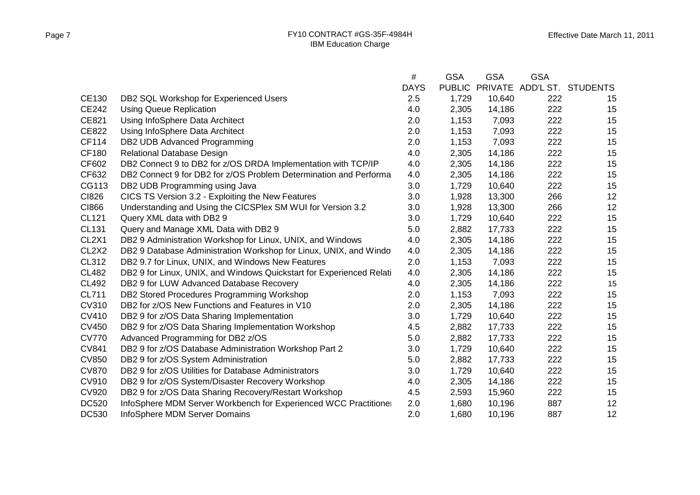|                                |                                                                      | #           | <b>GSA</b>    | <b>GSA</b> | <b>GSA</b> |                    |
|--------------------------------|----------------------------------------------------------------------|-------------|---------------|------------|------------|--------------------|
|                                |                                                                      | <b>DAYS</b> | <b>PUBLIC</b> | PRIVATE    |            | ADD'L ST. STUDENTS |
| CE130                          | DB2 SQL Workshop for Experienced Users                               | 2.5         | 1,729         | 10,640     | 222        | 15                 |
| <b>CE242</b>                   | <b>Using Queue Replication</b>                                       | 4.0         | 2,305         | 14,186     | 222        | 15                 |
| CE821                          | Using InfoSphere Data Architect                                      | 2.0         | 1,153         | 7,093      | 222        | 15                 |
| CE822                          | Using InfoSphere Data Architect                                      | 2.0         | 1,153         | 7,093      | 222        | 15                 |
| CF114                          | DB2 UDB Advanced Programming                                         | 2.0         | 1,153         | 7,093      | 222        | 15                 |
| <b>CF180</b>                   | Relational Database Design                                           | 4.0         | 2,305         | 14,186     | 222        | 15                 |
| CF602                          | DB2 Connect 9 to DB2 for z/OS DRDA Implementation with TCP/IP        | 4.0         | 2,305         | 14,186     | 222        | 15                 |
| CF632                          | DB2 Connect 9 for DB2 for z/OS Problem Determination and Performa    | 4.0         | 2,305         | 14,186     | 222        | 15                 |
| CG113                          | DB2 UDB Programming using Java                                       | 3.0         | 1,729         | 10,640     | 222        | 15                 |
| CI826                          | CICS TS Version 3.2 - Exploiting the New Features                    | 3.0         | 1,928         | 13,300     | 266        | 12                 |
| CI866                          | Understanding and Using the CICSPlex SM WUI for Version 3.2          | 3.0         | 1,928         | 13,300     | 266        | 12                 |
| <b>CL121</b>                   | Query XML data with DB2 9                                            | 3.0         | 1,729         | 10,640     | 222        | 15                 |
| <b>CL131</b>                   | Query and Manage XML Data with DB2 9                                 | 5.0         | 2,882         | 17,733     | 222        | 15                 |
| CL <sub>2</sub> X <sub>1</sub> | DB2 9 Administration Workshop for Linux, UNIX, and Windows           | 4.0         | 2,305         | 14,186     | 222        | 15                 |
| CL <sub>2</sub> X <sub>2</sub> | DB2 9 Database Administration Workshop for Linux, UNIX, and Windo    | 4.0         | 2,305         | 14,186     | 222        | 15                 |
| <b>CL312</b>                   | DB2 9.7 for Linux, UNIX, and Windows New Features                    | 2.0         | 1,153         | 7,093      | 222        | 15                 |
| <b>CL482</b>                   | DB2 9 for Linux, UNIX, and Windows Quickstart for Experienced Relati | 4.0         | 2,305         | 14,186     | 222        | 15                 |
| CL492                          | DB2 9 for LUW Advanced Database Recovery                             | 4.0         | 2,305         | 14,186     | 222        | 15                 |
| CL711                          | DB2 Stored Procedures Programming Workshop                           | 2.0         | 1,153         | 7,093      | 222        | 15                 |
| <b>CV310</b>                   | DB2 for z/OS New Functions and Features in V10                       | 2.0         | 2,305         | 14,186     | 222        | 15                 |
| CV410                          | DB2 9 for z/OS Data Sharing Implementation                           | 3.0         | 1,729         | 10,640     | 222        | 15                 |
| <b>CV450</b>                   | DB2 9 for z/OS Data Sharing Implementation Workshop                  | 4.5         | 2,882         | 17,733     | 222        | 15                 |
| <b>CV770</b>                   | Advanced Programming for DB2 z/OS                                    | 5.0         | 2,882         | 17,733     | 222        | 15                 |
| <b>CV841</b>                   | DB2 9 for z/OS Database Administration Workshop Part 2               | 3.0         | 1,729         | 10,640     | 222        | 15                 |
| <b>CV850</b>                   | DB2 9 for z/OS System Administration                                 | 5.0         | 2,882         | 17,733     | 222        | 15                 |
| <b>CV870</b>                   | DB2 9 for z/OS Utilities for Database Administrators                 | 3.0         | 1,729         | 10,640     | 222        | 15                 |
| <b>CV910</b>                   | DB2 9 for z/OS System/Disaster Recovery Workshop                     | 4.0         | 2,305         | 14,186     | 222        | 15                 |
| <b>CV920</b>                   | DB2 9 for z/OS Data Sharing Recovery/Restart Workshop                | 4.5         | 2,593         | 15,960     | 222        | 15                 |
| <b>DC520</b>                   | InfoSphere MDM Server Workbench for Experienced WCC Practitioner     | 2.0         | 1,680         | 10,196     | 887        | 12                 |
| <b>DC530</b>                   | InfoSphere MDM Server Domains                                        | 2.0         | 1,680         | 10,196     | 887        | 12                 |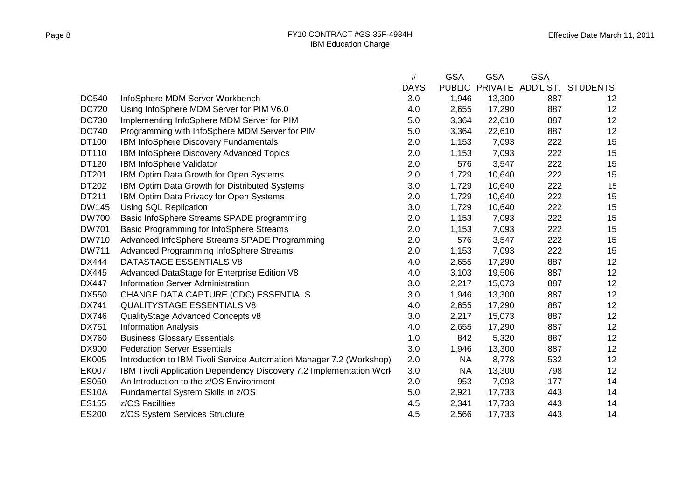|              |                                                                      | $\#$        | <b>GSA</b> | <b>GSA</b> | <b>GSA</b>               |                 |
|--------------|----------------------------------------------------------------------|-------------|------------|------------|--------------------------|-----------------|
|              |                                                                      | <b>DAYS</b> |            |            | PUBLIC PRIVATE ADD'L ST. | <b>STUDENTS</b> |
| <b>DC540</b> | InfoSphere MDM Server Workbench                                      | 3.0         | 1,946      | 13,300     | 887                      | 12 <sup>°</sup> |
| <b>DC720</b> | Using InfoSphere MDM Server for PIM V6.0                             | 4.0         | 2,655      | 17,290     | 887                      | 12              |
| <b>DC730</b> | Implementing InfoSphere MDM Server for PIM                           | 5.0         | 3,364      | 22,610     | 887                      | 12              |
| <b>DC740</b> | Programming with InfoSphere MDM Server for PIM                       | 5.0         | 3,364      | 22,610     | 887                      | 12              |
| DT100        | IBM InfoSphere Discovery Fundamentals                                | 2.0         | 1,153      | 7,093      | 222                      | 15              |
| DT110        | IBM InfoSphere Discovery Advanced Topics                             | 2.0         | 1,153      | 7,093      | 222                      | 15              |
| DT120        | <b>IBM InfoSphere Validator</b>                                      | 2.0         | 576        | 3,547      | 222                      | 15              |
| DT201        | IBM Optim Data Growth for Open Systems                               | 2.0         | 1,729      | 10,640     | 222                      | 15              |
| DT202        | IBM Optim Data Growth for Distributed Systems                        | 3.0         | 1,729      | 10,640     | 222                      | 15              |
| DT211        | IBM Optim Data Privacy for Open Systems                              | 2.0         | 1,729      | 10,640     | 222                      | 15              |
| <b>DW145</b> | <b>Using SQL Replication</b>                                         | 3.0         | 1,729      | 10,640     | 222                      | 15              |
| <b>DW700</b> | Basic InfoSphere Streams SPADE programming                           | 2.0         | 1,153      | 7,093      | 222                      | 15              |
| <b>DW701</b> | Basic Programming for InfoSphere Streams                             | 2.0         | 1,153      | 7,093      | 222                      | 15              |
| <b>DW710</b> | Advanced InfoSphere Streams SPADE Programming                        | 2.0         | 576        | 3,547      | 222                      | 15              |
| <b>DW711</b> | Advanced Programming InfoSphere Streams                              | 2.0         | 1,153      | 7,093      | 222                      | 15              |
| <b>DX444</b> | DATASTAGE ESSENTIALS V8                                              | 4.0         | 2,655      | 17,290     | 887                      | 12              |
| <b>DX445</b> | Advanced DataStage for Enterprise Edition V8                         | 4.0         | 3,103      | 19,506     | 887                      | 12              |
| <b>DX447</b> | Information Server Administration                                    | 3.0         | 2,217      | 15,073     | 887                      | 12              |
| <b>DX550</b> | CHANGE DATA CAPTURE (CDC) ESSENTIALS                                 | 3.0         | 1,946      | 13,300     | 887                      | 12              |
| <b>DX741</b> | <b>QUALITYSTAGE ESSENTIALS V8</b>                                    | 4.0         | 2,655      | 17,290     | 887                      | 12              |
| <b>DX746</b> | QualityStage Advanced Concepts v8                                    | 3.0         | 2,217      | 15,073     | 887                      | 12              |
| <b>DX751</b> | <b>Information Analysis</b>                                          | 4.0         | 2,655      | 17,290     | 887                      | 12              |
| <b>DX760</b> | <b>Business Glossary Essentials</b>                                  | 1.0         | 842        | 5,320      | 887                      | 12              |
| DX900        | <b>Federation Server Essentials</b>                                  | 3.0         | 1,946      | 13,300     | 887                      | 12              |
| <b>EK005</b> | Introduction to IBM Tivoli Service Automation Manager 7.2 (Workshop) | 2.0         | <b>NA</b>  | 8,778      | 532                      | 12              |
| <b>EK007</b> | IBM Tivoli Application Dependency Discovery 7.2 Implementation Work  | 3.0         | <b>NA</b>  | 13,300     | 798                      | 12              |
| <b>ES050</b> | An Introduction to the z/OS Environment                              | 2.0         | 953        | 7,093      | 177                      | 14              |
| <b>ES10A</b> | Fundamental System Skills in z/OS                                    | 5.0         | 2,921      | 17,733     | 443                      | 14              |
| <b>ES155</b> | z/OS Facilities                                                      | 4.5         | 2,341      | 17,733     | 443                      | 14              |
| <b>ES200</b> | z/OS System Services Structure                                       | 4.5         | 2,566      | 17,733     | 443                      | 14              |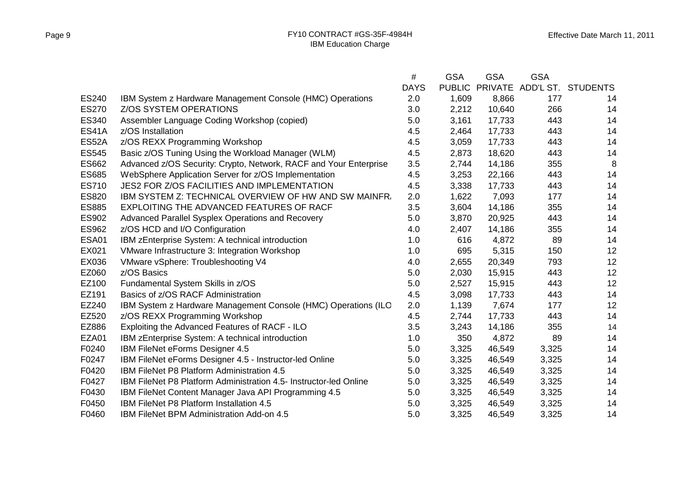|              |                                                                   | #           | <b>GSA</b>    | <b>GSA</b>     | <b>GSA</b> |                    |
|--------------|-------------------------------------------------------------------|-------------|---------------|----------------|------------|--------------------|
|              |                                                                   | <b>DAYS</b> | <b>PUBLIC</b> | <b>PRIVATE</b> |            | ADD'L ST. STUDENTS |
| <b>ES240</b> | IBM System z Hardware Management Console (HMC) Operations         | 2.0         | 1,609         | 8,866          | 177        | 14                 |
| <b>ES270</b> | <b>Z/OS SYSTEM OPERATIONS</b>                                     | 3.0         | 2,212         | 10,640         | 266        | 14                 |
| ES340        | Assembler Language Coding Workshop (copied)                       | 5.0         | 3,161         | 17,733         | 443        | 14                 |
| <b>ES41A</b> | z/OS Installation                                                 | 4.5         | 2,464         | 17,733         | 443        | 14                 |
| ES52A        | z/OS REXX Programming Workshop                                    | 4.5         | 3,059         | 17,733         | 443        | 14                 |
| ES545        | Basic z/OS Tuning Using the Workload Manager (WLM)                | 4.5         | 2,873         | 18,620         | 443        | 14                 |
| ES662        | Advanced z/OS Security: Crypto, Network, RACF and Your Enterprise | 3.5         | 2,744         | 14,186         | 355        | 8                  |
| <b>ES685</b> | WebSphere Application Server for z/OS Implementation              | 4.5         | 3,253         | 22,166         | 443        | 14                 |
| ES710        | JES2 FOR Z/OS FACILITIES AND IMPLEMENTATION                       | 4.5         | 3,338         | 17,733         | 443        | 14                 |
| <b>ES820</b> | IBM SYSTEM Z: TECHNICAL OVERVIEW OF HW AND SW MAINFR.             | 2.0         | 1,622         | 7,093          | 177        | 14                 |
| <b>ES885</b> | EXPLOITING THE ADVANCED FEATURES OF RACF                          | 3.5         | 3,604         | 14,186         | 355        | 14                 |
| ES902        | Advanced Parallel Sysplex Operations and Recovery                 | 5.0         | 3,870         | 20,925         | 443        | 14                 |
| ES962        | z/OS HCD and I/O Configuration                                    | 4.0         | 2,407         | 14,186         | 355        | 14                 |
| ESA01        | IBM zEnterprise System: A technical introduction                  | 1.0         | 616           | 4,872          | 89         | 14                 |
| EX021        | VMware Infrastructure 3: Integration Workshop                     | 1.0         | 695           | 5,315          | 150        | 12                 |
| EX036        | VMware vSphere: Troubleshooting V4                                | 4.0         | 2,655         | 20,349         | 793        | 12                 |
| EZ060        | z/OS Basics                                                       | 5.0         | 2,030         | 15,915         | 443        | 12                 |
| EZ100        | Fundamental System Skills in z/OS                                 | 5.0         | 2,527         | 15,915         | 443        | 12                 |
| EZ191        | Basics of z/OS RACF Administration                                | 4.5         | 3,098         | 17,733         | 443        | 14                 |
| EZ240        | IBM System z Hardware Management Console (HMC) Operations (ILO    | 2.0         | 1,139         | 7,674          | 177        | 12                 |
| EZ520        | z/OS REXX Programming Workshop                                    | 4.5         | 2,744         | 17,733         | 443        | 14                 |
| EZ886        | Exploiting the Advanced Features of RACF - ILO                    | 3.5         | 3,243         | 14,186         | 355        | 14                 |
| EZA01        | IBM zEnterprise System: A technical introduction                  | 1.0         | 350           | 4,872          | 89         | 14                 |
| F0240        | IBM FileNet eForms Designer 4.5                                   | 5.0         | 3,325         | 46,549         | 3,325      | 14                 |
| F0247        | IBM FileNet eForms Designer 4.5 - Instructor-led Online           | 5.0         | 3,325         | 46,549         | 3,325      | 14                 |
| F0420        | IBM FileNet P8 Platform Administration 4.5                        | 5.0         | 3,325         | 46,549         | 3,325      | 14                 |
| F0427        | IBM FileNet P8 Platform Administration 4.5- Instructor-led Online | 5.0         | 3,325         | 46,549         | 3,325      | 14                 |
| F0430        | IBM FileNet Content Manager Java API Programming 4.5              | 5.0         | 3,325         | 46,549         | 3,325      | 14                 |
| F0450        | IBM FileNet P8 Platform Installation 4.5                          | 5.0         | 3,325         | 46,549         | 3,325      | 14                 |
| F0460        | <b>IBM FileNet BPM Administration Add-on 4.5</b>                  | 5.0         | 3,325         | 46,549         | 3,325      | 14                 |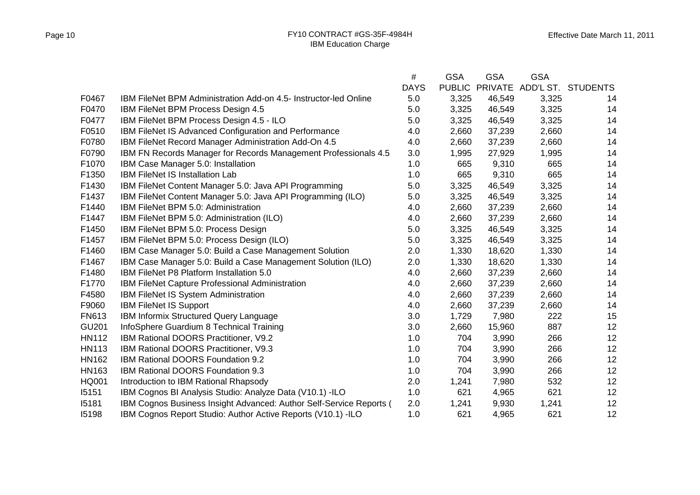|              |                                                                     | $\#$        | <b>GSA</b> | <b>GSA</b>     | <b>GSA</b> |                 |
|--------------|---------------------------------------------------------------------|-------------|------------|----------------|------------|-----------------|
|              |                                                                     | <b>DAYS</b> |            | PUBLIC PRIVATE | ADD'L ST.  | <b>STUDENTS</b> |
| F0467        | IBM FileNet BPM Administration Add-on 4.5- Instructor-led Online    | 5.0         | 3,325      | 46,549         | 3,325      | 14              |
| F0470        | IBM FileNet BPM Process Design 4.5                                  | 5.0         | 3,325      | 46,549         | 3,325      | 14              |
| F0477        | IBM FileNet BPM Process Design 4.5 - ILO                            | 5.0         | 3,325      | 46,549         | 3,325      | 14              |
| F0510        | IBM FileNet IS Advanced Configuration and Performance               | 4.0         | 2,660      | 37,239         | 2,660      | 14              |
| F0780        | IBM FileNet Record Manager Administration Add-On 4.5                | 4.0         | 2,660      | 37,239         | 2,660      | 14              |
| F0790        | IBM FN Records Manager for Records Management Professionals 4.5     | 3.0         | 1,995      | 27,929         | 1,995      | 14              |
| F1070        | IBM Case Manager 5.0: Installation                                  | 1.0         | 665        | 9,310          | 665        | 14              |
| F1350        | <b>IBM FileNet IS Installation Lab</b>                              | 1.0         | 665        | 9,310          | 665        | 14              |
| F1430        | IBM FileNet Content Manager 5.0: Java API Programming               | 5.0         | 3,325      | 46,549         | 3,325      | 14              |
| F1437        | IBM FileNet Content Manager 5.0: Java API Programming (ILO)         | 5.0         | 3,325      | 46,549         | 3,325      | 14              |
| F1440        | IBM FileNet BPM 5.0: Administration                                 | 4.0         | 2,660      | 37,239         | 2,660      | 14              |
| F1447        | IBM FileNet BPM 5.0: Administration (ILO)                           | 4.0         | 2,660      | 37,239         | 2,660      | 14              |
| F1450        | IBM FileNet BPM 5.0: Process Design                                 | 5.0         | 3,325      | 46,549         | 3,325      | 14              |
| F1457        | IBM FileNet BPM 5.0: Process Design (ILO)                           | 5.0         | 3,325      | 46,549         | 3,325      | 14              |
| F1460        | IBM Case Manager 5.0: Build a Case Management Solution              | 2.0         | 1,330      | 18,620         | 1,330      | 14              |
| F1467        | IBM Case Manager 5.0: Build a Case Management Solution (ILO)        | 2.0         | 1,330      | 18,620         | 1,330      | 14              |
| F1480        | IBM FileNet P8 Platform Installation 5.0                            | 4.0         | 2,660      | 37,239         | 2,660      | 14              |
| F1770        | IBM FileNet Capture Professional Administration                     | 4.0         | 2,660      | 37,239         | 2,660      | 14              |
| F4580        | <b>IBM FileNet IS System Administration</b>                         | 4.0         | 2,660      | 37,239         | 2,660      | 14              |
| F9060        | <b>IBM FileNet IS Support</b>                                       | 4.0         | 2,660      | 37,239         | 2,660      | 14              |
| <b>FN613</b> | IBM Informix Structured Query Language                              | 3.0         | 1,729      | 7,980          | 222        | 15              |
| <b>GU201</b> | InfoSphere Guardium 8 Technical Training                            | 3.0         | 2,660      | 15,960         | 887        | 12              |
| <b>HN112</b> | IBM Rational DOORS Practitioner, V9.2                               | 1.0         | 704        | 3,990          | 266        | 12              |
| <b>HN113</b> | IBM Rational DOORS Practitioner, V9.3                               | 1.0         | 704        | 3,990          | 266        | 12              |
| <b>HN162</b> | IBM Rational DOORS Foundation 9.2                                   | 1.0         | 704        | 3,990          | 266        | 12              |
| HN163        | <b>IBM Rational DOORS Foundation 9.3</b>                            | 1.0         | 704        | 3,990          | 266        | 12              |
| <b>HQ001</b> | Introduction to IBM Rational Rhapsody                               | 2.0         | 1,241      | 7,980          | 532        | 12              |
| 15151        | IBM Cognos BI Analysis Studio: Analyze Data (V10.1) -ILO            | 1.0         | 621        | 4,965          | 621        | 12              |
| 15181        | IBM Cognos Business Insight Advanced: Author Self-Service Reports ( | 2.0         | 1,241      | 9,930          | 1,241      | 12              |
| 15198        | IBM Cognos Report Studio: Author Active Reports (V10.1) -ILO        | 1.0         | 621        | 4,965          | 621        | 12              |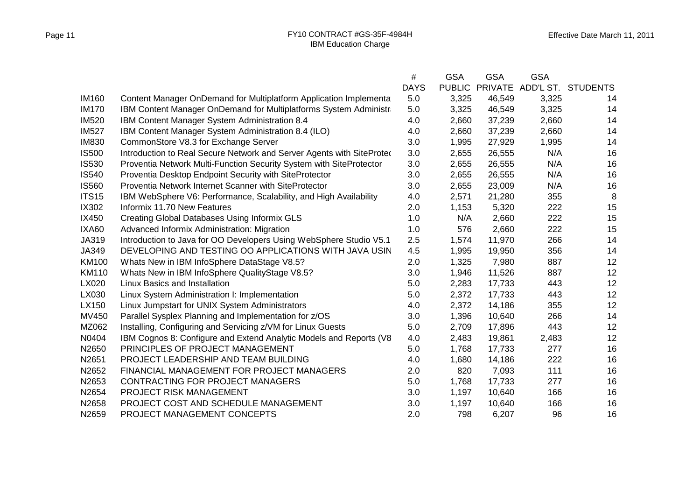|              |                                                                              | #           | <b>GSA</b>    | <b>GSA</b> | <b>GSA</b> |                    |
|--------------|------------------------------------------------------------------------------|-------------|---------------|------------|------------|--------------------|
|              |                                                                              | <b>DAYS</b> | <b>PUBLIC</b> | PRIVATE    |            | ADD'L ST. STUDENTS |
| <b>IM160</b> | Content Manager OnDemand for Multiplatform Application Implementa            | 5.0         | 3,325         | 46,549     | 3,325      | 14                 |
| <b>IM170</b> | <b>IBM Content Manager OnDemand for Multiplatforms System Administration</b> | 5.0         | 3,325         | 46,549     | 3,325      | 14                 |
| <b>IM520</b> | IBM Content Manager System Administration 8.4                                | 4.0         | 2,660         | 37,239     | 2,660      | 14                 |
| <b>IM527</b> | IBM Content Manager System Administration 8.4 (ILO)                          | 4.0         | 2,660         | 37,239     | 2,660      | 14                 |
| <b>IM830</b> | CommonStore V8.3 for Exchange Server                                         | 3.0         | 1,995         | 27,929     | 1,995      | 14                 |
| <b>IS500</b> | Introduction to Real Secure Network and Server Agents with SiteProtec        | 3.0         | 2,655         | 26,555     | N/A        | 16                 |
| <b>IS530</b> | Proventia Network Multi-Function Security System with SiteProtector          | 3.0         | 2,655         | 26,555     | N/A        | 16                 |
| <b>IS540</b> | Proventia Desktop Endpoint Security with SiteProtector                       | 3.0         | 2,655         | 26,555     | N/A        | 16                 |
| <b>IS560</b> | Proventia Network Internet Scanner with SiteProtector                        | 3.0         | 2,655         | 23,009     | N/A        | 16                 |
| <b>ITS15</b> | IBM WebSphere V6: Performance, Scalability, and High Availability            | 4.0         | 2,571         | 21,280     | 355        | 8                  |
| IX302        | Informix 11.70 New Features                                                  | 2.0         | 1,153         | 5,320      | 222        | 15                 |
| IX450        | <b>Creating Global Databases Using Informix GLS</b>                          | 1.0         | N/A           | 2,660      | 222        | 15                 |
| IXA60        | Advanced Informix Administration: Migration                                  | 1.0         | 576           | 2,660      | 222        | 15                 |
| JA319        | Introduction to Java for OO Developers Using WebSphere Studio V5.1           | 2.5         | 1,574         | 11,970     | 266        | 14                 |
| JA349        | DEVELOPING AND TESTING OO APPLICATIONS WITH JAVA USIN                        | 4.5         | 1,995         | 19,950     | 356        | 14                 |
| <b>KM100</b> | Whats New in IBM InfoSphere DataStage V8.5?                                  | 2.0         | 1,325         | 7,980      | 887        | 12                 |
| <b>KM110</b> | Whats New in IBM InfoSphere QualityStage V8.5?                               | 3.0         | 1,946         | 11,526     | 887        | 12                 |
| LX020        | Linux Basics and Installation                                                | 5.0         | 2,283         | 17,733     | 443        | 12                 |
| LX030        | Linux System Administration I: Implementation                                | 5.0         | 2,372         | 17,733     | 443        | 12                 |
| LX150        | Linux Jumpstart for UNIX System Administrators                               | 4.0         | 2,372         | 14,186     | 355        | 12                 |
| MV450        | Parallel Sysplex Planning and Implementation for z/OS                        | 3.0         | 1,396         | 10,640     | 266        | 14                 |
| MZ062        | Installing, Configuring and Servicing z/VM for Linux Guests                  | 5.0         | 2,709         | 17,896     | 443        | 12                 |
| N0404        | IBM Cognos 8: Configure and Extend Analytic Models and Reports (V8           | 4.0         | 2,483         | 19,861     | 2,483      | 12                 |
| N2650        | PRINCIPLES OF PROJECT MANAGEMENT                                             | 5.0         | 1,768         | 17,733     | 277        | 16                 |
| N2651        | PROJECT LEADERSHIP AND TEAM BUILDING                                         | 4.0         | 1,680         | 14,186     | 222        | 16                 |
| N2652        | FINANCIAL MANAGEMENT FOR PROJECT MANAGERS                                    | 2.0         | 820           | 7,093      | 111        | 16                 |
| N2653        | <b>CONTRACTING FOR PROJECT MANAGERS</b>                                      | 5.0         | 1,768         | 17,733     | 277        | 16                 |
| N2654        | PROJECT RISK MANAGEMENT                                                      | 3.0         | 1,197         | 10,640     | 166        | 16                 |
| N2658        | PROJECT COST AND SCHEDULE MANAGEMENT                                         | 3.0         | 1,197         | 10,640     | 166        | 16                 |
| N2659        | PROJECT MANAGEMENT CONCEPTS                                                  | 2.0         | 798           | 6,207      | 96         | 16                 |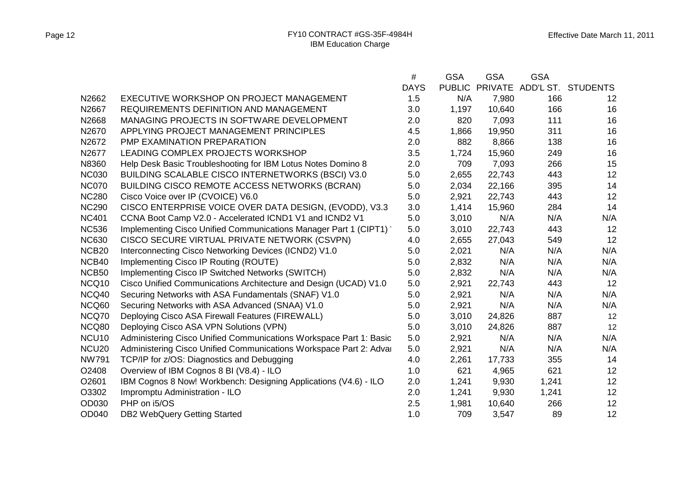|                   |                                                                    | #           | <b>GSA</b>    | <b>GSA</b>     | GSA   |                    |
|-------------------|--------------------------------------------------------------------|-------------|---------------|----------------|-------|--------------------|
|                   |                                                                    | <b>DAYS</b> | <b>PUBLIC</b> | <b>PRIVATE</b> |       | ADD'L ST. STUDENTS |
| N2662             | EXECUTIVE WORKSHOP ON PROJECT MANAGEMENT                           | 1.5         | N/A           | 7,980          | 166   | 12 <sub>2</sub>    |
| N2667             | <b>REQUIREMENTS DEFINITION AND MANAGEMENT</b>                      | 3.0         | 1,197         | 10,640         | 166   | 16                 |
| N2668             | MANAGING PROJECTS IN SOFTWARE DEVELOPMENT                          | 2.0         | 820           | 7,093          | 111   | 16                 |
| N2670             | APPLYING PROJECT MANAGEMENT PRINCIPLES                             | 4.5         | 1,866         | 19,950         | 311   | 16                 |
| N2672             | PMP EXAMINATION PREPARATION                                        | 2.0         | 882           | 8,866          | 138   | 16                 |
| N2677             | LEADING COMPLEX PROJECTS WORKSHOP                                  | 3.5         | 1,724         | 15,960         | 249   | 16                 |
| N8360             | Help Desk Basic Troubleshooting for IBM Lotus Notes Domino 8       | 2.0         | 709           | 7,093          | 266   | 15                 |
| <b>NC030</b>      | BUILDING SCALABLE CISCO INTERNETWORKS (BSCI) V3.0                  | 5.0         | 2,655         | 22,743         | 443   | 12                 |
| <b>NC070</b>      | <b>BUILDING CISCO REMOTE ACCESS NETWORKS (BCRAN)</b>               | 5.0         | 2,034         | 22,166         | 395   | 14                 |
| <b>NC280</b>      | Cisco Voice over IP (CVOICE) V6.0                                  | 5.0         | 2,921         | 22,743         | 443   | 12                 |
| <b>NC290</b>      | CISCO ENTERPRISE VOICE OVER DATA DESIGN, (EVODD), V3.3             | 3.0         | 1,414         | 15,960         | 284   | 14                 |
| <b>NC401</b>      | CCNA Boot Camp V2.0 - Accelerated ICND1 V1 and ICND2 V1            | 5.0         | 3,010         | N/A            | N/A   | N/A                |
| <b>NC536</b>      | Implementing Cisco Unified Communications Manager Part 1 (CIPT1) ' | 5.0         | 3,010         | 22,743         | 443   | 12                 |
| <b>NC630</b>      | CISCO SECURE VIRTUAL PRIVATE NETWORK (CSVPN)                       | 4.0         | 2,655         | 27,043         | 549   | 12                 |
| NCB <sub>20</sub> | Interconnecting Cisco Networking Devices (ICND2) V1.0              | 5.0         | 2,021         | N/A            | N/A   | N/A                |
| NCB40             | Implementing Cisco IP Routing (ROUTE)                              | 5.0         | 2,832         | N/A            | N/A   | N/A                |
| NCB50             | Implementing Cisco IP Switched Networks (SWITCH)                   | 5.0         | 2,832         | N/A            | N/A   | N/A                |
| NCQ10             | Cisco Unified Communications Architecture and Design (UCAD) V1.0   | 5.0         | 2,921         | 22,743         | 443   | 12                 |
| NCQ40             | Securing Networks with ASA Fundamentals (SNAF) V1.0                | 5.0         | 2,921         | N/A            | N/A   | N/A                |
| NCQ60             | Securing Networks with ASA Advanced (SNAA) V1.0                    | 5.0         | 2,921         | N/A            | N/A   | N/A                |
| NCQ70             | Deploying Cisco ASA Firewall Features (FIREWALL)                   | 5.0         | 3,010         | 24,826         | 887   | 12                 |
| NCQ80             | Deploying Cisco ASA VPN Solutions (VPN)                            | 5.0         | 3,010         | 24,826         | 887   | 12                 |
| NCU <sub>10</sub> | Administering Cisco Unified Communications Workspace Part 1: Basic | 5.0         | 2,921         | N/A            | N/A   | N/A                |
| NCU <sub>20</sub> | Administering Cisco Unified Communications Workspace Part 2: Advar | 5.0         | 2,921         | N/A            | N/A   | N/A                |
| <b>NW791</b>      | TCP/IP for z/OS: Diagnostics and Debugging                         | 4.0         | 2,261         | 17,733         | 355   | 14                 |
| O2408             | Overview of IBM Cognos 8 BI (V8.4) - ILO                           | 1.0         | 621           | 4,965          | 621   | 12                 |
| O2601             | IBM Cognos 8 Now! Workbench: Designing Applications (V4.6) - ILO   | 2.0         | 1,241         | 9,930          | 1,241 | 12                 |
| O3302             | Impromptu Administration - ILO                                     | 2.0         | 1,241         | 9,930          | 1,241 | 12                 |
| OD030             | PHP on i5/OS                                                       | 2.5         | 1,981         | 10,640         | 266   | 12                 |
| OD040             | <b>DB2 WebQuery Getting Started</b>                                | 1.0         | 709           | 3,547          | 89    | 12                 |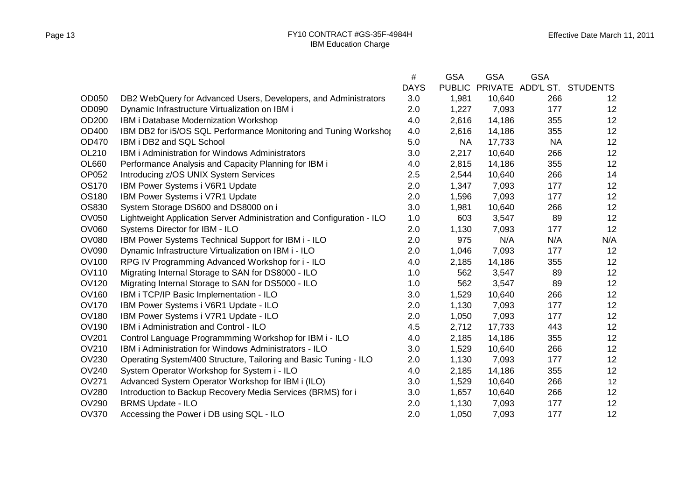|              |                                                                       | #           | <b>GSA</b>    | <b>GSA</b>     | GSA       |                    |
|--------------|-----------------------------------------------------------------------|-------------|---------------|----------------|-----------|--------------------|
|              |                                                                       | <b>DAYS</b> | <b>PUBLIC</b> | <b>PRIVATE</b> |           | ADD'L ST. STUDENTS |
| OD050        | DB2 WebQuery for Advanced Users, Developers, and Administrators       | 3.0         | 1,981         | 10,640         | 266       | 12 <sub>2</sub>    |
| OD090        | Dynamic Infrastructure Virtualization on IBM i                        | 2.0         | 1,227         | 7,093          | 177       | 12                 |
| OD200        | IBM i Database Modernization Workshop                                 | 4.0         | 2,616         | 14,186         | 355       | 12                 |
| OD400        | IBM DB2 for i5/OS SQL Performance Monitoring and Tuning Workshop      | 4.0         | 2,616         | 14,186         | 355       | 12                 |
| OD470        | IBM i DB2 and SQL School                                              | 5.0         | <b>NA</b>     | 17,733         | <b>NA</b> | 12                 |
| OL210        | <b>IBM i Administration for Windows Administrators</b>                | 3.0         | 2,217         | 10,640         | 266       | 12                 |
| OL660        | Performance Analysis and Capacity Planning for IBM i                  | 4.0         | 2,815         | 14,186         | 355       | 12                 |
| OP052        | Introducing z/OS UNIX System Services                                 | 2.5         | 2,544         | 10,640         | 266       | 14                 |
| <b>OS170</b> | IBM Power Systems i V6R1 Update                                       | 2.0         | 1,347         | 7,093          | 177       | 12                 |
| <b>OS180</b> | IBM Power Systems i V7R1 Update                                       | 2.0         | 1,596         | 7,093          | 177       | 12                 |
| OS830        | System Storage DS600 and DS8000 on i                                  | 3.0         | 1,981         | 10,640         | 266       | 12                 |
| <b>OV050</b> | Lightweight Application Server Administration and Configuration - ILO | 1.0         | 603           | 3,547          | 89        | 12                 |
| OV060        | Systems Director for IBM - ILO                                        | 2.0         | 1,130         | 7,093          | 177       | 12                 |
| <b>OV080</b> | IBM Power Systems Technical Support for IBM i - ILO                   | 2.0         | 975           | N/A            | N/A       | N/A                |
| <b>OV090</b> | Dynamic Infrastructure Virtualization on IBM i - ILO                  | 2.0         | 1,046         | 7,093          | 177       | 12                 |
| <b>OV100</b> | RPG IV Programming Advanced Workshop for i - ILO                      | 4.0         | 2,185         | 14,186         | 355       | 12                 |
| <b>OV110</b> | Migrating Internal Storage to SAN for DS8000 - ILO                    | 1.0         | 562           | 3,547          | 89        | 12                 |
| <b>OV120</b> | Migrating Internal Storage to SAN for DS5000 - ILO                    | 1.0         | 562           | 3,547          | 89        | 12                 |
| <b>OV160</b> | IBM i TCP/IP Basic Implementation - ILO                               | 3.0         | 1,529         | 10,640         | 266       | 12                 |
| <b>OV170</b> | IBM Power Systems i V6R1 Update - ILO                                 | 2.0         | 1,130         | 7,093          | 177       | 12                 |
| <b>OV180</b> | IBM Power Systems i V7R1 Update - ILO                                 | 2.0         | 1,050         | 7,093          | 177       | 12                 |
| <b>OV190</b> | IBM i Administration and Control - ILO                                | 4.5         | 2,712         | 17,733         | 443       | 12                 |
| <b>OV201</b> | Control Language Programmming Workshop for IBM i - ILO                | 4.0         | 2,185         | 14,186         | 355       | 12                 |
| OV210        | <b>IBM i Administration for Windows Administrators - ILO</b>          | 3.0         | 1,529         | 10,640         | 266       | 12                 |
| <b>OV230</b> | Operating System/400 Structure, Tailoring and Basic Tuning - ILO      | 2.0         | 1,130         | 7,093          | 177       | 12                 |
| <b>OV240</b> | System Operator Workshop for System i - ILO                           | 4.0         | 2,185         | 14,186         | 355       | 12                 |
| <b>OV271</b> | Advanced System Operator Workshop for IBM i (ILO)                     | 3.0         | 1,529         | 10,640         | 266       | 12                 |
| <b>OV280</b> | Introduction to Backup Recovery Media Services (BRMS) for i           | 3.0         | 1,657         | 10,640         | 266       | 12                 |
| <b>OV290</b> | <b>BRMS Update - ILO</b>                                              | 2.0         | 1,130         | 7,093          | 177       | 12                 |
| <b>OV370</b> | Accessing the Power i DB using SQL - ILO                              | 2.0         | 1,050         | 7,093          | 177       | 12                 |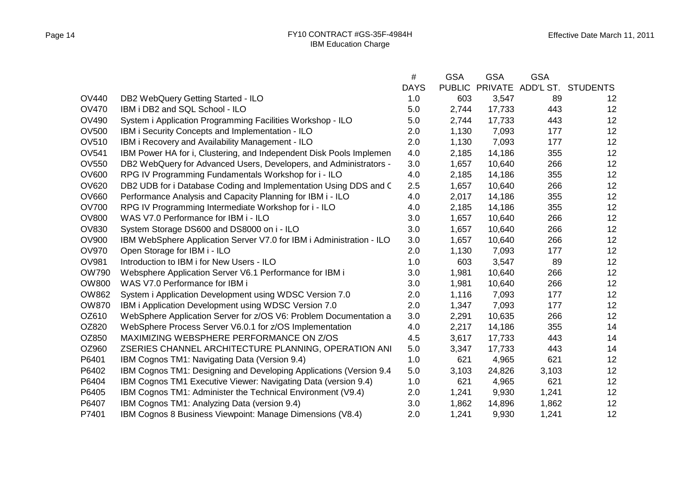|              |                                                                      | #           | <b>GSA</b>    | <b>GSA</b>     | <b>GSA</b> |                    |
|--------------|----------------------------------------------------------------------|-------------|---------------|----------------|------------|--------------------|
|              |                                                                      | <b>DAYS</b> | <b>PUBLIC</b> | <b>PRIVATE</b> |            | ADD'L ST. STUDENTS |
| <b>OV440</b> | DB2 WebQuery Getting Started - ILO                                   | 1.0         | 603           | 3,547          | 89         | 12                 |
| <b>OV470</b> | IBM i DB2 and SQL School - ILO                                       | 5.0         | 2,744         | 17,733         | 443        | 12                 |
| OV490        | System i Application Programming Facilities Workshop - ILO           | 5.0         | 2,744         | 17,733         | 443        | 12                 |
| OV500        | IBM i Security Concepts and Implementation - ILO                     | 2.0         | 1,130         | 7,093          | 177        | 12                 |
| OV510        | IBM i Recovery and Availability Management - ILO                     | 2.0         | 1,130         | 7,093          | 177        | 12                 |
| <b>OV541</b> | IBM Power HA for i, Clustering, and Independent Disk Pools Implemen  | 4.0         | 2,185         | 14,186         | 355        | 12                 |
| <b>OV550</b> | DB2 WebQuery for Advanced Users, Developers, and Administrators -    | 3.0         | 1,657         | 10,640         | 266        | 12                 |
| OV600        | RPG IV Programming Fundamentals Workshop for i - ILO                 | 4.0         | 2,185         | 14,186         | 355        | 12                 |
| OV620        | DB2 UDB for i Database Coding and Implementation Using DDS and C     | 2.5         | 1,657         | 10,640         | 266        | 12                 |
| OV660        | Performance Analysis and Capacity Planning for IBM i - ILO           | 4.0         | 2,017         | 14,186         | 355        | 12                 |
| <b>OV700</b> | RPG IV Programming Intermediate Workshop for i - ILO                 | 4.0         | 2,185         | 14,186         | 355        | 12                 |
| <b>OV800</b> | WAS V7.0 Performance for IBM i - ILO                                 | 3.0         | 1,657         | 10,640         | 266        | 12                 |
| <b>OV830</b> | System Storage DS600 and DS8000 on i - ILO                           | 3.0         | 1,657         | 10,640         | 266        | 12                 |
| OV900        | IBM WebSphere Application Server V7.0 for IBM i Administration - ILO | 3.0         | 1,657         | 10,640         | 266        | 12                 |
| <b>OV970</b> | Open Storage for IBM i - ILO                                         | 2.0         | 1,130         | 7,093          | 177        | 12                 |
| OV981        | Introduction to IBM i for New Users - ILO                            | 1.0         | 603           | 3,547          | 89         | 12                 |
| <b>OW790</b> | Websphere Application Server V6.1 Performance for IBM i              | 3.0         | 1,981         | 10,640         | 266        | 12                 |
| <b>OW800</b> | WAS V7.0 Performance for IBM i                                       | 3.0         | 1,981         | 10,640         | 266        | 12                 |
| <b>OW862</b> | System i Application Development using WDSC Version 7.0              | 2.0         | 1,116         | 7,093          | 177        | 12                 |
| <b>OW870</b> | IBM i Application Development using WDSC Version 7.0                 | 2.0         | 1,347         | 7,093          | 177        | 12                 |
| OZ610        | WebSphere Application Server for z/OS V6: Problem Documentation a    | 3.0         | 2,291         | 10,635         | 266        | 12                 |
| OZ820        | WebSphere Process Server V6.0.1 for z/OS Implementation              | 4.0         | 2,217         | 14,186         | 355        | 14                 |
| OZ850        | MAXIMIZING WEBSPHERE PERFORMANCE ON Z/OS                             | 4.5         | 3,617         | 17,733         | 443        | 14                 |
| OZ960        | ZSERIES CHANNEL ARCHITECTURE PLANNING, OPERATION ANI                 | 5.0         | 3,347         | 17,733         | 443        | 14                 |
| P6401        | IBM Cognos TM1: Navigating Data (Version 9.4)                        | 1.0         | 621           | 4,965          | 621        | 12                 |
| P6402        | IBM Cognos TM1: Designing and Developing Applications (Version 9.4)  | 5.0         | 3,103         | 24,826         | 3,103      | 12                 |
| P6404        | IBM Cognos TM1 Executive Viewer: Navigating Data (version 9.4)       | 1.0         | 621           | 4,965          | 621        | 12                 |
| P6405        | IBM Cognos TM1: Administer the Technical Environment (V9.4)          | 2.0         | 1,241         | 9,930          | 1,241      | 12                 |
| P6407        | IBM Cognos TM1: Analyzing Data (version 9.4)                         | 3.0         | 1,862         | 14,896         | 1,862      | 12                 |
| P7401        | IBM Cognos 8 Business Viewpoint: Manage Dimensions (V8.4)            | 2.0         | 1,241         | 9,930          | 1,241      | 12                 |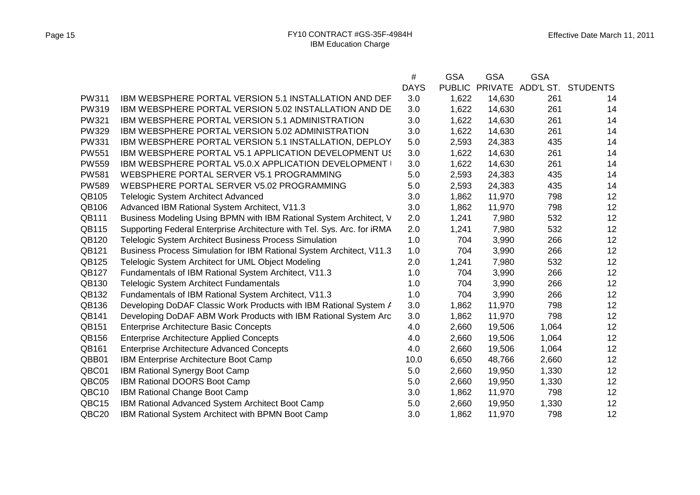|              |                                                                         | $\#$        | <b>GSA</b> | <b>GSA</b>     | <b>GSA</b> |                 |
|--------------|-------------------------------------------------------------------------|-------------|------------|----------------|------------|-----------------|
|              |                                                                         | <b>DAYS</b> |            | PUBLIC PRIVATE | ADD'L ST.  | <b>STUDENTS</b> |
| PW311        | <b>IBM WEBSPHERE PORTAL VERSION 5.1 INSTALLATION AND DEF</b>            | 3.0         | 1,622      | 14,630         | 261        | 14              |
| <b>PW319</b> | IBM WEBSPHERE PORTAL VERSION 5.02 INSTALLATION AND DE                   | 3.0         | 1,622      | 14,630         | 261        | 14              |
| <b>PW321</b> | IBM WEBSPHERE PORTAL VERSION 5.1 ADMINISTRATION                         | 3.0         | 1,622      | 14,630         | 261        | 14              |
| <b>PW329</b> | IBM WEBSPHERE PORTAL VERSION 5.02 ADMINISTRATION                        | 3.0         | 1,622      | 14,630         | 261        | 14              |
| <b>PW331</b> | IBM WEBSPHERE PORTAL VERSION 5.1 INSTALLATION, DEPLOY                   | 5.0         | 2,593      | 24,383         | 435        | 14              |
| <b>PW551</b> | IBM WEBSPHERE PORTAL V5.1 APPLICATION DEVELOPMENT US                    | 3.0         | 1,622      | 14,630         | 261        | 14              |
| <b>PW559</b> | IBM WEBSPHERE PORTAL V5.0.X APPLICATION DEVELOPMENT I                   | 3.0         | 1,622      | 14,630         | 261        | 14              |
| <b>PW581</b> | WEBSPHERE PORTAL SERVER V5.1 PROGRAMMING                                | 5.0         | 2,593      | 24,383         | 435        | 14              |
| <b>PW589</b> | WEBSPHERE PORTAL SERVER V5.02 PROGRAMMING                               | 5.0         | 2,593      | 24,383         | 435        | 14              |
| QB105        | <b>Telelogic System Architect Advanced</b>                              | 3.0         | 1,862      | 11,970         | 798        | 12              |
| QB106        | Advanced IBM Rational System Architect, V11.3                           | 3.0         | 1,862      | 11,970         | 798        | 12              |
| QB111        | Business Modeling Using BPMN with IBM Rational System Architect, V      | 2.0         | 1,241      | 7,980          | 532        | 12              |
| QB115        | Supporting Federal Enterprise Architecture with Tel. Sys. Arc. for iRMA | 2.0         | 1,241      | 7,980          | 532        | 12              |
| QB120        | <b>Telelogic System Architect Business Process Simulation</b>           | 1.0         | 704        | 3,990          | 266        | 12              |
| QB121        | Business Process Simulation for IBM Rational System Architect, V11.3    | 1.0         | 704        | 3,990          | 266        | 12              |
| QB125        | Telelogic System Architect for UML Object Modeling                      | 2.0         | 1,241      | 7,980          | 532        | 12              |
| QB127        | Fundamentals of IBM Rational System Architect, V11.3                    | 1.0         | 704        | 3,990          | 266        | 12              |
| QB130        | <b>Telelogic System Architect Fundamentals</b>                          | 1.0         | 704        | 3,990          | 266        | 12              |
| QB132        | Fundamentals of IBM Rational System Architect, V11.3                    | 1.0         | 704        | 3,990          | 266        | 12              |
| QB136        | Developing DoDAF Classic Work Products with IBM Rational System A       | 3.0         | 1,862      | 11,970         | 798        | 12              |
| QB141        | Developing DoDAF ABM Work Products with IBM Rational System Arc         | 3.0         | 1,862      | 11,970         | 798        | 12              |
| QB151        | <b>Enterprise Architecture Basic Concepts</b>                           | 4.0         | 2,660      | 19,506         | 1,064      | 12              |
| QB156        | <b>Enterprise Architecture Applied Concepts</b>                         | 4.0         | 2,660      | 19,506         | 1,064      | 12              |
| QB161        | <b>Enterprise Architecture Advanced Concepts</b>                        | 4.0         | 2,660      | 19,506         | 1,064      | 12              |
| QBB01        | IBM Enterprise Architecture Boot Camp                                   | 10.0        | 6,650      | 48,766         | 2,660      | 12              |
| QBC01        | IBM Rational Synergy Boot Camp                                          | 5.0         | 2,660      | 19,950         | 1,330      | 12              |
| QBC05        | IBM Rational DOORS Boot Camp                                            | 5.0         | 2,660      | 19,950         | 1,330      | 12              |
| QBC10        | IBM Rational Change Boot Camp                                           | 3.0         | 1,862      | 11,970         | 798        | 12              |
| QBC15        | IBM Rational Advanced System Architect Boot Camp                        | 5.0         | 2,660      | 19,950         | 1,330      | 12              |
| QBC20        | IBM Rational System Architect with BPMN Boot Camp                       | 3.0         | 1,862      | 11,970         | 798        | 12              |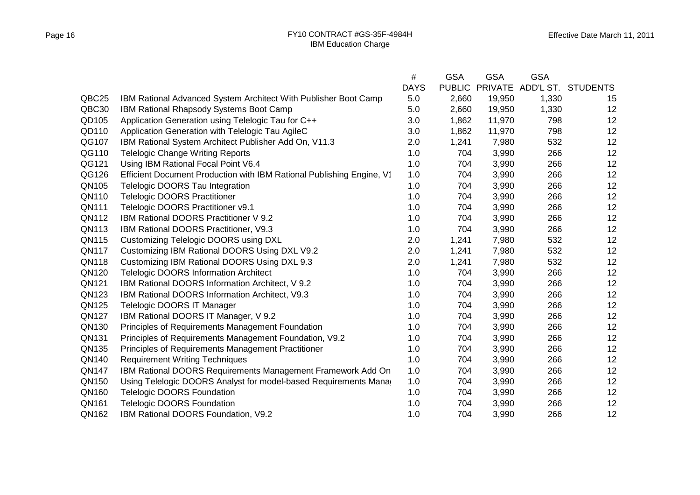|              |                                                                       | #           | <b>GSA</b> | <b>GSA</b>     | <b>GSA</b> |                 |
|--------------|-----------------------------------------------------------------------|-------------|------------|----------------|------------|-----------------|
|              |                                                                       | <b>DAYS</b> |            | PUBLIC PRIVATE | ADD'L ST.  | <b>STUDENTS</b> |
| QBC25        | IBM Rational Advanced System Architect With Publisher Boot Camp       | 5.0         | 2,660      | 19,950         | 1,330      | 15              |
| QBC30        | IBM Rational Rhapsody Systems Boot Camp                               | 5.0         | 2,660      | 19,950         | 1,330      | 12              |
| QD105        | Application Generation using Telelogic Tau for C++                    | 3.0         | 1,862      | 11,970         | 798        | 12              |
| QD110        | Application Generation with Telelogic Tau AgileC                      | 3.0         | 1,862      | 11,970         | 798        | 12              |
| QG107        | IBM Rational System Architect Publisher Add On, V11.3                 | 2.0         | 1,241      | 7,980          | 532        | 12              |
| QG110        | <b>Telelogic Change Writing Reports</b>                               | 1.0         | 704        | 3,990          | 266        | 12              |
| QG121        | Using IBM Rational Focal Point V6.4                                   | 1.0         | 704        | 3,990          | 266        | 12              |
| QG126        | Efficient Document Production with IBM Rational Publishing Engine, V1 | 1.0         | 704        | 3,990          | 266        | 12              |
| QN105        | Telelogic DOORS Tau Integration                                       | 1.0         | 704        | 3,990          | 266        | 12              |
| QN110        | <b>Telelogic DOORS Practitioner</b>                                   | 1.0         | 704        | 3,990          | 266        | 12              |
| QN111        | Telelogic DOORS Practitioner v9.1                                     | 1.0         | 704        | 3,990          | 266        | 12              |
| QN112        | <b>IBM Rational DOORS Practitioner V 9.2</b>                          | 1.0         | 704        | 3,990          | 266        | 12              |
| QN113        | IBM Rational DOORS Practitioner, V9.3                                 | 1.0         | 704        | 3,990          | 266        | 12              |
| QN115        | <b>Customizing Telelogic DOORS using DXL</b>                          | 2.0         | 1,241      | 7,980          | 532        | 12              |
| <b>QN117</b> | Customizing IBM Rational DOORS Using DXL V9.2                         | 2.0         | 1,241      | 7,980          | 532        | 12              |
| QN118        | Customizing IBM Rational DOORS Using DXL 9.3                          | 2.0         | 1,241      | 7,980          | 532        | 12              |
| QN120        | <b>Telelogic DOORS Information Architect</b>                          | 1.0         | 704        | 3,990          | 266        | 12              |
| QN121        | IBM Rational DOORS Information Architect, V 9.2                       | 1.0         | 704        | 3,990          | 266        | 12              |
| QN123        | IBM Rational DOORS Information Architect, V9.3                        | 1.0         | 704        | 3,990          | 266        | 12              |
| QN125        | Telelogic DOORS IT Manager                                            | 1.0         | 704        | 3,990          | 266        | 12              |
| <b>QN127</b> | IBM Rational DOORS IT Manager, V 9.2                                  | 1.0         | 704        | 3,990          | 266        | 12              |
| QN130        | Principles of Requirements Management Foundation                      | 1.0         | 704        | 3,990          | 266        | 12              |
| QN131        | Principles of Requirements Management Foundation, V9.2                | 1.0         | 704        | 3,990          | 266        | 12              |
| QN135        | Principles of Requirements Management Practitioner                    | 1.0         | 704        | 3,990          | 266        | 12              |
| QN140        | <b>Requirement Writing Techniques</b>                                 | 1.0         | 704        | 3,990          | 266        | 12              |
| <b>QN147</b> | IBM Rational DOORS Requirements Management Framework Add On           | 1.0         | 704        | 3,990          | 266        | 12              |
| QN150        | Using Telelogic DOORS Analyst for model-based Requirements Mana       | 1.0         | 704        | 3,990          | 266        | 12              |
| QN160        | <b>Telelogic DOORS Foundation</b>                                     | 1.0         | 704        | 3,990          | 266        | 12              |
| QN161        | <b>Telelogic DOORS Foundation</b>                                     | 1.0         | 704        | 3,990          | 266        | 12              |
| QN162        | IBM Rational DOORS Foundation, V9.2                                   | 1.0         | 704        | 3,990          | 266        | 12              |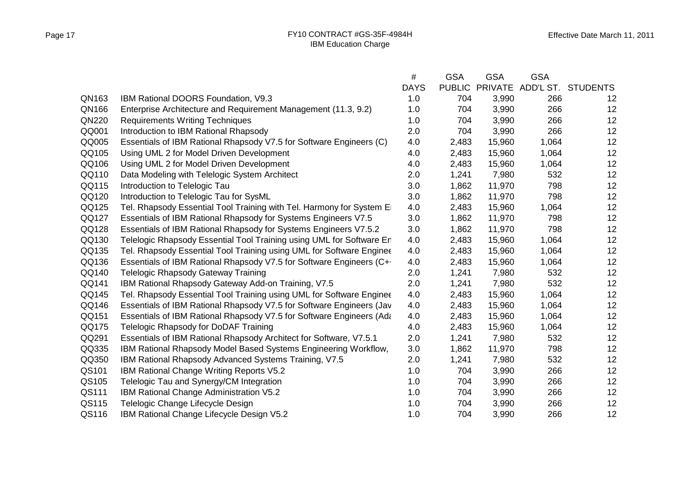|       |                                                                      | #           | <b>GSA</b> | <b>GSA</b>     | <b>GSA</b> |                    |
|-------|----------------------------------------------------------------------|-------------|------------|----------------|------------|--------------------|
|       |                                                                      | <b>DAYS</b> |            | PUBLIC PRIVATE |            | ADD'L ST. STUDENTS |
| QN163 | IBM Rational DOORS Foundation, V9.3                                  | 1.0         | 704        | 3,990          | 266        | 12                 |
| QN166 | Enterprise Architecture and Requirement Management (11.3, 9.2)       | 1.0         | 704        | 3,990          | 266        | 12                 |
| QN220 | <b>Requirements Writing Techniques</b>                               | 1.0         | 704        | 3,990          | 266        | 12                 |
| QQ001 | Introduction to IBM Rational Rhapsody                                | 2.0         | 704        | 3,990          | 266        | 12                 |
| QQ005 | Essentials of IBM Rational Rhapsody V7.5 for Software Engineers (C)  | 4.0         | 2,483      | 15,960         | 1,064      | 12                 |
| QQ105 | Using UML 2 for Model Driven Development                             | 4.0         | 2,483      | 15,960         | 1,064      | 12                 |
| QQ106 | Using UML 2 for Model Driven Development                             | 4.0         | 2,483      | 15,960         | 1,064      | 12                 |
| QQ110 | Data Modeling with Telelogic System Architect                        | 2.0         | 1,241      | 7,980          | 532        | 12                 |
| QQ115 | Introduction to Telelogic Tau                                        | 3.0         | 1,862      | 11,970         | 798        | 12                 |
| QQ120 | Introduction to Telelogic Tau for SysML                              | 3.0         | 1,862      | 11,970         | 798        | 12                 |
| QQ125 | Tel. Rhapsody Essential Tool Training with Tel. Harmony for System E | 4.0         | 2,483      | 15,960         | 1,064      | 12                 |
| QQ127 | Essentials of IBM Rational Rhapsody for Systems Engineers V7.5       | 3.0         | 1,862      | 11,970         | 798        | 12                 |
| QQ128 | Essentials of IBM Rational Rhapsody for Systems Engineers V7.5.2     | 3.0         | 1,862      | 11,970         | 798        | 12                 |
| QQ130 | Telelogic Rhapsody Essential Tool Training using UML for Software En | 4.0         | 2,483      | 15,960         | 1,064      | 12                 |
| QQ135 | Tel. Rhapsody Essential Tool Training using UML for Software Enginee | 4.0         | 2,483      | 15,960         | 1,064      | 12                 |
| QQ136 | Essentials of IBM Rational Rhapsody V7.5 for Software Engineers (C+  | 4.0         | 2,483      | 15,960         | 1,064      | 12                 |
| QQ140 | <b>Telelogic Rhapsody Gateway Training</b>                           | 2.0         | 1,241      | 7,980          | 532        | 12                 |
| QQ141 | IBM Rational Rhapsody Gateway Add-on Training, V7.5                  | 2.0         | 1,241      | 7,980          | 532        | 12                 |
| QQ145 | Tel. Rhapsody Essential Tool Training using UML for Software Enginee | 4.0         | 2,483      | 15,960         | 1,064      | 12                 |
| QQ146 | Essentials of IBM Rational Rhapsody V7.5 for Software Engineers (Jav | 4.0         | 2,483      | 15,960         | 1,064      | 12                 |
| QQ151 | Essentials of IBM Rational Rhapsody V7.5 for Software Engineers (Ada | 4.0         | 2,483      | 15,960         | 1,064      | 12                 |
| QQ175 | Telelogic Rhapsody for DoDAF Training                                | 4.0         | 2,483      | 15,960         | 1,064      | 12                 |
| QQ291 | Essentials of IBM Rational Rhapsody Architect for Software, V7.5.1   | 2.0         | 1,241      | 7,980          | 532        | 12                 |
| QQ335 | IBM Rational Rhapsody Model Based Systems Engineering Workflow,      | 3.0         | 1,862      | 11,970         | 798        | 12                 |
| QQ350 | IBM Rational Rhapsody Advanced Systems Training, V7.5                | 2.0         | 1,241      | 7,980          | 532        | 12                 |
| QS101 | IBM Rational Change Writing Reports V5.2                             | 1.0         | 704        | 3,990          | 266        | 12                 |
| QS105 | Telelogic Tau and Synergy/CM Integration                             | 1.0         | 704        | 3,990          | 266        | 12                 |
| QS111 | IBM Rational Change Administration V5.2                              | 1.0         | 704        | 3,990          | 266        | 12                 |
| QS115 | Telelogic Change Lifecycle Design                                    | 1.0         | 704        | 3,990          | 266        | 12                 |
| QS116 | IBM Rational Change Lifecycle Design V5.2                            | 1.0         | 704        | 3,990          | 266        | 12                 |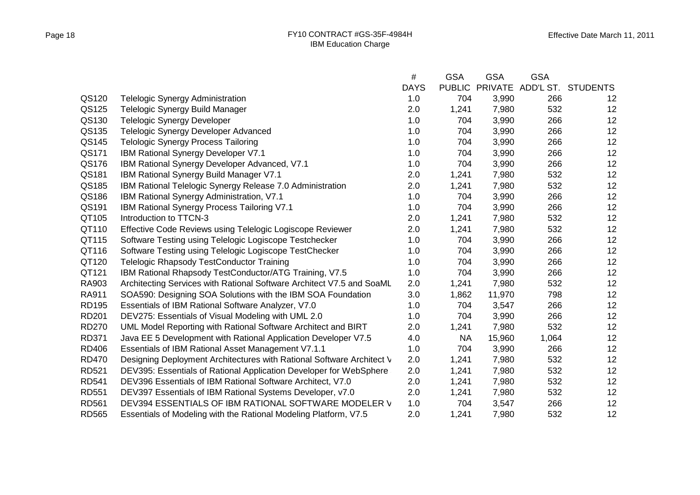|              |                                                                       | $\#$        | <b>GSA</b>    | <b>GSA</b>     | <b>GSA</b> |                    |
|--------------|-----------------------------------------------------------------------|-------------|---------------|----------------|------------|--------------------|
|              |                                                                       | <b>DAYS</b> | <b>PUBLIC</b> | <b>PRIVATE</b> |            | ADD'L ST. STUDENTS |
| QS120        | <b>Telelogic Synergy Administration</b>                               | 1.0         | 704           | 3,990          | 266        | 12 <sub>2</sub>    |
| QS125        | Telelogic Synergy Build Manager                                       | 2.0         | 1,241         | 7,980          | 532        | 12                 |
| QS130        | <b>Telelogic Synergy Developer</b>                                    | 1.0         | 704           | 3,990          | 266        | 12                 |
| QS135        | <b>Telelogic Synergy Developer Advanced</b>                           | 1.0         | 704           | 3,990          | 266        | 12                 |
| QS145        | <b>Telologic Synergy Process Tailoring</b>                            | 1.0         | 704           | 3,990          | 266        | 12                 |
| QS171        | IBM Rational Synergy Developer V7.1                                   | 1.0         | 704           | 3,990          | 266        | 12                 |
| QS176        | IBM Rational Synergy Developer Advanced, V7.1                         | 1.0         | 704           | 3,990          | 266        | 12                 |
| QS181        | IBM Rational Synergy Build Manager V7.1                               | 2.0         | 1,241         | 7,980          | 532        | 12                 |
| QS185        | IBM Rational Telelogic Synergy Release 7.0 Administration             | 2.0         | 1,241         | 7,980          | 532        | 12                 |
| QS186        | IBM Rational Synergy Administration, V7.1                             | 1.0         | 704           | 3,990          | 266        | 12                 |
| QS191        | <b>IBM Rational Synergy Process Tailoring V7.1</b>                    | 1.0         | 704           | 3,990          | 266        | 12                 |
| QT105        | Introduction to TTCN-3                                                | 2.0         | 1,241         | 7,980          | 532        | 12                 |
| QT110        | Effective Code Reviews using Telelogic Logiscope Reviewer             | 2.0         | 1,241         | 7,980          | 532        | 12                 |
| QT115        | Software Testing using Telelogic Logiscope Testchecker                | 1.0         | 704           | 3,990          | 266        | 12                 |
| QT116        | Software Testing using Telelogic Logiscope TestChecker                | 1.0         | 704           | 3,990          | 266        | 12                 |
| QT120        | <b>Telelogic Rhapsody TestConductor Training</b>                      | 1.0         | 704           | 3,990          | 266        | 12                 |
| QT121        | IBM Rational Rhapsody TestConductor/ATG Training, V7.5                | 1.0         | 704           | 3,990          | 266        | 12                 |
| RA903        | Architecting Services with Rational Software Architect V7.5 and SoaML | 2.0         | 1,241         | 7,980          | 532        | 12                 |
| RA911        | SOA590: Designing SOA Solutions with the IBM SOA Foundation           | 3.0         | 1,862         | 11,970         | 798        | 12                 |
| <b>RD195</b> | Essentials of IBM Rational Software Analyzer, V7.0                    | 1.0         | 704           | 3,547          | 266        | 12                 |
| <b>RD201</b> | DEV275: Essentials of Visual Modeling with UML 2.0                    | 1.0         | 704           | 3,990          | 266        | 12                 |
| <b>RD270</b> | UML Model Reporting with Rational Software Architect and BIRT         | 2.0         | 1,241         | 7,980          | 532        | 12                 |
| <b>RD371</b> | Java EE 5 Development with Rational Application Developer V7.5        | 4.0         | <b>NA</b>     | 15,960         | 1,064      | 12                 |
| <b>RD406</b> | Essentials of IBM Rational Asset Management V7.1.1                    | 1.0         | 704           | 3,990          | 266        | 12                 |
| <b>RD470</b> | Designing Deployment Architectures with Rational Software Architect V | 2.0         | 1,241         | 7,980          | 532        | 12                 |
| <b>RD521</b> | DEV395: Essentials of Rational Application Developer for WebSphere    | 2.0         | 1,241         | 7,980          | 532        | 12                 |
| <b>RD541</b> | DEV396 Essentials of IBM Rational Software Architect, V7.0            | 2.0         | 1,241         | 7,980          | 532        | 12                 |
| <b>RD551</b> | DEV397 Essentials of IBM Rational Systems Developer, v7.0             | 2.0         | 1,241         | 7,980          | 532        | 12                 |
| <b>RD561</b> | DEV394 ESSENTIALS OF IBM RATIONAL SOFTWARE MODELER V                  | 1.0         | 704           | 3,547          | 266        | 12                 |
| <b>RD565</b> | Essentials of Modeling with the Rational Modeling Platform, V7.5      | 2.0         | 1,241         | 7,980          | 532        | 12                 |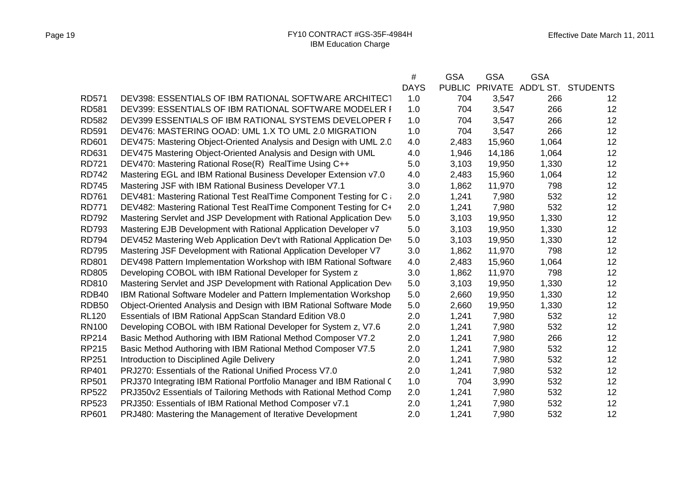|              |                                                                      | $\#$        | <b>GSA</b> | <b>GSA</b> | <b>GSA</b> |                                   |
|--------------|----------------------------------------------------------------------|-------------|------------|------------|------------|-----------------------------------|
|              |                                                                      | <b>DAYS</b> |            |            |            | PUBLIC PRIVATE ADD'L ST. STUDENTS |
| <b>RD571</b> | DEV398: ESSENTIALS OF IBM RATIONAL SOFTWARE ARCHITECT                | 1.0         | 704        | 3,547      | 266        | 12                                |
| <b>RD581</b> | DEV399: ESSENTIALS OF IBM RATIONAL SOFTWARE MODELER I                | 1.0         | 704        | 3,547      | 266        | 12                                |
| <b>RD582</b> | DEV399 ESSENTIALS OF IBM RATIONAL SYSTEMS DEVELOPER F                | 1.0         | 704        | 3,547      | 266        | 12                                |
| <b>RD591</b> | DEV476: MASTERING OOAD: UML 1.X TO UML 2.0 MIGRATION                 | 1.0         | 704        | 3,547      | 266        | 12                                |
| <b>RD601</b> | DEV475: Mastering Object-Oriented Analysis and Design with UML 2.0   | 4.0         | 2,483      | 15,960     | 1,064      | 12                                |
| RD631        | DEV475 Mastering Object-Oriented Analysis and Design with UML        | 4.0         | 1,946      | 14,186     | 1,064      | 12                                |
| <b>RD721</b> | DEV470: Mastering Rational Rose(R) RealTime Using C++                | 5.0         | 3,103      | 19,950     | 1,330      | 12                                |
| <b>RD742</b> | Mastering EGL and IBM Rational Business Developer Extension v7.0     | 4.0         | 2,483      | 15,960     | 1,064      | 12                                |
| <b>RD745</b> | Mastering JSF with IBM Rational Business Developer V7.1              | 3.0         | 1,862      | 11,970     | 798        | 12                                |
| <b>RD761</b> | DEV481: Mastering Rational Test RealTime Component Testing for C and | 2.0         | 1,241      | 7,980      | 532        | 12                                |
| <b>RD771</b> | DEV482: Mastering Rational Test RealTime Component Testing for C+    | 2.0         | 1,241      | 7,980      | 532        | 12                                |
| <b>RD792</b> | Mastering Servlet and JSP Development with Rational Application Devi | 5.0         | 3,103      | 19,950     | 1,330      | 12                                |
| <b>RD793</b> | Mastering EJB Development with Rational Application Developer v7     | 5.0         | 3,103      | 19,950     | 1,330      | 12                                |
| <b>RD794</b> | DEV452 Mastering Web Application Dev't with Rational Application Dev | 5.0         | 3,103      | 19,950     | 1,330      | 12                                |
| <b>RD795</b> | Mastering JSF Development with Rational Application Developer V7     | 3.0         | 1,862      | 11,970     | 798        | 12                                |
| <b>RD801</b> | DEV498 Pattern Implementation Workshop with IBM Rational Software    | 4.0         | 2,483      | 15,960     | 1,064      | 12                                |
| <b>RD805</b> | Developing COBOL with IBM Rational Developer for System z            | 3.0         | 1,862      | 11,970     | 798        | 12                                |
| RD810        | Mastering Servlet and JSP Development with Rational Application Devi | 5.0         | 3,103      | 19,950     | 1,330      | 12                                |
| RDB40        | IBM Rational Software Modeler and Pattern Implementation Workshop    | 5.0         | 2,660      | 19,950     | 1,330      | 12                                |
| RDB50        | Object-Oriented Analysis and Design with IBM Rational Software Mode  | 5.0         | 2,660      | 19,950     | 1,330      | 12                                |
| <b>RL120</b> | Essentials of IBM Rational AppScan Standard Edition V8.0             | 2.0         | 1,241      | 7,980      | 532        | 12                                |
| <b>RN100</b> | Developing COBOL with IBM Rational Developer for System z, V7.6      | 2.0         | 1,241      | 7,980      | 532        | 12 <sup>2</sup>                   |
| RP214        | Basic Method Authoring with IBM Rational Method Composer V7.2        | 2.0         | 1,241      | 7,980      | 266        | 12                                |
| RP215        | Basic Method Authoring with IBM Rational Method Composer V7.5        | 2.0         | 1,241      | 7,980      | 532        | 12                                |
| RP251        | Introduction to Disciplined Agile Delivery                           | 2.0         | 1,241      | 7,980      | 532        | 12                                |
| RP401        | PRJ270: Essentials of the Rational Unified Process V7.0              | 2.0         | 1,241      | 7,980      | 532        | 12                                |
| <b>RP501</b> | PRJ370 Integrating IBM Rational Portfolio Manager and IBM Rational C | 1.0         | 704        | 3,990      | 532        | 12                                |
| <b>RP522</b> | PRJ350v2 Essentials of Tailoring Methods with Rational Method Comp   | 2.0         | 1,241      | 7,980      | 532        | 12                                |
| RP523        | PRJ350: Essentials of IBM Rational Method Composer v7.1              | 2.0         | 1,241      | 7,980      | 532        | 12                                |
| RP601        | PRJ480: Mastering the Management of Iterative Development            | 2.0         | 1,241      | 7,980      | 532        | 12                                |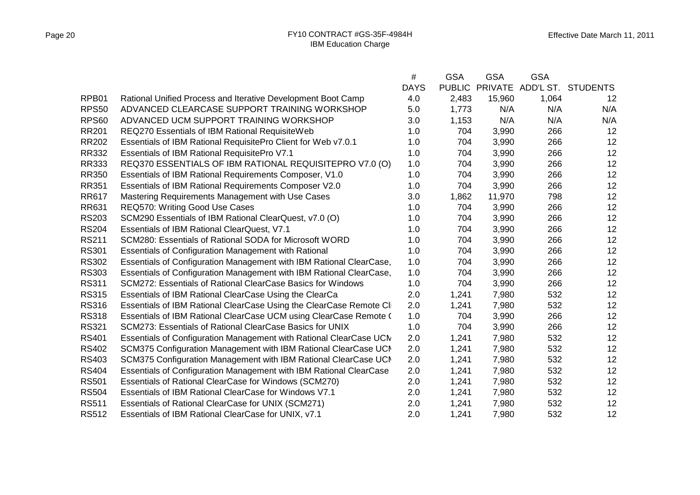|              |                                                                     | #           | <b>GSA</b>    | <b>GSA</b>     | <b>GSA</b> |                    |
|--------------|---------------------------------------------------------------------|-------------|---------------|----------------|------------|--------------------|
|              |                                                                     | <b>DAYS</b> | <b>PUBLIC</b> | <b>PRIVATE</b> |            | ADD'L ST. STUDENTS |
| RPB01        | Rational Unified Process and Iterative Development Boot Camp        | 4.0         | 2,483         | 15,960         | 1,064      | 12                 |
| <b>RPS50</b> | ADVANCED CLEARCASE SUPPORT TRAINING WORKSHOP                        | 5.0         | 1,773         | N/A            | N/A        | N/A                |
| <b>RPS60</b> | ADVANCED UCM SUPPORT TRAINING WORKSHOP                              | 3.0         | 1,153         | N/A            | N/A        | N/A                |
| <b>RR201</b> | REQ270 Essentials of IBM Rational RequisiteWeb                      | 1.0         | 704           | 3,990          | 266        | 12                 |
| <b>RR202</b> | Essentials of IBM Rational RequisitePro Client for Web v7.0.1       | 1.0         | 704           | 3,990          | 266        | 12                 |
| RR332        | Essentials of IBM Rational RequisitePro V7.1                        | 1.0         | 704           | 3,990          | 266        | 12                 |
| RR333        | REQ370 ESSENTIALS OF IBM RATIONAL REQUISITEPRO V7.0 (O)             | 1.0         | 704           | 3,990          | 266        | 12                 |
| <b>RR350</b> | Essentials of IBM Rational Requirements Composer, V1.0              | 1.0         | 704           | 3,990          | 266        | 12                 |
| <b>RR351</b> | Essentials of IBM Rational Requirements Composer V2.0               | 1.0         | 704           | 3,990          | 266        | 12                 |
| <b>RR617</b> | Mastering Requirements Management with Use Cases                    | 3.0         | 1,862         | 11,970         | 798        | 12                 |
| <b>RR631</b> | REQ570: Writing Good Use Cases                                      | 1.0         | 704           | 3,990          | 266        | 12                 |
| <b>RS203</b> | SCM290 Essentials of IBM Rational ClearQuest, v7.0 (O)              | 1.0         | 704           | 3,990          | 266        | 12                 |
| <b>RS204</b> | Essentials of IBM Rational ClearQuest, V7.1                         | 1.0         | 704           | 3,990          | 266        | 12                 |
| <b>RS211</b> | SCM280: Essentials of Rational SODA for Microsoft WORD              | 1.0         | 704           | 3,990          | 266        | 12                 |
| <b>RS301</b> | <b>Essentials of Configuration Management with Rational</b>         | 1.0         | 704           | 3,990          | 266        | 12                 |
| <b>RS302</b> | Essentials of Configuration Management with IBM Rational ClearCase, | 1.0         | 704           | 3,990          | 266        | 12                 |
| <b>RS303</b> | Essentials of Configuration Management with IBM Rational ClearCase, | 1.0         | 704           | 3,990          | 266        | 12                 |
| <b>RS311</b> | SCM272: Essentials of Rational ClearCase Basics for Windows         | 1.0         | 704           | 3,990          | 266        | 12                 |
| <b>RS315</b> | Essentials of IBM Rational ClearCase Using the ClearCa              | 2.0         | 1,241         | 7,980          | 532        | 12                 |
| <b>RS316</b> | Essentials of IBM Rational ClearCase Using the ClearCase Remote Cli | 2.0         | 1,241         | 7,980          | 532        | 12                 |
| <b>RS318</b> | Essentials of IBM Rational ClearCase UCM using ClearCase Remote (   | 1.0         | 704           | 3,990          | 266        | 12                 |
| <b>RS321</b> | SCM273: Essentials of Rational ClearCase Basics for UNIX            | 1.0         | 704           | 3,990          | 266        | 12                 |
| <b>RS401</b> | Essentials of Configuration Management with Rational ClearCase UCN  | 2.0         | 1,241         | 7,980          | 532        | 12                 |
| <b>RS402</b> | SCM375 Configuration Management with IBM Rational ClearCase UCM     | 2.0         | 1,241         | 7,980          | 532        | 12                 |
| <b>RS403</b> | SCM375 Configuration Management with IBM Rational ClearCase UCM     | 2.0         | 1,241         | 7,980          | 532        | 12                 |
| <b>RS404</b> | Essentials of Configuration Management with IBM Rational ClearCase  | 2.0         | 1,241         | 7,980          | 532        | 12                 |
| <b>RS501</b> | Essentials of Rational ClearCase for Windows (SCM270)               | 2.0         | 1,241         | 7,980          | 532        | 12                 |
| <b>RS504</b> | Essentials of IBM Rational ClearCase for Windows V7.1               | 2.0         | 1,241         | 7,980          | 532        | 12                 |
| <b>RS511</b> | Essentials of Rational ClearCase for UNIX (SCM271)                  | 2.0         | 1,241         | 7,980          | 532        | 12                 |
| <b>RS512</b> | Essentials of IBM Rational ClearCase for UNIX, v7.1                 | 2.0         | 1,241         | 7,980          | 532        | 12                 |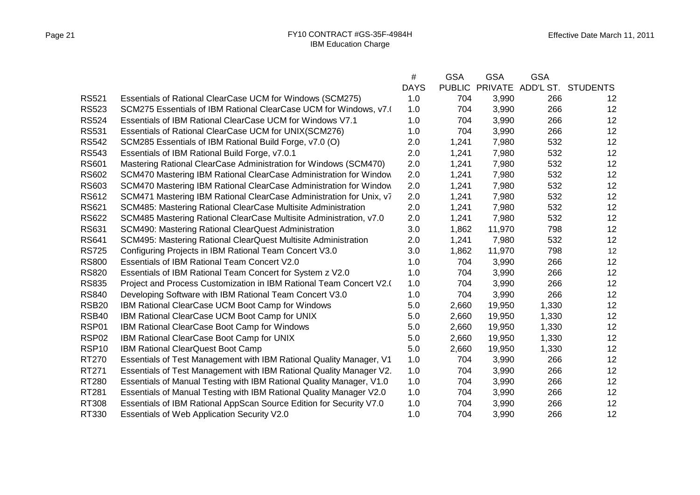|                   |                                                                      | $\#$        | <b>GSA</b> | <b>GSA</b>     | <b>GSA</b> |                    |
|-------------------|----------------------------------------------------------------------|-------------|------------|----------------|------------|--------------------|
|                   |                                                                      | <b>DAYS</b> |            | PUBLIC PRIVATE |            | ADD'L ST. STUDENTS |
| <b>RS521</b>      | Essentials of Rational ClearCase UCM for Windows (SCM275)            | 1.0         | 704        | 3,990          | 266        | 12                 |
| <b>RS523</b>      | SCM275 Essentials of IBM Rational ClearCase UCM for Windows, v7.(    | 1.0         | 704        | 3,990          | 266        | 12                 |
| <b>RS524</b>      | Essentials of IBM Rational ClearCase UCM for Windows V7.1            | 1.0         | 704        | 3,990          | 266        | 12                 |
| <b>RS531</b>      | Essentials of Rational ClearCase UCM for UNIX(SCM276)                | 1.0         | 704        | 3,990          | 266        | 12                 |
| <b>RS542</b>      | SCM285 Essentials of IBM Rational Build Forge, v7.0 (O)              | 2.0         | 1,241      | 7,980          | 532        | 12                 |
| <b>RS543</b>      | Essentials of IBM Rational Build Forge, v7.0.1                       | 2.0         | 1,241      | 7,980          | 532        | 12                 |
| <b>RS601</b>      | Mastering Rational ClearCase Administration for Windows (SCM470)     | 2.0         | 1,241      | 7,980          | 532        | 12                 |
| <b>RS602</b>      | SCM470 Mastering IBM Rational ClearCase Administration for Window    | 2.0         | 1,241      | 7,980          | 532        | 12                 |
| <b>RS603</b>      | SCM470 Mastering IBM Rational ClearCase Administration for Window    | 2.0         | 1,241      | 7,980          | 532        | 12                 |
| <b>RS612</b>      | SCM471 Mastering IBM Rational ClearCase Administration for Unix, v7  | 2.0         | 1,241      | 7,980          | 532        | 12                 |
| <b>RS621</b>      | SCM485: Mastering Rational ClearCase Multisite Administration        | 2.0         | 1,241      | 7,980          | 532        | 12                 |
| <b>RS622</b>      | SCM485 Mastering Rational ClearCase Multisite Administration, v7.0   | 2.0         | 1,241      | 7,980          | 532        | 12                 |
| <b>RS631</b>      | <b>SCM490: Mastering Rational ClearQuest Administration</b>          | 3.0         | 1,862      | 11,970         | 798        | 12                 |
| <b>RS641</b>      | SCM495: Mastering Rational ClearQuest Multisite Administration       | 2.0         | 1,241      | 7,980          | 532        | 12                 |
| <b>RS725</b>      | Configuring Projects in IBM Rational Team Concert V3.0               | 3.0         | 1,862      | 11,970         | 798        | 12                 |
| <b>RS800</b>      | <b>Essentials of IBM Rational Team Concert V2.0</b>                  | 1.0         | 704        | 3,990          | 266        | 12                 |
| <b>RS820</b>      | Essentials of IBM Rational Team Concert for System z V2.0            | 1.0         | 704        | 3,990          | 266        | 12                 |
| <b>RS835</b>      | Project and Process Customization in IBM Rational Team Concert V2.(  | 1.0         | 704        | 3,990          | 266        | 12                 |
| <b>RS840</b>      | Developing Software with IBM Rational Team Concert V3.0              | 1.0         | 704        | 3,990          | 266        | 12                 |
| <b>RSB20</b>      | IBM Rational ClearCase UCM Boot Camp for Windows                     | 5.0         | 2,660      | 19,950         | 1,330      | 12                 |
| <b>RSB40</b>      | <b>IBM Rational ClearCase UCM Boot Camp for UNIX</b>                 | 5.0         | 2,660      | 19,950         | 1,330      | 12                 |
| RSP01             | IBM Rational ClearCase Boot Camp for Windows                         | 5.0         | 2,660      | 19,950         | 1,330      | 12                 |
| RSP02             | IBM Rational ClearCase Boot Camp for UNIX                            | 5.0         | 2,660      | 19,950         | 1,330      | 12                 |
| RSP <sub>10</sub> | <b>IBM Rational ClearQuest Boot Camp</b>                             | 5.0         | 2,660      | 19,950         | 1,330      | 12                 |
| RT270             | Essentials of Test Management with IBM Rational Quality Manager, V1  | 1.0         | 704        | 3,990          | 266        | 12                 |
| RT271             | Essentials of Test Management with IBM Rational Quality Manager V2.  | 1.0         | 704        | 3,990          | 266        | 12                 |
| RT280             | Essentials of Manual Testing with IBM Rational Quality Manager, V1.0 | 1.0         | 704        | 3,990          | 266        | 12                 |
| RT281             | Essentials of Manual Testing with IBM Rational Quality Manager V2.0  | 1.0         | 704        | 3,990          | 266        | 12                 |
| RT308             | Essentials of IBM Rational AppScan Source Edition for Security V7.0  | 1.0         | 704        | 3,990          | 266        | 12                 |
| RT330             | Essentials of Web Application Security V2.0                          | 1.0         | 704        | 3,990          | 266        | 12                 |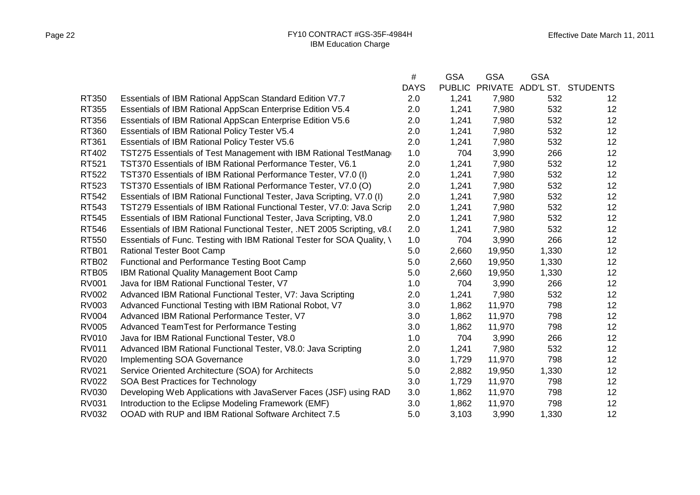|              |                                                                         | $\#$        | <b>GSA</b>    | <b>GSA</b> | <b>GSA</b> |                            |
|--------------|-------------------------------------------------------------------------|-------------|---------------|------------|------------|----------------------------|
|              |                                                                         | <b>DAYS</b> | <b>PUBLIC</b> |            |            | PRIVATE ADD'L ST. STUDENTS |
| RT350        | Essentials of IBM Rational AppScan Standard Edition V7.7                | 2.0         | 1,241         | 7,980      | 532        | 12                         |
| RT355        | Essentials of IBM Rational AppScan Enterprise Edition V5.4              | 2.0         | 1,241         | 7,980      | 532        | 12                         |
| RT356        | Essentials of IBM Rational AppScan Enterprise Edition V5.6              | 2.0         | 1,241         | 7,980      | 532        | 12                         |
| RT360        | Essentials of IBM Rational Policy Tester V5.4                           | 2.0         | 1,241         | 7,980      | 532        | 12                         |
| RT361        | <b>Essentials of IBM Rational Policy Tester V5.6</b>                    | 2.0         | 1,241         | 7,980      | 532        | 12                         |
| RT402        | TST275 Essentials of Test Management with IBM Rational TestManage       | 1.0         | 704           | 3,990      | 266        | 12                         |
| RT521        | TST370 Essentials of IBM Rational Performance Tester, V6.1              | 2.0         | 1,241         | 7,980      | 532        | 12                         |
| RT522        | TST370 Essentials of IBM Rational Performance Tester, V7.0 (I)          | 2.0         | 1,241         | 7,980      | 532        | 12                         |
| RT523        | TST370 Essentials of IBM Rational Performance Tester, V7.0 (O)          | 2.0         | 1,241         | 7,980      | 532        | 12                         |
| RT542        | Essentials of IBM Rational Functional Tester, Java Scripting, V7.0 (I)  | 2.0         | 1,241         | 7,980      | 532        | 12                         |
| RT543        | TST279 Essentials of IBM Rational Functional Tester, V7.0: Java Scrip   | 2.0         | 1,241         | 7,980      | 532        | 12                         |
| RT545        | Essentials of IBM Rational Functional Tester, Java Scripting, V8.0      | 2.0         | 1,241         | 7,980      | 532        | 12                         |
| RT546        | Essentials of IBM Rational Functional Tester, .NET 2005 Scripting, v8.( | 2.0         | 1,241         | 7,980      | 532        | 12                         |
| RT550        | Essentials of Func. Testing with IBM Rational Tester for SOA Quality, \ | 1.0         | 704           | 3,990      | 266        | 12                         |
| RTB01        | <b>Rational Tester Boot Camp</b>                                        | 5.0         | 2,660         | 19,950     | 1,330      | 12                         |
| RTB02        | Functional and Performance Testing Boot Camp                            | 5.0         | 2,660         | 19,950     | 1,330      | 12                         |
| RTB05        | IBM Rational Quality Management Boot Camp                               | 5.0         | 2,660         | 19,950     | 1,330      | 12                         |
| <b>RV001</b> | Java for IBM Rational Functional Tester, V7                             | 1.0         | 704           | 3,990      | 266        | 12                         |
| <b>RV002</b> | Advanced IBM Rational Functional Tester, V7: Java Scripting             | 2.0         | 1,241         | 7,980      | 532        | 12                         |
| <b>RV003</b> | Advanced Functional Testing with IBM Rational Robot, V7                 | 3.0         | 1,862         | 11,970     | 798        | 12                         |
| <b>RV004</b> | Advanced IBM Rational Performance Tester, V7                            | 3.0         | 1,862         | 11,970     | 798        | 12                         |
| <b>RV005</b> | Advanced TeamTest for Performance Testing                               | 3.0         | 1,862         | 11,970     | 798        | 12                         |
| <b>RV010</b> | Java for IBM Rational Functional Tester, V8.0                           | 1.0         | 704           | 3,990      | 266        | 12                         |
| <b>RV011</b> | Advanced IBM Rational Functional Tester, V8.0: Java Scripting           | 2.0         | 1,241         | 7,980      | 532        | 12                         |
| <b>RV020</b> | <b>Implementing SOA Governance</b>                                      | 3.0         | 1,729         | 11,970     | 798        | 12                         |
| <b>RV021</b> | Service Oriented Architecture (SOA) for Architects                      | 5.0         | 2,882         | 19,950     | 1,330      | 12                         |
| <b>RV022</b> | SOA Best Practices for Technology                                       | 3.0         | 1,729         | 11,970     | 798        | 12                         |
| <b>RV030</b> | Developing Web Applications with JavaServer Faces (JSF) using RAD       | 3.0         | 1,862         | 11,970     | 798        | 12                         |
| <b>RV031</b> | Introduction to the Eclipse Modeling Framework (EMF)                    | 3.0         | 1,862         | 11,970     | 798        | 12                         |
| <b>RV032</b> | OOAD with RUP and IBM Rational Software Architect 7.5                   | 5.0         | 3,103         | 3,990      | 1,330      | 12                         |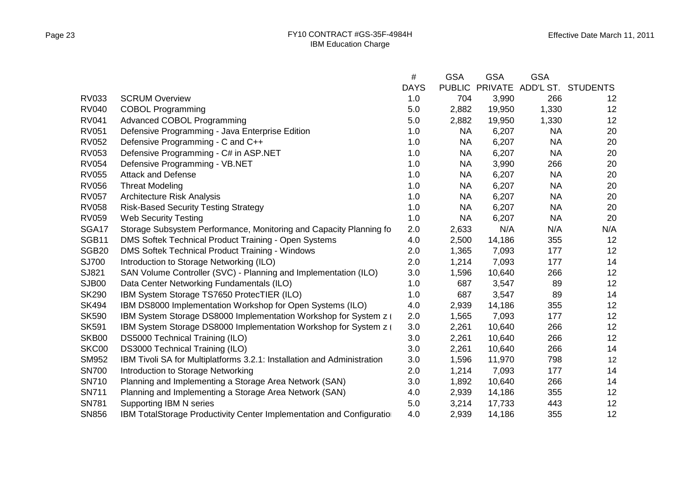|                   |                                                                         | $\#$        | <b>GSA</b>    | <b>GSA</b> | <b>GSA</b> |                 |
|-------------------|-------------------------------------------------------------------------|-------------|---------------|------------|------------|-----------------|
|                   |                                                                         | <b>DAYS</b> | <b>PUBLIC</b> | PRIVATE    | ADD'L ST.  | <b>STUDENTS</b> |
| <b>RV033</b>      | <b>SCRUM Overview</b>                                                   | 1.0         | 704           | 3,990      | 266        | $12 \,$         |
| <b>RV040</b>      | <b>COBOL Programming</b>                                                | 5.0         | 2,882         | 19,950     | 1,330      | 12              |
| <b>RV041</b>      | <b>Advanced COBOL Programming</b>                                       | 5.0         | 2,882         | 19,950     | 1,330      | 12              |
| <b>RV051</b>      | Defensive Programming - Java Enterprise Edition                         | 1.0         | <b>NA</b>     | 6,207      | <b>NA</b>  | 20              |
| <b>RV052</b>      | Defensive Programming - C and C++                                       | 1.0         | <b>NA</b>     | 6,207      | <b>NA</b>  | 20              |
| <b>RV053</b>      | Defensive Programming - C# in ASP.NET                                   | 1.0         | <b>NA</b>     | 6,207      | <b>NA</b>  | 20              |
| <b>RV054</b>      | Defensive Programming - VB.NET                                          | 1.0         | <b>NA</b>     | 3,990      | 266        | 20              |
| <b>RV055</b>      | <b>Attack and Defense</b>                                               | 1.0         | <b>NA</b>     | 6,207      | <b>NA</b>  | 20              |
| <b>RV056</b>      | <b>Threat Modeling</b>                                                  | 1.0         | <b>NA</b>     | 6,207      | <b>NA</b>  | 20              |
| <b>RV057</b>      | <b>Architecture Risk Analysis</b>                                       | 1.0         | <b>NA</b>     | 6,207      | <b>NA</b>  | 20              |
| <b>RV058</b>      | <b>Risk-Based Security Testing Strategy</b>                             | 1.0         | <b>NA</b>     | 6,207      | <b>NA</b>  | 20              |
| <b>RV059</b>      | <b>Web Security Testing</b>                                             | 1.0         | <b>NA</b>     | 6,207      | <b>NA</b>  | 20              |
| SGA17             | Storage Subsystem Performance, Monitoring and Capacity Planning fo      | 2.0         | 2,633         | N/A        | N/A        | N/A             |
| SGB11             | DMS Softek Technical Product Training - Open Systems                    | 4.0         | 2,500         | 14,186     | 355        | 12              |
| SGB <sub>20</sub> | DMS Softek Technical Product Training - Windows                         | 2.0         | 1,365         | 7,093      | 177        | 12              |
| SJ700             | Introduction to Storage Networking (ILO)                                | 2.0         | 1,214         | 7,093      | 177        | 14              |
| SJ821             | SAN Volume Controller (SVC) - Planning and Implementation (ILO)         | 3.0         | 1,596         | 10,640     | 266        | 12              |
| <b>SJB00</b>      | Data Center Networking Fundamentals (ILO)                               | 1.0         | 687           | 3,547      | 89         | 12              |
| <b>SK290</b>      | IBM System Storage TS7650 ProtecTIER (ILO)                              | 1.0         | 687           | 3,547      | 89         | 14              |
| <b>SK494</b>      | IBM DS8000 Implementation Workshop for Open Systems (ILO)               | 4.0         | 2,939         | 14,186     | 355        | 12              |
| <b>SK590</b>      | IBM System Storage DS8000 Implementation Workshop for System z (        | 2.0         | 1,565         | 7,093      | 177        | 12              |
| <b>SK591</b>      | IBM System Storage DS8000 Implementation Workshop for System z          | 3.0         | 2,261         | 10,640     | 266        | 12              |
| SKB00             | DS5000 Technical Training (ILO)                                         | 3.0         | 2,261         | 10,640     | 266        | 12              |
| SKC00             | DS3000 Technical Training (ILO)                                         | 3.0         | 2,261         | 10,640     | 266        | 14              |
| SM952             | IBM Tivoli SA for Multiplatforms 3.2.1: Installation and Administration | 3.0         | 1,596         | 11,970     | 798        | 12              |
| <b>SN700</b>      | Introduction to Storage Networking                                      | 2.0         | 1,214         | 7,093      | 177        | 14              |
| <b>SN710</b>      | Planning and Implementing a Storage Area Network (SAN)                  | 3.0         | 1,892         | 10,640     | 266        | 14              |
| <b>SN711</b>      | Planning and Implementing a Storage Area Network (SAN)                  | 4.0         | 2,939         | 14,186     | 355        | 12              |
| <b>SN781</b>      | Supporting IBM N series                                                 | 5.0         | 3,214         | 17,733     | 443        | 12              |
| <b>SN856</b>      | IBM TotalStorage Productivity Center Implementation and Configuration   | 4.0         | 2,939         | 14,186     | 355        | 12              |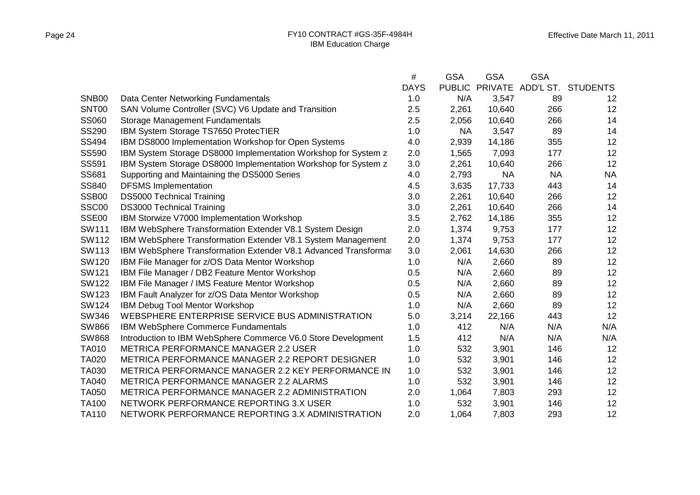|                   |                                                                 | #           | <b>GSA</b>    | <b>GSA</b> | <b>GSA</b>        |                   |
|-------------------|-----------------------------------------------------------------|-------------|---------------|------------|-------------------|-------------------|
|                   |                                                                 | <b>DAYS</b> | <b>PUBLIC</b> |            | PRIVATE ADD'L ST. | <b>STUDENTS</b>   |
| SNB <sub>00</sub> | Data Center Networking Fundamentals                             | 1.0         | N/A           | 3,547      | 89                | 12                |
| <b>SNT00</b>      | SAN Volume Controller (SVC) V6 Update and Transition            | 2.5         | 2,261         | 10,640     | 266               | 12                |
| <b>SS060</b>      | Storage Management Fundamentals                                 | 2.5         | 2,056         | 10,640     | 266               | 14                |
| <b>SS290</b>      | IBM System Storage TS7650 ProtecTIER                            | 1.0         | NA            | 3,547      | 89                | 14                |
| SS494             | IBM DS8000 Implementation Workshop for Open Systems             | 4.0         | 2,939         | 14,186     | 355               | 12                |
| SS590             | IBM System Storage DS8000 Implementation Workshop for System z  | 2.0         | 1,565         | 7,093      | 177               | 12                |
| SS591             | IBM System Storage DS8000 Implementation Workshop for System z  | 3.0         | 2,261         | 10,640     | 266               | 12                |
| SS681             | Supporting and Maintaining the DS5000 Series                    | 4.0         | 2,793         | <b>NA</b>  | <b>NA</b>         | <b>NA</b>         |
| SS840             | <b>DFSMS Implementation</b>                                     | 4.5         | 3,635         | 17,733     | 443               | 14                |
| SSB00             | <b>DS5000 Technical Training</b>                                | 3.0         | 2,261         | 10,640     | 266               | $12 \overline{ }$ |
| SSC00             | <b>DS3000 Technical Training</b>                                | 3.0         | 2,261         | 10,640     | 266               | 14                |
| SSE00             | IBM Storwize V7000 Implementation Workshop                      | 3.5         | 2,762         | 14,186     | 355               | 12                |
| <b>SW111</b>      | IBM WebSphere Transformation Extender V8.1 System Design        | 2.0         | 1,374         | 9,753      | 177               | 12                |
| <b>SW112</b>      | IBM WebSphere Transformation Extender V8.1 System Management    | 2.0         | 1,374         | 9,753      | 177               | 12                |
| <b>SW113</b>      | IBM WebSphere Transformation Extender V8.1 Advanced Transformat | 3.0         | 2,061         | 14,630     | 266               | 12                |
| <b>SW120</b>      | IBM File Manager for z/OS Data Mentor Workshop                  | 1.0         | N/A           | 2,660      | 89                | 12                |
| SW121             | IBM File Manager / DB2 Feature Mentor Workshop                  | 0.5         | N/A           | 2,660      | 89                | 12                |
| <b>SW122</b>      | IBM File Manager / IMS Feature Mentor Workshop                  | 0.5         | N/A           | 2,660      | 89                | 12                |
| <b>SW123</b>      | <b>IBM Fault Analyzer for z/OS Data Mentor Workshop</b>         | 0.5         | N/A           | 2,660      | 89                | 12                |
| <b>SW124</b>      | IBM Debug Tool Mentor Workshop                                  | 1.0         | N/A           | 2,660      | 89                | 12                |
| <b>SW346</b>      | WEBSPHERE ENTERPRISE SERVICE BUS ADMINISTRATION                 | 5.0         | 3,214         | 22,166     | 443               | 12                |
| <b>SW866</b>      | IBM WebSphere Commerce Fundamentals                             | 1.0         | 412           | N/A        | N/A               | N/A               |
| <b>SW868</b>      | Introduction to IBM WebSphere Commerce V6.0 Store Development   | 1.5         | 412           | N/A        | N/A               | N/A               |
| TA010             | <b>METRICA PERFORMANCE MANAGER 2.2 USER</b>                     | 1.0         | 532           | 3,901      | 146               | 12                |
| <b>TA020</b>      | <b>METRICA PERFORMANCE MANAGER 2.2 REPORT DESIGNER</b>          | 1.0         | 532           | 3,901      | 146               | 12                |
| TA030             | METRICA PERFORMANCE MANAGER 2.2 KEY PERFORMANCE IN              | 1.0         | 532           | 3,901      | 146               | 12                |
| <b>TA040</b>      | <b>METRICA PERFORMANCE MANAGER 2.2 ALARMS</b>                   | 1.0         | 532           | 3,901      | 146               | 12                |
| <b>TA050</b>      | <b>METRICA PERFORMANCE MANAGER 2.2 ADMINISTRATION</b>           | 2.0         | 1,064         | 7,803      | 293               | 12                |
| <b>TA100</b>      | NETWORK PERFORMANCE REPORTING 3.X USER                          | 1.0         | 532           | 3,901      | 146               | 12                |
| <b>TA110</b>      | NETWORK PERFORMANCE REPORTING 3.X ADMINISTRATION                | 2.0         | 1,064         | 7,803      | 293               | 12                |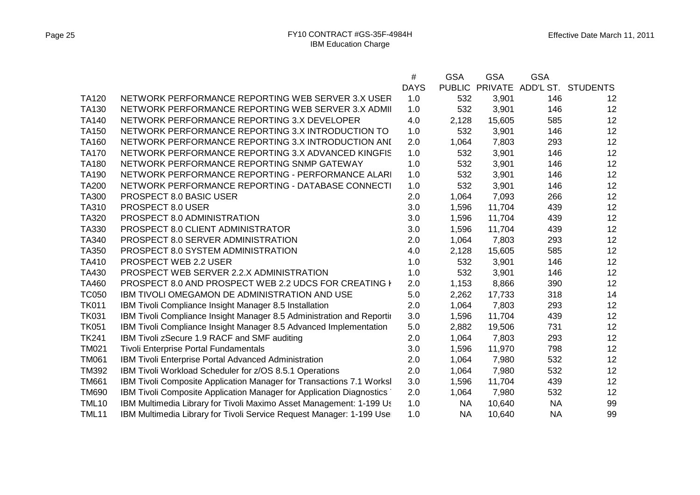|              |                                                                       | $\#$        | <b>GSA</b>    | <b>GSA</b>     | <b>GSA</b> |                    |
|--------------|-----------------------------------------------------------------------|-------------|---------------|----------------|------------|--------------------|
|              |                                                                       | <b>DAYS</b> | <b>PUBLIC</b> | <b>PRIVATE</b> |            | ADD'L ST. STUDENTS |
| TA120        | NETWORK PERFORMANCE REPORTING WEB SERVER 3.X USER                     | 1.0         | 532           | 3,901          | 146        | 12                 |
| TA130        | NETWORK PERFORMANCE REPORTING WEB SERVER 3.X ADMII                    | 1.0         | 532           | 3,901          | 146        | 12                 |
| <b>TA140</b> | NETWORK PERFORMANCE REPORTING 3.X DEVELOPER                           | 4.0         | 2,128         | 15,605         | 585        | 12                 |
| TA150        | NETWORK PERFORMANCE REPORTING 3.X INTRODUCTION TO                     | 1.0         | 532           | 3,901          | 146        | 12                 |
| TA160        | NETWORK PERFORMANCE REPORTING 3.X INTRODUCTION ANI                    | 2.0         | 1,064         | 7,803          | 293        | 12                 |
| <b>TA170</b> | NETWORK PERFORMANCE REPORTING 3.X ADVANCED KINGFIS                    | 1.0         | 532           | 3,901          | 146        | 12                 |
| <b>TA180</b> | NETWORK PERFORMANCE REPORTING SNMP GATEWAY                            | 1.0         | 532           | 3,901          | 146        | 12                 |
| TA190        | NETWORK PERFORMANCE REPORTING - PERFORMANCE ALARI                     | 1.0         | 532           | 3,901          | 146        | 12                 |
| <b>TA200</b> | NETWORK PERFORMANCE REPORTING - DATABASE CONNECTI                     | 1.0         | 532           | 3,901          | 146        | 12                 |
| TA300        | PROSPECT 8.0 BASIC USER                                               | 2.0         | 1,064         | 7,093          | 266        | 12                 |
| TA310        | PROSPECT 8.0 USER                                                     | 3.0         | 1,596         | 11,704         | 439        | 12                 |
| TA320        | PROSPECT 8.0 ADMINISTRATION                                           | 3.0         | 1,596         | 11,704         | 439        | 12                 |
| TA330        | PROSPECT 8.0 CLIENT ADMINISTRATOR                                     | 3.0         | 1,596         | 11,704         | 439        | 12                 |
| TA340        | PROSPECT 8.0 SERVER ADMINISTRATION                                    | 2.0         | 1,064         | 7,803          | 293        | 12                 |
| TA350        | PROSPECT 8.0 SYSTEM ADMINISTRATION                                    | 4.0         | 2,128         | 15,605         | 585        | 12                 |
| TA410        | PROSPECT WEB 2.2 USER                                                 | 1.0         | 532           | 3,901          | 146        | 12                 |
| TA430        | PROSPECT WEB SERVER 2.2.X ADMINISTRATION                              | 1.0         | 532           | 3,901          | 146        | 12                 |
| TA460        | <b>PROSPECT 8.0 AND PROSPECT WEB 2.2 UDCS FOR CREATING F</b>          | 2.0         | 1,153         | 8,866          | 390        | 12                 |
| <b>TC050</b> | IBM TIVOLI OMEGAMON DE ADMINISTRATION AND USE                         | 5.0         | 2,262         | 17,733         | 318        | 14                 |
| <b>TK011</b> | IBM Tivoli Compliance Insight Manager 8.5 Installation                | 2.0         | 1,064         | 7,803          | 293        | 12                 |
| <b>TK031</b> | IBM Tivoli Compliance Insight Manager 8.5 Administration and Reportin | 3.0         | 1,596         | 11,704         | 439        | 12                 |
| <b>TK051</b> | IBM Tivoli Compliance Insight Manager 8.5 Advanced Implementation     | 5.0         | 2,882         | 19,506         | 731        | 12                 |
| <b>TK241</b> | IBM Tivoli zSecure 1.9 RACF and SMF auditing                          | 2.0         | 1,064         | 7,803          | 293        | 12                 |
| <b>TM021</b> | <b>Tivoli Enterprise Portal Fundamentals</b>                          | 3.0         | 1,596         | 11,970         | 798        | 12                 |
| <b>TM061</b> | IBM Tivoli Enterprise Portal Advanced Administration                  | 2.0         | 1,064         | 7,980          | 532        | 12                 |
| <b>TM392</b> | IBM Tivoli Workload Scheduler for z/OS 8.5.1 Operations               | 2.0         | 1,064         | 7,980          | 532        | 12                 |
| <b>TM661</b> | IBM Tivoli Composite Application Manager for Transactions 7.1 Worksl  | 3.0         | 1,596         | 11,704         | 439        | 12                 |
| <b>TM690</b> | IBM Tivoli Composite Application Manager for Application Diagnostics  | 2.0         | 1,064         | 7,980          | 532        | 12                 |
| <b>TML10</b> | IBM Multimedia Library for Tivoli Maximo Asset Management: 1-199 Us   | 1.0         | <b>NA</b>     | 10,640         | <b>NA</b>  | 99                 |
| TML11        | IBM Multimedia Library for Tivoli Service Request Manager: 1-199 Use  | 1.0         | <b>NA</b>     | 10,640         | <b>NA</b>  | 99                 |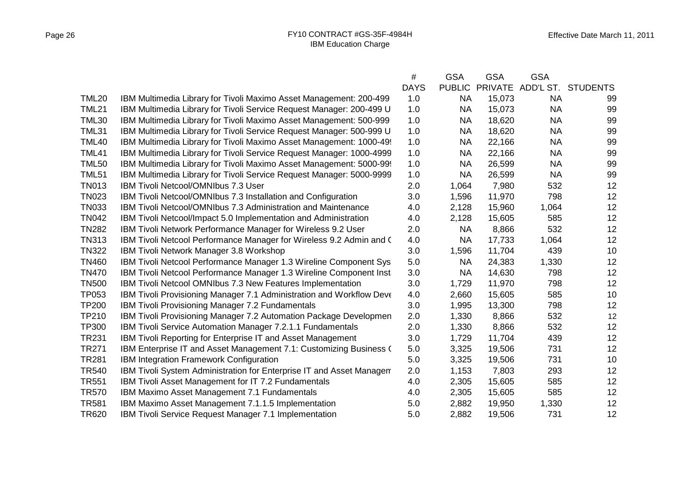|              |                                                                             | $\#$        | <b>GSA</b>    | <b>GSA</b>     | <b>GSA</b> |                 |
|--------------|-----------------------------------------------------------------------------|-------------|---------------|----------------|------------|-----------------|
|              |                                                                             | <b>DAYS</b> | <b>PUBLIC</b> | <b>PRIVATE</b> | ADD'L ST.  | <b>STUDENTS</b> |
| <b>TML20</b> | IBM Multimedia Library for Tivoli Maximo Asset Management: 200-499          | 1.0         | <b>NA</b>     | 15,073         | <b>NA</b>  | 99              |
| <b>TML21</b> | IBM Multimedia Library for Tivoli Service Request Manager: 200-499 U        | 1.0         | <b>NA</b>     | 15,073         | <b>NA</b>  | 99              |
| <b>TML30</b> | IBM Multimedia Library for Tivoli Maximo Asset Management: 500-999          | 1.0         | <b>NA</b>     | 18,620         | <b>NA</b>  | 99              |
| <b>TML31</b> | IBM Multimedia Library for Tivoli Service Request Manager: 500-999 U        | 1.0         | <b>NA</b>     | 18,620         | <b>NA</b>  | 99              |
| <b>TML40</b> | IBM Multimedia Library for Tivoli Maximo Asset Management: 1000-499         | 1.0         | <b>NA</b>     | 22,166         | <b>NA</b>  | 99              |
| <b>TML41</b> | IBM Multimedia Library for Tivoli Service Request Manager: 1000-4999        | 1.0         | <b>NA</b>     | 22,166         | <b>NA</b>  | 99              |
| <b>TML50</b> | IBM Multimedia Library for Tivoli Maximo Asset Management: 5000-99.         | 1.0         | <b>NA</b>     | 26,599         | <b>NA</b>  | 99              |
| <b>TML51</b> | IBM Multimedia Library for Tivoli Service Request Manager: 5000-9999        | 1.0         | <b>NA</b>     | 26,599         | <b>NA</b>  | 99              |
| <b>TN013</b> | <b>IBM Tivoli Netcool/OMNIbus 7.3 User</b>                                  | 2.0         | 1,064         | 7,980          | 532        | 12              |
| <b>TN023</b> | IBM Tivoli Netcool/OMNIbus 7.3 Installation and Configuration               | 3.0         | 1,596         | 11,970         | 798        | 12              |
| <b>TN033</b> | IBM Tivoli Netcool/OMNIbus 7.3 Administration and Maintenance               | 4.0         | 2,128         | 15,960         | 1,064      | 12              |
| <b>TN042</b> | IBM Tivoli Netcool/Impact 5.0 Implementation and Administration             | 4.0         | 2,128         | 15,605         | 585        | 12              |
| <b>TN282</b> | IBM Tivoli Network Performance Manager for Wireless 9.2 User                | 2.0         | <b>NA</b>     | 8,866          | 532        | 12              |
| <b>TN313</b> | IBM Tivoli Netcool Performance Manager for Wireless 9.2 Admin and C         | 4.0         | <b>NA</b>     | 17,733         | 1,064      | 12              |
| <b>TN322</b> | <b>IBM Tivoli Network Manager 3.8 Workshop</b>                              | 3.0         | 1,596         | 11,704         | 439        | 10              |
| <b>TN460</b> | IBM Tivoli Netcool Performance Manager 1.3 Wireline Component Sys           | 5.0         | <b>NA</b>     | 24,383         | 1,330      | 12              |
| <b>TN470</b> | IBM Tivoli Netcool Performance Manager 1.3 Wireline Component Inst          | 3.0         | <b>NA</b>     | 14,630         | 798        | 12              |
| <b>TN500</b> | IBM Tivoli Netcool OMNIbus 7.3 New Features Implementation                  | 3.0         | 1,729         | 11,970         | 798        | 12              |
| <b>TP053</b> | <b>IBM Tivoli Provisioning Manager 7.1 Administration and Workflow Deve</b> | 4.0         | 2,660         | 15,605         | 585        | 10              |
| <b>TP200</b> | <b>IBM Tivoli Provisioning Manager 7.2 Fundamentals</b>                     | 3.0         | 1,995         | 13,300         | 798        | 12              |
| TP210        | IBM Tivoli Provisioning Manager 7.2 Automation Package Developmen           | 2.0         | 1,330         | 8,866          | 532        | 12              |
| <b>TP300</b> | <b>IBM Tivoli Service Automation Manager 7.2.1.1 Fundamentals</b>           | 2.0         | 1,330         | 8,866          | 532        | 12              |
| <b>TR231</b> | IBM Tivoli Reporting for Enterprise IT and Asset Management                 | 3.0         | 1,729         | 11,704         | 439        | 12              |
| <b>TR271</b> | IBM Enterprise IT and Asset Management 7.1: Customizing Business (          | 5.0         | 3,325         | 19,506         | 731        | 12              |
| <b>TR281</b> | IBM Integration Framework Configuration                                     | 5.0         | 3,325         | 19,506         | 731        | 10              |
| <b>TR540</b> | IBM Tivoli System Administration for Enterprise IT and Asset Managem        | 2.0         | 1,153         | 7,803          | 293        | 12              |
| <b>TR551</b> | IBM Tivoli Asset Management for IT 7.2 Fundamentals                         | 4.0         | 2,305         | 15,605         | 585        | 12              |
| <b>TR570</b> | IBM Maximo Asset Management 7.1 Fundamentals                                | 4.0         | 2,305         | 15,605         | 585        | 12              |
| <b>TR581</b> | IBM Maximo Asset Management 7.1.1.5 Implementation                          | 5.0         | 2,882         | 19,950         | 1,330      | 12              |
| <b>TR620</b> | <b>IBM Tivoli Service Request Manager 7.1 Implementation</b>                | 5.0         | 2,882         | 19,506         | 731        | 12              |
|              |                                                                             |             |               |                |            |                 |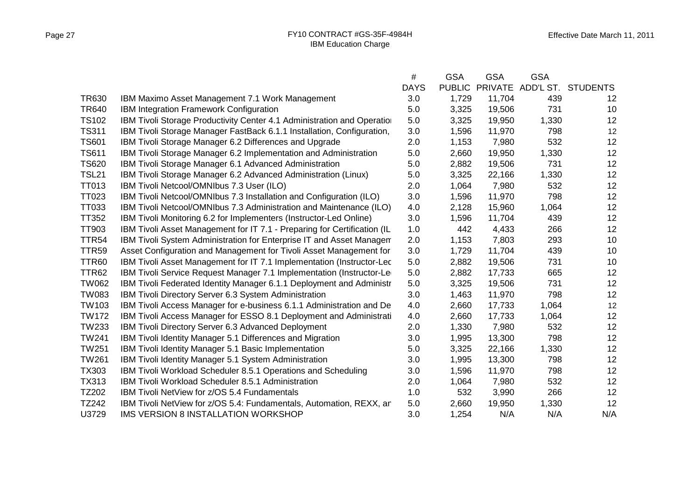|                   |                                                                                | #           | <b>GSA</b>    | GSA            | <b>GSA</b> |                    |
|-------------------|--------------------------------------------------------------------------------|-------------|---------------|----------------|------------|--------------------|
|                   |                                                                                | <b>DAYS</b> | <b>PUBLIC</b> | <b>PRIVATE</b> |            | ADD'L ST. STUDENTS |
| TR630             | IBM Maximo Asset Management 7.1 Work Management                                | 3.0         | 1,729         | 11,704         | 439        | 12                 |
| <b>TR640</b>      | IBM Integration Framework Configuration                                        | 5.0         | 3,325         | 19,506         | 731        | 10                 |
| <b>TS102</b>      | <b>IBM Tivoli Storage Productivity Center 4.1 Administration and Operation</b> | 5.0         | 3,325         | 19,950         | 1,330      | 12                 |
| <b>TS311</b>      | IBM Tivoli Storage Manager FastBack 6.1.1 Installation, Configuration,         | 3.0         | 1,596         | 11,970         | 798        | 12                 |
| <b>TS601</b>      | IBM Tivoli Storage Manager 6.2 Differences and Upgrade                         | 2.0         | 1,153         | 7,980          | 532        | 12                 |
| <b>TS611</b>      | IBM Tivoli Storage Manager 6.2 Implementation and Administration               | 5.0         | 2,660         | 19,950         | 1,330      | 12                 |
| <b>TS620</b>      | IBM Tivoli Storage Manager 6.1 Advanced Administration                         | 5.0         | 2,882         | 19,506         | 731        | 12                 |
| <b>TSL21</b>      | IBM Tivoli Storage Manager 6.2 Advanced Administration (Linux)                 | 5.0         | 3,325         | 22,166         | 1,330      | 12                 |
| TT013             | IBM Tivoli Netcool/OMNIbus 7.3 User (ILO)                                      | 2.0         | 1,064         | 7,980          | 532        | 12                 |
| TT023             | IBM Tivoli Netcool/OMNIbus 7.3 Installation and Configuration (ILO)            | 3.0         | 1,596         | 11,970         | 798        | 12                 |
| TT033             | IBM Tivoli Netcool/OMNIbus 7.3 Administration and Maintenance (ILO)            | 4.0         | 2,128         | 15,960         | 1,064      | 12                 |
| <b>TT352</b>      | IBM Tivoli Monitoring 6.2 for Implementers (Instructor-Led Online)             | 3.0         | 1,596         | 11,704         | 439        | 12                 |
| TT903             | IBM Tivoli Asset Management for IT 7.1 - Preparing for Certification (IL       | 1.0         | 442           | 4,433          | 266        | 12                 |
| <b>TTR54</b>      | IBM Tivoli System Administration for Enterprise IT and Asset Managem           | 2.0         | 1,153         | 7,803          | 293        | 10                 |
| TTR <sub>59</sub> | Asset Configuration and Management for Tivoli Asset Management for             | 3.0         | 1,729         | 11,704         | 439        | 10                 |
| TTR60             | IBM Tivoli Asset Management for IT 7.1 Implementation (Instructor-Lec          | 5.0         | 2,882         | 19,506         | 731        | 10                 |
| <b>TTR62</b>      | IBM Tivoli Service Request Manager 7.1 Implementation (Instructor-Le           | 5.0         | 2,882         | 17,733         | 665        | 12                 |
| <b>TW062</b>      | IBM Tivoli Federated Identity Manager 6.1.1 Deployment and Administr           | 5.0         | 3,325         | 19,506         | 731        | 12                 |
| TW083             | IBM Tivoli Directory Server 6.3 System Administration                          | 3.0         | 1,463         | 11,970         | 798        | 12                 |
| TW103             | IBM Tivoli Access Manager for e-business 6.1.1 Administration and De           | 4.0         | 2,660         | 17,733         | 1,064      | 12                 |
| <b>TW172</b>      | IBM Tivoli Access Manager for ESSO 8.1 Deployment and Administrati             | 4.0         | 2,660         | 17,733         | 1,064      | 12                 |
| <b>TW233</b>      | <b>IBM Tivoli Directory Server 6.3 Advanced Deployment</b>                     | 2.0         | 1,330         | 7,980          | 532        | 12                 |
| <b>TW241</b>      | IBM Tivoli Identity Manager 5.1 Differences and Migration                      | 3.0         | 1,995         | 13,300         | 798        | 12                 |
| <b>TW251</b>      | IBM Tivoli Identity Manager 5.1 Basic Implementation                           | 5.0         | 3,325         | 22,166         | 1,330      | 12                 |
| <b>TW261</b>      | <b>IBM Tivoli Identity Manager 5.1 System Administration</b>                   | 3.0         | 1,995         | 13,300         | 798        | 12                 |
| TX303             | IBM Tivoli Workload Scheduler 8.5.1 Operations and Scheduling                  | 3.0         | 1,596         | 11,970         | 798        | 12                 |
| TX313             | IBM Tivoli Workload Scheduler 8.5.1 Administration                             | 2.0         | 1,064         | 7,980          | 532        | 12                 |
| TZ202             | IBM Tivoli NetView for z/OS 5.4 Fundamentals                                   | 1.0         | 532           | 3,990          | 266        | 12                 |
| TZ242             | IBM Tivoli NetView for z/OS 5.4: Fundamentals, Automation, REXX, an            | 5.0         | 2,660         | 19,950         | 1,330      | 12                 |
| U3729             | IMS VERSION 8 INSTALLATION WORKSHOP                                            | 3.0         | 1,254         | N/A            | N/A        | N/A                |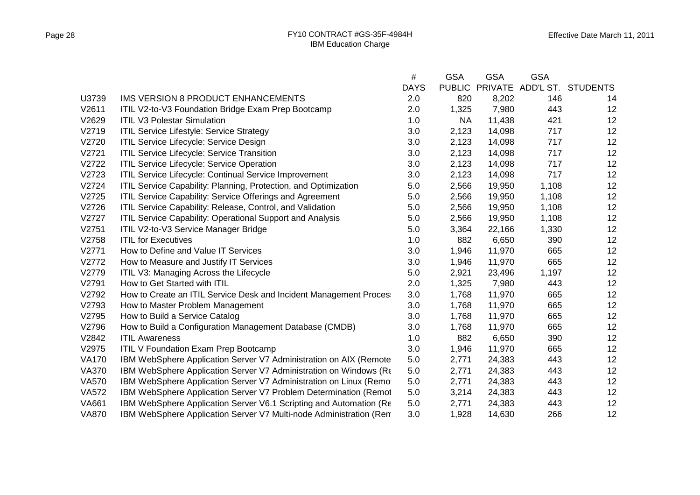|              |                                                                    | #           | <b>GSA</b>    | <b>GSA</b>     | <b>GSA</b> |                    |
|--------------|--------------------------------------------------------------------|-------------|---------------|----------------|------------|--------------------|
|              |                                                                    | <b>DAYS</b> | <b>PUBLIC</b> | <b>PRIVATE</b> |            | ADD'L ST. STUDENTS |
| U3739        | <b>IMS VERSION 8 PRODUCT ENHANCEMENTS</b>                          | 2.0         | 820           | 8,202          | 146        | 14                 |
| V2611        | ITIL V2-to-V3 Foundation Bridge Exam Prep Bootcamp                 | 2.0         | 1,325         | 7,980          | 443        | 12                 |
| V2629        | <b>ITIL V3 Polestar Simulation</b>                                 | 1.0         | <b>NA</b>     | 11,438         | 421        | 12                 |
| V2719        | <b>ITIL Service Lifestyle: Service Strategy</b>                    | 3.0         | 2,123         | 14,098         | 717        | 12                 |
| V2720        | ITIL Service Lifecycle: Service Design                             | 3.0         | 2,123         | 14,098         | 717        | 12                 |
| V2721        | <b>ITIL Service Lifecycle: Service Transition</b>                  | 3.0         | 2,123         | 14,098         | 717        | 12                 |
| V2722        | ITIL Service Lifecycle: Service Operation                          | 3.0         | 2,123         | 14,098         | 717        | 12                 |
| V2723        | ITIL Service Lifecycle: Continual Service Improvement              | 3.0         | 2,123         | 14,098         | 717        | 12                 |
| V2724        | ITIL Service Capability: Planning, Protection, and Optimization    | 5.0         | 2,566         | 19,950         | 1,108      | 12                 |
| V2725        | ITIL Service Capability: Service Offerings and Agreement           | 5.0         | 2,566         | 19,950         | 1,108      | 12                 |
| V2726        | ITIL Service Capability: Release, Control, and Validation          | 5.0         | 2,566         | 19,950         | 1,108      | 12                 |
| V2727        | ITIL Service Capability: Operational Support and Analysis          | 5.0         | 2,566         | 19,950         | 1,108      | 12                 |
| V2751        | ITIL V2-to-V3 Service Manager Bridge                               | 5.0         | 3,364         | 22,166         | 1,330      | 12                 |
| V2758        | <b>ITIL for Executives</b>                                         | 1.0         | 882           | 6,650          | 390        | 12                 |
| V2771        | How to Define and Value IT Services                                | 3.0         | 1,946         | 11,970         | 665        | 12                 |
| V2772        | How to Measure and Justify IT Services                             | 3.0         | 1,946         | 11,970         | 665        | 12                 |
| V2779        | ITIL V3: Managing Across the Lifecycle                             | 5.0         | 2,921         | 23,496         | 1,197      | 12                 |
| V2791        | How to Get Started with ITIL                                       | 2.0         | 1,325         | 7,980          | 443        | 12                 |
| V2792        | How to Create an ITIL Service Desk and Incident Management Proces: | 3.0         | 1,768         | 11,970         | 665        | 12                 |
| V2793        | How to Master Problem Management                                   | 3.0         | 1,768         | 11,970         | 665        | 12                 |
| V2795        | How to Build a Service Catalog                                     | 3.0         | 1,768         | 11,970         | 665        | 12                 |
| V2796        | How to Build a Configuration Management Database (CMDB)            | 3.0         | 1,768         | 11,970         | 665        | 12                 |
| V2842        | <b>ITIL Awareness</b>                                              | 1.0         | 882           | 6,650          | 390        | 12                 |
| V2975        | <b>ITIL V Foundation Exam Prep Bootcamp</b>                        | 3.0         | 1,946         | 11,970         | 665        | 12                 |
| <b>VA170</b> | IBM WebSphere Application Server V7 Administration on AIX (Remote  | 5.0         | 2,771         | 24,383         | 443        | 12                 |
| <b>VA370</b> | IBM WebSphere Application Server V7 Administration on Windows (Re  | 5.0         | 2,771         | 24,383         | 443        | 12                 |
| <b>VA570</b> | IBM WebSphere Application Server V7 Administration on Linux (Remot | 5.0         | 2,771         | 24,383         | 443        | 12                 |
| <b>VA572</b> | IBM WebSphere Application Server V7 Problem Determination (Remot   | 5.0         | 3,214         | 24,383         | 443        | 12                 |
| <b>VA661</b> | IBM WebSphere Application Server V6.1 Scripting and Automation (Re | 5.0         | 2,771         | 24,383         | 443        | 12                 |
| <b>VA870</b> | IBM WebSphere Application Server V7 Multi-node Administration (Rem | 3.0         | 1,928         | 14,630         | 266        | 12                 |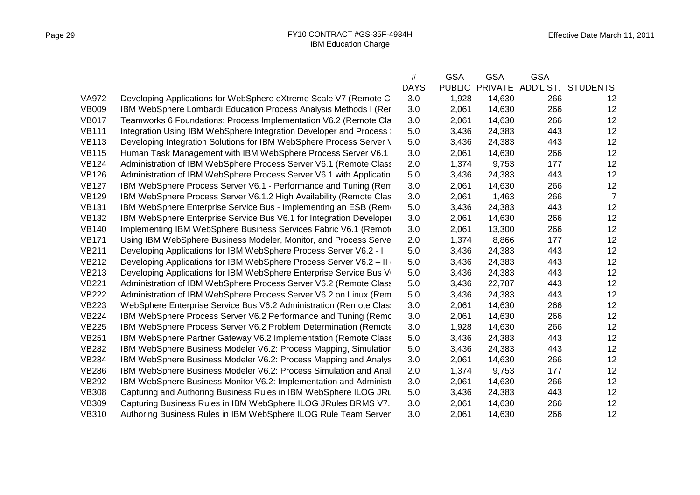|              |                                                                     | #           | <b>GSA</b>    | <b>GSA</b>     | <b>GSA</b> |                 |
|--------------|---------------------------------------------------------------------|-------------|---------------|----------------|------------|-----------------|
|              |                                                                     | <b>DAYS</b> | <b>PUBLIC</b> | <b>PRIVATE</b> | ADD'L ST.  | <b>STUDENTS</b> |
| <b>VA972</b> | Developing Applications for WebSphere eXtreme Scale V7 (Remote CI   | 3.0         | 1,928         | 14,630         | 266        | 12              |
| <b>VB009</b> | IBM WebSphere Lombardi Education Process Analysis Methods I (Rer    | 3.0         | 2,061         | 14,630         | 266        | 12              |
| <b>VB017</b> | Teamworks 6 Foundations: Process Implementation V6.2 (Remote Cla    | 3.0         | 2,061         | 14,630         | 266        | 12              |
| <b>VB111</b> | Integration Using IBM WebSphere Integration Developer and Process \ | 5.0         | 3,436         | 24,383         | 443        | 12              |
| <b>VB113</b> | Developing Integration Solutions for IBM WebSphere Process Server \ | 5.0         | 3,436         | 24,383         | 443        | 12              |
| <b>VB115</b> | Human Task Management with IBM WebSphere Process Server V6.1        | 3.0         | 2,061         | 14,630         | 266        | 12              |
| <b>VB124</b> | Administration of IBM WebSphere Process Server V6.1 (Remote Class   | 2.0         | 1,374         | 9,753          | 177        | 12              |
| <b>VB126</b> | Administration of IBM WebSphere Process Server V6.1 with Applicatio | 5.0         | 3,436         | 24,383         | 443        | 12              |
| <b>VB127</b> | IBM WebSphere Process Server V6.1 - Performance and Tuning (Rem     | 3.0         | 2,061         | 14,630         | 266        | 12              |
| <b>VB129</b> | IBM WebSphere Process Server V6.1.2 High Availability (Remote Clas  | 3.0         | 2,061         | 1,463          | 266        | $\overline{7}$  |
| <b>VB131</b> | IBM WebSphere Enterprise Service Bus - Implementing an ESB (Reme    | 5.0         | 3,436         | 24,383         | 443        | 12              |
| <b>VB132</b> | IBM WebSphere Enterprise Service Bus V6.1 for Integration Developer | 3.0         | 2,061         | 14,630         | 266        | 12              |
| <b>VB140</b> | Implementing IBM WebSphere Business Services Fabric V6.1 (Remoter-  | 3.0         | 2,061         | 13,300         | 266        | 12              |
| <b>VB171</b> | Using IBM WebSphere Business Modeler, Monitor, and Process Serve    | 2.0         | 1,374         | 8,866          | 177        | 12              |
| <b>VB211</b> | Developing Applications for IBM WebSphere Process Server V6.2 - I   | 5.0         | 3,436         | 24,383         | 443        | 12              |
| <b>VB212</b> | Developing Applications for IBM WebSphere Process Server V6.2 - II  | 5.0         | 3,436         | 24,383         | 443        | 12              |
| <b>VB213</b> | Developing Applications for IBM WebSphere Enterprise Service Bus VI | 5.0         | 3,436         | 24,383         | 443        | 12              |
| <b>VB221</b> | Administration of IBM WebSphere Process Server V6.2 (Remote Class   | 5.0         | 3,436         | 22,787         | 443        | 12              |
| <b>VB222</b> | Administration of IBM WebSphere Process Server V6.2 on Linux (Rem   | 5.0         | 3,436         | 24,383         | 443        | 12              |
| <b>VB223</b> | WebSphere Enterprise Service Bus V6.2 Administration (Remote Class) | 3.0         | 2,061         | 14,630         | 266        | 12              |
| <b>VB224</b> | IBM WebSphere Process Server V6.2 Performance and Tuning (Remc      | 3.0         | 2,061         | 14,630         | 266        | 12              |
| <b>VB225</b> | IBM WebSphere Process Server V6.2 Problem Determination (Remote)    | 3.0         | 1,928         | 14,630         | 266        | 12              |
| <b>VB251</b> | IBM WebSphere Partner Gateway V6.2 Implementation (Remote Class     | 5.0         | 3,436         | 24,383         | 443        | 12              |
| <b>VB282</b> | IBM WebSphere Business Modeler V6.2: Process Mapping, Simulation    | 5.0         | 3,436         | 24,383         | 443        | 12              |
| <b>VB284</b> | IBM WebSphere Business Modeler V6.2: Process Mapping and Analys     | 3.0         | 2,061         | 14,630         | 266        | 12              |
| <b>VB286</b> | IBM WebSphere Business Modeler V6.2: Process Simulation and Anal    | 2.0         | 1,374         | 9,753          | 177        | 12              |
| <b>VB292</b> | IBM WebSphere Business Monitor V6.2: Implementation and Administr   | 3.0         | 2,061         | 14,630         | 266        | 12              |
| <b>VB308</b> | Capturing and Authoring Business Rules in IBM WebSphere ILOG JRu    | 5.0         | 3,436         | 24,383         | 443        | 12              |
| <b>VB309</b> | Capturing Business Rules in IBM WebSphere ILOG JRules BRMS V7.      | 3.0         | 2,061         | 14,630         | 266        | 12              |
| <b>VB310</b> | Authoring Business Rules in IBM WebSphere ILOG Rule Team Server     | 3.0         | 2,061         | 14,630         | 266        | 12              |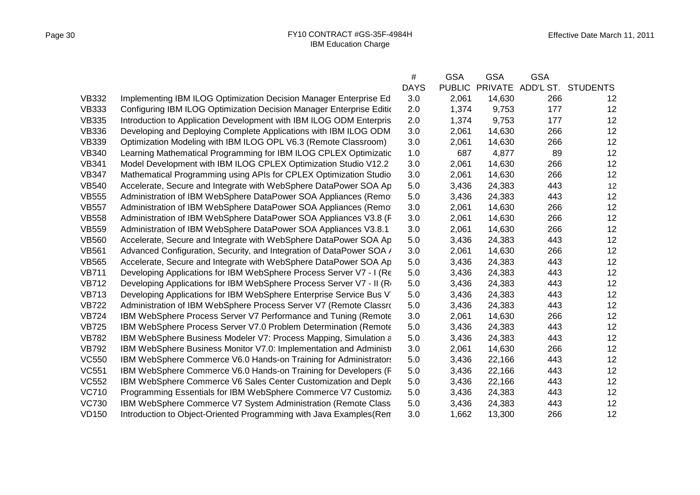| ADD'L ST.<br><b>DAYS</b><br><b>PUBLIC</b><br><b>PRIVATE</b><br>3.0<br>14,630<br>266<br><b>VB332</b><br>Implementing IBM ILOG Optimization Decision Manager Enterprise Ed<br>2,061<br><b>VB333</b><br>2.0<br>Configuring IBM ILOG Optimization Decision Manager Enterprise Edition<br>1,374<br>9,753<br>177<br>9,753<br>177<br><b>VB335</b><br>Introduction to Application Development with IBM ILOG ODM Enterpris<br>2.0<br>1,374<br><b>VB336</b><br>3.0<br>14,630<br>266<br>Developing and Deploying Complete Applications with IBM ILOG ODM<br>2,061<br><b>VB339</b><br>3.0<br>14,630<br>266<br>Optimization Modeling with IBM ILOG OPL V6.3 (Remote Classroom)<br>2,061<br><b>VB340</b><br>Learning Mathematical Programming for IBM ILOG CPLEX Optimizatio<br>1.0<br>687<br>4,877<br>89<br><b>VB341</b><br>14,630<br>Model Development with IBM ILOG CPLEX Optimization Studio V12.2<br>3.0<br>2,061<br>266<br><b>VB347</b><br>3.0<br>266<br>Mathematical Programming using APIs for CPLEX Optimization Studio<br>2,061<br>14,630<br><b>VB540</b><br>5.0<br>24,383<br>443<br>Accelerate, Secure and Integrate with WebSphere DataPower SOA Ap<br>3,436<br><b>VB555</b><br>Administration of IBM WebSphere DataPower SOA Appliances (Remot<br>5.0<br>3,436<br>24,383<br>443<br><b>VB557</b><br>3.0<br>14,630<br>266<br>Administration of IBM WebSphere DataPower SOA Appliances (Remot<br>2,061<br>266<br><b>VB558</b><br>Administration of IBM WebSphere DataPower SOA Appliances V3.8 (F<br>3.0<br>2,061<br>14,630<br><b>VB559</b><br>266<br>Administration of IBM WebSphere DataPower SOA Appliances V3.8.1<br>3.0<br>14,630<br>2,061<br>443<br><b>VB560</b><br>5.0<br>24,383<br>Accelerate, Secure and Integrate with WebSphere DataPower SOA Ap<br>3,436<br>14,630<br>266<br><b>VB561</b><br>Advanced Configuration, Security, and Integration of DataPower SOA /<br>3.0<br>2,061<br><b>VB565</b><br>5.0<br>24,383<br>443<br>Accelerate, Secure and Integrate with WebSphere DataPower SOA Ap<br>3,436<br><b>VB711</b><br>5.0<br>24,383<br>443<br>Developing Applications for IBM WebSphere Process Server V7 - I (Re<br>3,436<br>443<br><b>VB712</b><br>Developing Applications for IBM WebSphere Process Server V7 - II (Re<br>5.0<br>3,436<br>24,383<br><b>VB713</b><br>5.0<br>24,383<br>443<br>Developing Applications for IBM WebSphere Enterprise Service Bus V.<br>3,436<br><b>VB722</b><br>443<br>5.0<br>24,383<br>Administration of IBM WebSphere Process Server V7 (Remote Classro<br>3,436<br><b>VB724</b><br>3.0<br>14,630<br>266<br>IBM WebSphere Process Server V7 Performance and Tuning (Remote<br>2,061<br><b>VB725</b><br>5.0<br>24,383<br>443<br>IBM WebSphere Process Server V7.0 Problem Determination (Remote<br>3,436<br><b>VB782</b><br>5.0<br>24,383<br>443<br>IBM WebSphere Business Modeler V7: Process Mapping, Simulation a<br>3,436<br><b>VB792</b><br>3.0<br>2,061<br>14,630<br>266<br>IBM WebSphere Business Monitor V7.0: Implementation and Administr<br><b>VC550</b><br>5.0<br>22,166<br>443<br>IBM WebSphere Commerce V6.0 Hands-on Training for Administrators<br>3,436<br><b>VC551</b><br>443<br>5.0<br>3,436<br>22,166<br>IBM WebSphere Commerce V6.0 Hands-on Training for Developers (F<br><b>VC552</b><br>443<br>IBM WebSphere Commerce V6 Sales Center Customization and Depk<br>5.0<br>3,436<br>22,166<br><b>VC710</b><br>Programming Essentials for IBM WebSphere Commerce V7 Customiza<br>5.0<br>3,436<br>24,383<br>443<br><b>VC730</b><br>5.0<br>24,383<br>443<br>IBM WebSphere Commerce V7 System Administration (Remote Class<br>3,436<br>266<br><b>VD150</b><br>3.0<br>1,662<br>13,300<br>Introduction to Object-Oriented Programming with Java Examples (Rem |  | # | <b>GSA</b> | <b>GSA</b> | <b>GSA</b> |                 |
|-------------------------------------------------------------------------------------------------------------------------------------------------------------------------------------------------------------------------------------------------------------------------------------------------------------------------------------------------------------------------------------------------------------------------------------------------------------------------------------------------------------------------------------------------------------------------------------------------------------------------------------------------------------------------------------------------------------------------------------------------------------------------------------------------------------------------------------------------------------------------------------------------------------------------------------------------------------------------------------------------------------------------------------------------------------------------------------------------------------------------------------------------------------------------------------------------------------------------------------------------------------------------------------------------------------------------------------------------------------------------------------------------------------------------------------------------------------------------------------------------------------------------------------------------------------------------------------------------------------------------------------------------------------------------------------------------------------------------------------------------------------------------------------------------------------------------------------------------------------------------------------------------------------------------------------------------------------------------------------------------------------------------------------------------------------------------------------------------------------------------------------------------------------------------------------------------------------------------------------------------------------------------------------------------------------------------------------------------------------------------------------------------------------------------------------------------------------------------------------------------------------------------------------------------------------------------------------------------------------------------------------------------------------------------------------------------------------------------------------------------------------------------------------------------------------------------------------------------------------------------------------------------------------------------------------------------------------------------------------------------------------------------------------------------------------------------------------------------------------------------------------------------------------------------------------------------------------------------------------------------------------------------------------------------------------------------------------------------------------------------------------------------------------------------------------------------------------------------------------------------------------------------------------------------------------------------------------------------------------------------------------------------------------------------------------------------------------------------|--|---|------------|------------|------------|-----------------|
|                                                                                                                                                                                                                                                                                                                                                                                                                                                                                                                                                                                                                                                                                                                                                                                                                                                                                                                                                                                                                                                                                                                                                                                                                                                                                                                                                                                                                                                                                                                                                                                                                                                                                                                                                                                                                                                                                                                                                                                                                                                                                                                                                                                                                                                                                                                                                                                                                                                                                                                                                                                                                                                                                                                                                                                                                                                                                                                                                                                                                                                                                                                                                                                                                                                                                                                                                                                                                                                                                                                                                                                                                                                                                                                         |  |   |            |            |            | <b>STUDENTS</b> |
|                                                                                                                                                                                                                                                                                                                                                                                                                                                                                                                                                                                                                                                                                                                                                                                                                                                                                                                                                                                                                                                                                                                                                                                                                                                                                                                                                                                                                                                                                                                                                                                                                                                                                                                                                                                                                                                                                                                                                                                                                                                                                                                                                                                                                                                                                                                                                                                                                                                                                                                                                                                                                                                                                                                                                                                                                                                                                                                                                                                                                                                                                                                                                                                                                                                                                                                                                                                                                                                                                                                                                                                                                                                                                                                         |  |   |            |            |            | 12              |
|                                                                                                                                                                                                                                                                                                                                                                                                                                                                                                                                                                                                                                                                                                                                                                                                                                                                                                                                                                                                                                                                                                                                                                                                                                                                                                                                                                                                                                                                                                                                                                                                                                                                                                                                                                                                                                                                                                                                                                                                                                                                                                                                                                                                                                                                                                                                                                                                                                                                                                                                                                                                                                                                                                                                                                                                                                                                                                                                                                                                                                                                                                                                                                                                                                                                                                                                                                                                                                                                                                                                                                                                                                                                                                                         |  |   |            |            |            | 12              |
|                                                                                                                                                                                                                                                                                                                                                                                                                                                                                                                                                                                                                                                                                                                                                                                                                                                                                                                                                                                                                                                                                                                                                                                                                                                                                                                                                                                                                                                                                                                                                                                                                                                                                                                                                                                                                                                                                                                                                                                                                                                                                                                                                                                                                                                                                                                                                                                                                                                                                                                                                                                                                                                                                                                                                                                                                                                                                                                                                                                                                                                                                                                                                                                                                                                                                                                                                                                                                                                                                                                                                                                                                                                                                                                         |  |   |            |            |            | 12              |
|                                                                                                                                                                                                                                                                                                                                                                                                                                                                                                                                                                                                                                                                                                                                                                                                                                                                                                                                                                                                                                                                                                                                                                                                                                                                                                                                                                                                                                                                                                                                                                                                                                                                                                                                                                                                                                                                                                                                                                                                                                                                                                                                                                                                                                                                                                                                                                                                                                                                                                                                                                                                                                                                                                                                                                                                                                                                                                                                                                                                                                                                                                                                                                                                                                                                                                                                                                                                                                                                                                                                                                                                                                                                                                                         |  |   |            |            |            | 12              |
|                                                                                                                                                                                                                                                                                                                                                                                                                                                                                                                                                                                                                                                                                                                                                                                                                                                                                                                                                                                                                                                                                                                                                                                                                                                                                                                                                                                                                                                                                                                                                                                                                                                                                                                                                                                                                                                                                                                                                                                                                                                                                                                                                                                                                                                                                                                                                                                                                                                                                                                                                                                                                                                                                                                                                                                                                                                                                                                                                                                                                                                                                                                                                                                                                                                                                                                                                                                                                                                                                                                                                                                                                                                                                                                         |  |   |            |            |            | 12              |
|                                                                                                                                                                                                                                                                                                                                                                                                                                                                                                                                                                                                                                                                                                                                                                                                                                                                                                                                                                                                                                                                                                                                                                                                                                                                                                                                                                                                                                                                                                                                                                                                                                                                                                                                                                                                                                                                                                                                                                                                                                                                                                                                                                                                                                                                                                                                                                                                                                                                                                                                                                                                                                                                                                                                                                                                                                                                                                                                                                                                                                                                                                                                                                                                                                                                                                                                                                                                                                                                                                                                                                                                                                                                                                                         |  |   |            |            |            | 12              |
|                                                                                                                                                                                                                                                                                                                                                                                                                                                                                                                                                                                                                                                                                                                                                                                                                                                                                                                                                                                                                                                                                                                                                                                                                                                                                                                                                                                                                                                                                                                                                                                                                                                                                                                                                                                                                                                                                                                                                                                                                                                                                                                                                                                                                                                                                                                                                                                                                                                                                                                                                                                                                                                                                                                                                                                                                                                                                                                                                                                                                                                                                                                                                                                                                                                                                                                                                                                                                                                                                                                                                                                                                                                                                                                         |  |   |            |            |            | 12              |
|                                                                                                                                                                                                                                                                                                                                                                                                                                                                                                                                                                                                                                                                                                                                                                                                                                                                                                                                                                                                                                                                                                                                                                                                                                                                                                                                                                                                                                                                                                                                                                                                                                                                                                                                                                                                                                                                                                                                                                                                                                                                                                                                                                                                                                                                                                                                                                                                                                                                                                                                                                                                                                                                                                                                                                                                                                                                                                                                                                                                                                                                                                                                                                                                                                                                                                                                                                                                                                                                                                                                                                                                                                                                                                                         |  |   |            |            |            | 12              |
|                                                                                                                                                                                                                                                                                                                                                                                                                                                                                                                                                                                                                                                                                                                                                                                                                                                                                                                                                                                                                                                                                                                                                                                                                                                                                                                                                                                                                                                                                                                                                                                                                                                                                                                                                                                                                                                                                                                                                                                                                                                                                                                                                                                                                                                                                                                                                                                                                                                                                                                                                                                                                                                                                                                                                                                                                                                                                                                                                                                                                                                                                                                                                                                                                                                                                                                                                                                                                                                                                                                                                                                                                                                                                                                         |  |   |            |            |            | 12              |
|                                                                                                                                                                                                                                                                                                                                                                                                                                                                                                                                                                                                                                                                                                                                                                                                                                                                                                                                                                                                                                                                                                                                                                                                                                                                                                                                                                                                                                                                                                                                                                                                                                                                                                                                                                                                                                                                                                                                                                                                                                                                                                                                                                                                                                                                                                                                                                                                                                                                                                                                                                                                                                                                                                                                                                                                                                                                                                                                                                                                                                                                                                                                                                                                                                                                                                                                                                                                                                                                                                                                                                                                                                                                                                                         |  |   |            |            |            | 12              |
|                                                                                                                                                                                                                                                                                                                                                                                                                                                                                                                                                                                                                                                                                                                                                                                                                                                                                                                                                                                                                                                                                                                                                                                                                                                                                                                                                                                                                                                                                                                                                                                                                                                                                                                                                                                                                                                                                                                                                                                                                                                                                                                                                                                                                                                                                                                                                                                                                                                                                                                                                                                                                                                                                                                                                                                                                                                                                                                                                                                                                                                                                                                                                                                                                                                                                                                                                                                                                                                                                                                                                                                                                                                                                                                         |  |   |            |            |            | 12              |
|                                                                                                                                                                                                                                                                                                                                                                                                                                                                                                                                                                                                                                                                                                                                                                                                                                                                                                                                                                                                                                                                                                                                                                                                                                                                                                                                                                                                                                                                                                                                                                                                                                                                                                                                                                                                                                                                                                                                                                                                                                                                                                                                                                                                                                                                                                                                                                                                                                                                                                                                                                                                                                                                                                                                                                                                                                                                                                                                                                                                                                                                                                                                                                                                                                                                                                                                                                                                                                                                                                                                                                                                                                                                                                                         |  |   |            |            |            | 12              |
|                                                                                                                                                                                                                                                                                                                                                                                                                                                                                                                                                                                                                                                                                                                                                                                                                                                                                                                                                                                                                                                                                                                                                                                                                                                                                                                                                                                                                                                                                                                                                                                                                                                                                                                                                                                                                                                                                                                                                                                                                                                                                                                                                                                                                                                                                                                                                                                                                                                                                                                                                                                                                                                                                                                                                                                                                                                                                                                                                                                                                                                                                                                                                                                                                                                                                                                                                                                                                                                                                                                                                                                                                                                                                                                         |  |   |            |            |            | 12              |
|                                                                                                                                                                                                                                                                                                                                                                                                                                                                                                                                                                                                                                                                                                                                                                                                                                                                                                                                                                                                                                                                                                                                                                                                                                                                                                                                                                                                                                                                                                                                                                                                                                                                                                                                                                                                                                                                                                                                                                                                                                                                                                                                                                                                                                                                                                                                                                                                                                                                                                                                                                                                                                                                                                                                                                                                                                                                                                                                                                                                                                                                                                                                                                                                                                                                                                                                                                                                                                                                                                                                                                                                                                                                                                                         |  |   |            |            |            | 12              |
|                                                                                                                                                                                                                                                                                                                                                                                                                                                                                                                                                                                                                                                                                                                                                                                                                                                                                                                                                                                                                                                                                                                                                                                                                                                                                                                                                                                                                                                                                                                                                                                                                                                                                                                                                                                                                                                                                                                                                                                                                                                                                                                                                                                                                                                                                                                                                                                                                                                                                                                                                                                                                                                                                                                                                                                                                                                                                                                                                                                                                                                                                                                                                                                                                                                                                                                                                                                                                                                                                                                                                                                                                                                                                                                         |  |   |            |            |            | 12              |
|                                                                                                                                                                                                                                                                                                                                                                                                                                                                                                                                                                                                                                                                                                                                                                                                                                                                                                                                                                                                                                                                                                                                                                                                                                                                                                                                                                                                                                                                                                                                                                                                                                                                                                                                                                                                                                                                                                                                                                                                                                                                                                                                                                                                                                                                                                                                                                                                                                                                                                                                                                                                                                                                                                                                                                                                                                                                                                                                                                                                                                                                                                                                                                                                                                                                                                                                                                                                                                                                                                                                                                                                                                                                                                                         |  |   |            |            |            | 12              |
|                                                                                                                                                                                                                                                                                                                                                                                                                                                                                                                                                                                                                                                                                                                                                                                                                                                                                                                                                                                                                                                                                                                                                                                                                                                                                                                                                                                                                                                                                                                                                                                                                                                                                                                                                                                                                                                                                                                                                                                                                                                                                                                                                                                                                                                                                                                                                                                                                                                                                                                                                                                                                                                                                                                                                                                                                                                                                                                                                                                                                                                                                                                                                                                                                                                                                                                                                                                                                                                                                                                                                                                                                                                                                                                         |  |   |            |            |            | 12              |
|                                                                                                                                                                                                                                                                                                                                                                                                                                                                                                                                                                                                                                                                                                                                                                                                                                                                                                                                                                                                                                                                                                                                                                                                                                                                                                                                                                                                                                                                                                                                                                                                                                                                                                                                                                                                                                                                                                                                                                                                                                                                                                                                                                                                                                                                                                                                                                                                                                                                                                                                                                                                                                                                                                                                                                                                                                                                                                                                                                                                                                                                                                                                                                                                                                                                                                                                                                                                                                                                                                                                                                                                                                                                                                                         |  |   |            |            |            | 12              |
|                                                                                                                                                                                                                                                                                                                                                                                                                                                                                                                                                                                                                                                                                                                                                                                                                                                                                                                                                                                                                                                                                                                                                                                                                                                                                                                                                                                                                                                                                                                                                                                                                                                                                                                                                                                                                                                                                                                                                                                                                                                                                                                                                                                                                                                                                                                                                                                                                                                                                                                                                                                                                                                                                                                                                                                                                                                                                                                                                                                                                                                                                                                                                                                                                                                                                                                                                                                                                                                                                                                                                                                                                                                                                                                         |  |   |            |            |            | 12              |
|                                                                                                                                                                                                                                                                                                                                                                                                                                                                                                                                                                                                                                                                                                                                                                                                                                                                                                                                                                                                                                                                                                                                                                                                                                                                                                                                                                                                                                                                                                                                                                                                                                                                                                                                                                                                                                                                                                                                                                                                                                                                                                                                                                                                                                                                                                                                                                                                                                                                                                                                                                                                                                                                                                                                                                                                                                                                                                                                                                                                                                                                                                                                                                                                                                                                                                                                                                                                                                                                                                                                                                                                                                                                                                                         |  |   |            |            |            | 12              |
|                                                                                                                                                                                                                                                                                                                                                                                                                                                                                                                                                                                                                                                                                                                                                                                                                                                                                                                                                                                                                                                                                                                                                                                                                                                                                                                                                                                                                                                                                                                                                                                                                                                                                                                                                                                                                                                                                                                                                                                                                                                                                                                                                                                                                                                                                                                                                                                                                                                                                                                                                                                                                                                                                                                                                                                                                                                                                                                                                                                                                                                                                                                                                                                                                                                                                                                                                                                                                                                                                                                                                                                                                                                                                                                         |  |   |            |            |            | 12              |
|                                                                                                                                                                                                                                                                                                                                                                                                                                                                                                                                                                                                                                                                                                                                                                                                                                                                                                                                                                                                                                                                                                                                                                                                                                                                                                                                                                                                                                                                                                                                                                                                                                                                                                                                                                                                                                                                                                                                                                                                                                                                                                                                                                                                                                                                                                                                                                                                                                                                                                                                                                                                                                                                                                                                                                                                                                                                                                                                                                                                                                                                                                                                                                                                                                                                                                                                                                                                                                                                                                                                                                                                                                                                                                                         |  |   |            |            |            | 12              |
|                                                                                                                                                                                                                                                                                                                                                                                                                                                                                                                                                                                                                                                                                                                                                                                                                                                                                                                                                                                                                                                                                                                                                                                                                                                                                                                                                                                                                                                                                                                                                                                                                                                                                                                                                                                                                                                                                                                                                                                                                                                                                                                                                                                                                                                                                                                                                                                                                                                                                                                                                                                                                                                                                                                                                                                                                                                                                                                                                                                                                                                                                                                                                                                                                                                                                                                                                                                                                                                                                                                                                                                                                                                                                                                         |  |   |            |            |            | 12              |
|                                                                                                                                                                                                                                                                                                                                                                                                                                                                                                                                                                                                                                                                                                                                                                                                                                                                                                                                                                                                                                                                                                                                                                                                                                                                                                                                                                                                                                                                                                                                                                                                                                                                                                                                                                                                                                                                                                                                                                                                                                                                                                                                                                                                                                                                                                                                                                                                                                                                                                                                                                                                                                                                                                                                                                                                                                                                                                                                                                                                                                                                                                                                                                                                                                                                                                                                                                                                                                                                                                                                                                                                                                                                                                                         |  |   |            |            |            | 12              |
|                                                                                                                                                                                                                                                                                                                                                                                                                                                                                                                                                                                                                                                                                                                                                                                                                                                                                                                                                                                                                                                                                                                                                                                                                                                                                                                                                                                                                                                                                                                                                                                                                                                                                                                                                                                                                                                                                                                                                                                                                                                                                                                                                                                                                                                                                                                                                                                                                                                                                                                                                                                                                                                                                                                                                                                                                                                                                                                                                                                                                                                                                                                                                                                                                                                                                                                                                                                                                                                                                                                                                                                                                                                                                                                         |  |   |            |            |            | 12              |
|                                                                                                                                                                                                                                                                                                                                                                                                                                                                                                                                                                                                                                                                                                                                                                                                                                                                                                                                                                                                                                                                                                                                                                                                                                                                                                                                                                                                                                                                                                                                                                                                                                                                                                                                                                                                                                                                                                                                                                                                                                                                                                                                                                                                                                                                                                                                                                                                                                                                                                                                                                                                                                                                                                                                                                                                                                                                                                                                                                                                                                                                                                                                                                                                                                                                                                                                                                                                                                                                                                                                                                                                                                                                                                                         |  |   |            |            |            | 12              |
|                                                                                                                                                                                                                                                                                                                                                                                                                                                                                                                                                                                                                                                                                                                                                                                                                                                                                                                                                                                                                                                                                                                                                                                                                                                                                                                                                                                                                                                                                                                                                                                                                                                                                                                                                                                                                                                                                                                                                                                                                                                                                                                                                                                                                                                                                                                                                                                                                                                                                                                                                                                                                                                                                                                                                                                                                                                                                                                                                                                                                                                                                                                                                                                                                                                                                                                                                                                                                                                                                                                                                                                                                                                                                                                         |  |   |            |            |            | 12              |
|                                                                                                                                                                                                                                                                                                                                                                                                                                                                                                                                                                                                                                                                                                                                                                                                                                                                                                                                                                                                                                                                                                                                                                                                                                                                                                                                                                                                                                                                                                                                                                                                                                                                                                                                                                                                                                                                                                                                                                                                                                                                                                                                                                                                                                                                                                                                                                                                                                                                                                                                                                                                                                                                                                                                                                                                                                                                                                                                                                                                                                                                                                                                                                                                                                                                                                                                                                                                                                                                                                                                                                                                                                                                                                                         |  |   |            |            |            | 12              |
|                                                                                                                                                                                                                                                                                                                                                                                                                                                                                                                                                                                                                                                                                                                                                                                                                                                                                                                                                                                                                                                                                                                                                                                                                                                                                                                                                                                                                                                                                                                                                                                                                                                                                                                                                                                                                                                                                                                                                                                                                                                                                                                                                                                                                                                                                                                                                                                                                                                                                                                                                                                                                                                                                                                                                                                                                                                                                                                                                                                                                                                                                                                                                                                                                                                                                                                                                                                                                                                                                                                                                                                                                                                                                                                         |  |   |            |            |            | 12              |
|                                                                                                                                                                                                                                                                                                                                                                                                                                                                                                                                                                                                                                                                                                                                                                                                                                                                                                                                                                                                                                                                                                                                                                                                                                                                                                                                                                                                                                                                                                                                                                                                                                                                                                                                                                                                                                                                                                                                                                                                                                                                                                                                                                                                                                                                                                                                                                                                                                                                                                                                                                                                                                                                                                                                                                                                                                                                                                                                                                                                                                                                                                                                                                                                                                                                                                                                                                                                                                                                                                                                                                                                                                                                                                                         |  |   |            |            |            | 12              |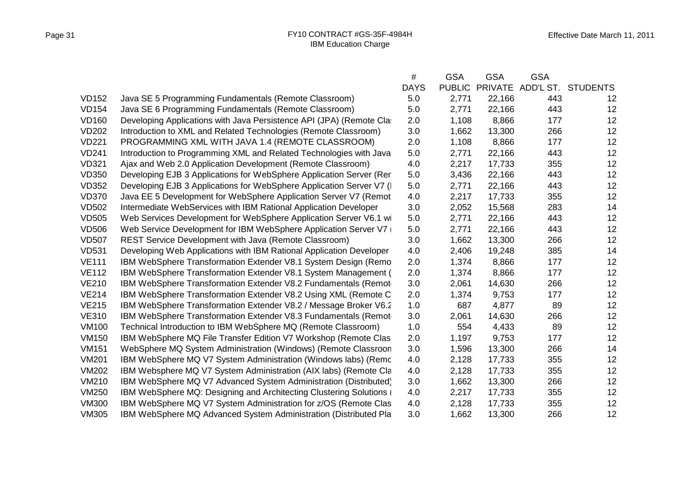|              |                                                                      | $\#$        | <b>GSA</b>    | <b>GSA</b>     | <b>GSA</b> |                 |
|--------------|----------------------------------------------------------------------|-------------|---------------|----------------|------------|-----------------|
|              |                                                                      | <b>DAYS</b> | <b>PUBLIC</b> | <b>PRIVATE</b> | ADD'L ST.  | <b>STUDENTS</b> |
| <b>VD152</b> | Java SE 5 Programming Fundamentals (Remote Classroom)                | 5.0         | 2,771         | 22,166         | 443        | 12              |
| <b>VD154</b> | Java SE 6 Programming Fundamentals (Remote Classroom)                | 5.0         | 2,771         | 22,166         | 443        | 12              |
| <b>VD160</b> | Developing Applications with Java Persistence API (JPA) (Remote Cla. | 2.0         | 1,108         | 8,866          | 177        | 12              |
| <b>VD202</b> | Introduction to XML and Related Technologies (Remote Classroom)      | 3.0         | 1,662         | 13,300         | 266        | 12              |
| <b>VD221</b> | PROGRAMMING XML WITH JAVA 1.4 (REMOTE CLASSROOM)                     | 2.0         | 1,108         | 8,866          | 177        | 12              |
| <b>VD241</b> | Introduction to Programming XML and Related Technologies with Java   | 5.0         | 2,771         | 22,166         | 443        | 12              |
| <b>VD321</b> | Ajax and Web 2.0 Application Development (Remote Classroom)          | 4.0         | 2,217         | 17,733         | 355        | 12              |
| <b>VD350</b> | Developing EJB 3 Applications for WebSphere Application Server (Rer  | 5.0         | 3,436         | 22,166         | 443        | 12              |
| <b>VD352</b> | Developing EJB 3 Applications for WebSphere Application Server V7 (  | 5.0         | 2,771         | 22,166         | 443        | 12              |
| <b>VD370</b> | Java EE 5 Development for WebSphere Application Server V7 (Remot     | 4.0         | 2,217         | 17,733         | 355        | 12              |
| <b>VD502</b> | Intermediate WebServices with IBM Rational Application Developer     | 3.0         | 2,052         | 15,568         | 283        | 14              |
| <b>VD505</b> | Web Services Development for WebSphere Application Server V6.1 wi    | 5.0         | 2,771         | 22,166         | 443        | 12              |
| <b>VD506</b> | Web Service Development for IBM WebSphere Application Server V7      | 5.0         | 2,771         | 22,166         | 443        | 12              |
| <b>VD507</b> | REST Service Development with Java (Remote Classroom)                | 3.0         | 1,662         | 13,300         | 266        | 12              |
| <b>VD531</b> | Developing Web Applications with IBM Rational Application Developer  | 4.0         | 2,406         | 19,248         | 385        | 14              |
| <b>VE111</b> | IBM WebSphere Transformation Extender V8.1 System Design (Remo       | 2.0         | 1,374         | 8,866          | 177        | 12              |
| <b>VE112</b> | IBM WebSphere Transformation Extender V8.1 System Management (       | 2.0         | 1,374         | 8,866          | 177        | 12              |
| <b>VE210</b> | IBM WebSphere Transformation Extender V8.2 Fundamentals (Remot-      | 3.0         | 2,061         | 14,630         | 266        | 12              |
| <b>VE214</b> | IBM WebSphere Transformation Extender V8.2 Using XML (Remote C)      | 2.0         | 1,374         | 9,753          | 177        | 12              |
| <b>VE215</b> | IBM WebSphere Transformation Extender V8.2 / Message Broker V6.2     | 1.0         | 687           | 4,877          | 89         | 12              |
| <b>VE310</b> | IBM WebSphere Transformation Extender V8.3 Fundamentals (Remote      | 3.0         | 2,061         | 14,630         | 266        | 12              |
| <b>VM100</b> | Technical Introduction to IBM WebSphere MQ (Remote Classroom)        | 1.0         | 554           | 4,433          | 89         | 12              |
| <b>VM150</b> | IBM WebSphere MQ File Transfer Edition V7 Workshop (Remote Clas      | 2.0         | 1,197         | 9,753          | 177        | 12              |
| <b>VM151</b> | WebSphere MQ System Administration (Windows) (Remote Classroon       | 3.0         | 1,596         | 13,300         | 266        | 14              |
| <b>VM201</b> | IBM WebSphere MQ V7 System Administration (Windows labs) (Remc       | 4.0         | 2,128         | 17,733         | 355        | 12              |
| <b>VM202</b> | IBM Websphere MQ V7 System Administration (AIX labs) (Remote Cla     | 4.0         | 2,128         | 17,733         | 355        | 12              |
| <b>VM210</b> | IBM WebSphere MQ V7 Advanced System Administration (Distributed)     | 3.0         | 1,662         | 13,300         | 266        | 12              |
| <b>VM250</b> | IBM WebSphere MQ: Designing and Architecting Clustering Solutions (  | 4.0         | 2,217         | 17,733         | 355        | 12              |
| <b>VM300</b> | IBM WebSphere MQ V7 System Administration for z/OS (Remote Clas      | 4.0         | 2,128         | 17,733         | 355        | 12              |
| <b>VM305</b> | IBM WebSphere MQ Advanced System Administration (Distributed Pla     | 3.0         | 1,662         | 13,300         | 266        | 12              |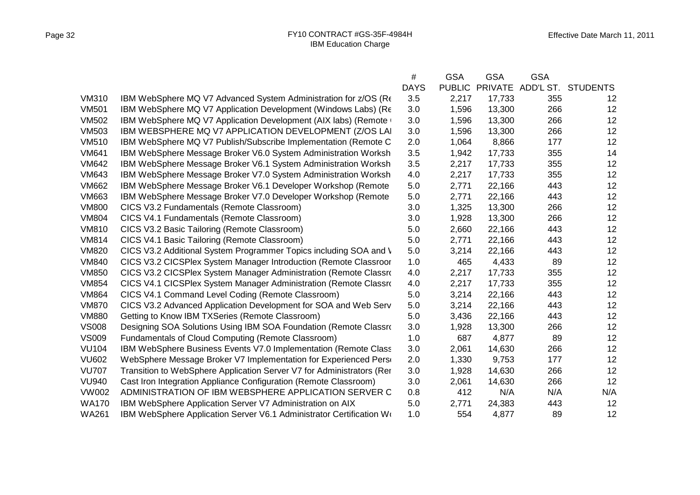|              |                                                                       | #           | <b>GSA</b> | <b>GSA</b>     | <b>GSA</b> |                 |
|--------------|-----------------------------------------------------------------------|-------------|------------|----------------|------------|-----------------|
|              |                                                                       | <b>DAYS</b> |            | PUBLIC PRIVATE | ADD'L ST.  | <b>STUDENTS</b> |
| <b>VM310</b> | IBM WebSphere MQ V7 Advanced System Administration for z/OS (Re       | 3.5         | 2,217      | 17,733         | 355        | 12              |
| <b>VM501</b> | IBM WebSphere MQ V7 Application Development (Windows Labs) (Re        | 3.0         | 1,596      | 13,300         | 266        | 12              |
| <b>VM502</b> | IBM WebSphere MQ V7 Application Development (AIX labs) (Remote (      | 3.0         | 1,596      | 13,300         | 266        | 12              |
| <b>VM503</b> | IBM WEBSPHERE MQ V7 APPLICATION DEVELOPMENT (Z/OS LAI                 | 3.0         | 1,596      | 13,300         | 266        | 12              |
| <b>VM510</b> | IBM WebSphere MQ V7 Publish/Subscribe Implementation (Remote C)       | 2.0         | 1,064      | 8,866          | 177        | 12              |
| <b>VM641</b> | IBM WebSphere Message Broker V6.0 System Administration Worksh        | 3.5         | 1,942      | 17,733         | 355        | 14              |
| <b>VM642</b> | IBM WebSphere Message Broker V6.1 System Administration Worksh        | 3.5         | 2,217      | 17,733         | 355        | 12              |
| <b>VM643</b> | IBM WebSphere Message Broker V7.0 System Administration Worksh        | 4.0         | 2,217      | 17,733         | 355        | 12              |
| <b>VM662</b> | IBM WebSphere Message Broker V6.1 Developer Workshop (Remote          | 5.0         | 2,771      | 22,166         | 443        | 12              |
| <b>VM663</b> | IBM WebSphere Message Broker V7.0 Developer Workshop (Remote          | 5.0         | 2,771      | 22,166         | 443        | 12              |
| <b>VM800</b> | CICS V3.2 Fundamentals (Remote Classroom)                             | 3.0         | 1,325      | 13,300         | 266        | 12              |
| <b>VM804</b> | CICS V4.1 Fundamentals (Remote Classroom)                             | 3.0         | 1,928      | 13,300         | 266        | 12              |
| <b>VM810</b> | CICS V3.2 Basic Tailoring (Remote Classroom)                          | 5.0         | 2,660      | 22,166         | 443        | 12              |
| <b>VM814</b> | CICS V4.1 Basic Tailoring (Remote Classroom)                          | 5.0         | 2,771      | 22,166         | 443        | 12              |
| <b>VM820</b> | CICS V3.2 Additional System Programmer Topics including SOA and V     | 5.0         | 3,214      | 22,166         | 443        | 12              |
| <b>VM840</b> | CICS V3.2 CICSPlex System Manager Introduction (Remote Classroor      | 1.0         | 465        | 4,433          | 89         | 12              |
| <b>VM850</b> | CICS V3.2 CICSPlex System Manager Administration (Remote Classro)     | 4.0         | 2,217      | 17,733         | 355        | 12              |
| <b>VM854</b> | CICS V4.1 CICSPlex System Manager Administration (Remote Classro      | 4.0         | 2,217      | 17,733         | 355        | 12              |
| <b>VM864</b> | CICS V4.1 Command Level Coding (Remote Classroom)                     | 5.0         | 3,214      | 22,166         | 443        | 12              |
| <b>VM870</b> | CICS V3.2 Advanced Application Development for SOA and Web Serv       | 5.0         | 3,214      | 22,166         | 443        | 12              |
| <b>VM880</b> | Getting to Know IBM TXSeries (Remote Classroom)                       | 5.0         | 3,436      | 22,166         | 443        | 12              |
| <b>VS008</b> | Designing SOA Solutions Using IBM SOA Foundation (Remote Classro      | 3.0         | 1,928      | 13,300         | 266        | 12              |
| <b>VS009</b> | Fundamentals of Cloud Computing (Remote Classroom)                    | 1.0         | 687        | 4,877          | 89         | 12              |
| <b>VU104</b> | IBM WebSphere Business Events V7.0 Implementation (Remote Class       | 3.0         | 2,061      | 14,630         | 266        | 12              |
| <b>VU602</b> | WebSphere Message Broker V7 Implementation for Experienced Perso      | 2.0         | 1,330      | 9,753          | 177        | 12              |
| <b>VU707</b> | Transition to WebSphere Application Server V7 for Administrators (Rer | 3.0         | 1,928      | 14,630         | 266        | 12              |
| <b>VU940</b> | Cast Iron Integration Appliance Configuration (Remote Classroom)      | 3.0         | 2,061      | 14,630         | 266        | 12              |
| <b>VW002</b> | ADMINISTRATION OF IBM WEBSPHERE APPLICATION SERVER C                  | 0.8         | 412        | N/A            | N/A        | N/A             |
| <b>WA170</b> | IBM WebSphere Application Server V7 Administration on AIX             | 5.0         | 2,771      | 24,383         | 443        | 12              |
| <b>WA261</b> | IBM WebSphere Application Server V6.1 Administrator Certification Wo  | 1.0         | 554        | 4,877          | 89         | 12              |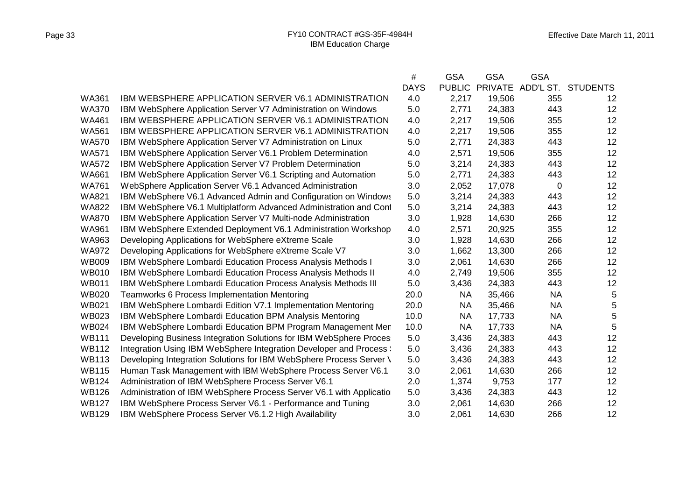|              |                                                                     | #           | <b>GSA</b>    | <b>GSA</b>     | <b>GSA</b> |                    |
|--------------|---------------------------------------------------------------------|-------------|---------------|----------------|------------|--------------------|
|              |                                                                     | <b>DAYS</b> | <b>PUBLIC</b> | <b>PRIVATE</b> |            | ADD'L ST. STUDENTS |
| WA361        | <b>IBM WEBSPHERE APPLICATION SERVER V6.1 ADMINISTRATION</b>         | 4.0         | 2,217         | 19,506         | 355        | 12                 |
| <b>WA370</b> | IBM WebSphere Application Server V7 Administration on Windows       | 5.0         | 2,771         | 24,383         | 443        | 12 <sub>2</sub>    |
| <b>WA461</b> | <b>IBM WEBSPHERE APPLICATION SERVER V6.1 ADMINISTRATION</b>         | 4.0         | 2,217         | 19,506         | 355        | 12                 |
| <b>WA561</b> | IBM WEBSPHERE APPLICATION SERVER V6.1 ADMINISTRATION                | 4.0         | 2,217         | 19,506         | 355        | 12                 |
| <b>WA570</b> | IBM WebSphere Application Server V7 Administration on Linux         | 5.0         | 2,771         | 24,383         | 443        | 12                 |
| <b>WA571</b> | IBM WebSphere Application Server V6.1 Problem Determination         | 4.0         | 2,571         | 19,506         | 355        | 12                 |
| <b>WA572</b> | IBM WebSphere Application Server V7 Problem Determination           | 5.0         | 3,214         | 24,383         | 443        | 12                 |
| <b>WA661</b> | IBM WebSphere Application Server V6.1 Scripting and Automation      | 5.0         | 2,771         | 24,383         | 443        | 12                 |
| <b>WA761</b> | WebSphere Application Server V6.1 Advanced Administration           | 3.0         | 2,052         | 17,078         | 0          | 12                 |
| <b>WA821</b> | IBM WebSphere V6.1 Advanced Admin and Configuration on Windows      | 5.0         | 3,214         | 24,383         | 443        | 12                 |
| <b>WA822</b> | IBM WebSphere V6.1 Multiplatform Advanced Administration and Conf   | 5.0         | 3,214         | 24,383         | 443        | 12                 |
| <b>WA870</b> | IBM WebSphere Application Server V7 Multi-node Administration       | 3.0         | 1,928         | 14,630         | 266        | 12                 |
| <b>WA961</b> | IBM WebSphere Extended Deployment V6.1 Administration Workshop      | 4.0         | 2,571         | 20,925         | 355        | 12                 |
| WA963        | Developing Applications for WebSphere eXtreme Scale                 | 3.0         | 1,928         | 14,630         | 266        | 12                 |
| <b>WA972</b> | Developing Applications for WebSphere eXtreme Scale V7              | 3.0         | 1,662         | 13,300         | 266        | 12                 |
| <b>WB009</b> | IBM WebSphere Lombardi Education Process Analysis Methods I         | 3.0         | 2,061         | 14,630         | 266        | 12                 |
| <b>WB010</b> | <b>IBM WebSphere Lombardi Education Process Analysis Methods II</b> | 4.0         | 2,749         | 19,506         | 355        | 12                 |
| <b>WB011</b> | IBM WebSphere Lombardi Education Process Analysis Methods III       | 5.0         | 3,436         | 24,383         | 443        | 12                 |
| <b>WB020</b> | Teamworks 6 Process Implementation Mentoring                        | 20.0        | <b>NA</b>     | 35,466         | <b>NA</b>  | 5                  |
| <b>WB021</b> | IBM WebSphere Lombardi Edition V7.1 Implementation Mentoring        | 20.0        | <b>NA</b>     | 35,466         | <b>NA</b>  | 5                  |
| <b>WB023</b> | IBM WebSphere Lombardi Education BPM Analysis Mentoring             | 10.0        | <b>NA</b>     | 17,733         | <b>NA</b>  | 5                  |
| <b>WB024</b> | IBM WebSphere Lombardi Education BPM Program Management Men         | 10.0        | <b>NA</b>     | 17,733         | <b>NA</b>  | 5                  |
| <b>WB111</b> | Developing Business Integration Solutions for IBM WebSphere Proces  | 5.0         | 3,436         | 24,383         | 443        | 12                 |
| <b>WB112</b> | Integration Using IBM WebSphere Integration Developer and Process \ | 5.0         | 3,436         | 24,383         | 443        | 12                 |
| <b>WB113</b> | Developing Integration Solutions for IBM WebSphere Process Server \ | 5.0         | 3,436         | 24,383         | 443        | 12                 |
| <b>WB115</b> | Human Task Management with IBM WebSphere Process Server V6.1        | 3.0         | 2,061         | 14,630         | 266        | 12                 |
| <b>WB124</b> | Administration of IBM WebSphere Process Server V6.1                 | 2.0         | 1,374         | 9,753          | 177        | 12                 |
| <b>WB126</b> | Administration of IBM WebSphere Process Server V6.1 with Applicatio | 5.0         | 3,436         | 24,383         | 443        | 12                 |
| <b>WB127</b> | IBM WebSphere Process Server V6.1 - Performance and Tuning          | 3.0         | 2,061         | 14,630         | 266        | 12                 |
| <b>WB129</b> | IBM WebSphere Process Server V6.1.2 High Availability               | 3.0         | 2,061         | 14,630         | 266        | 12                 |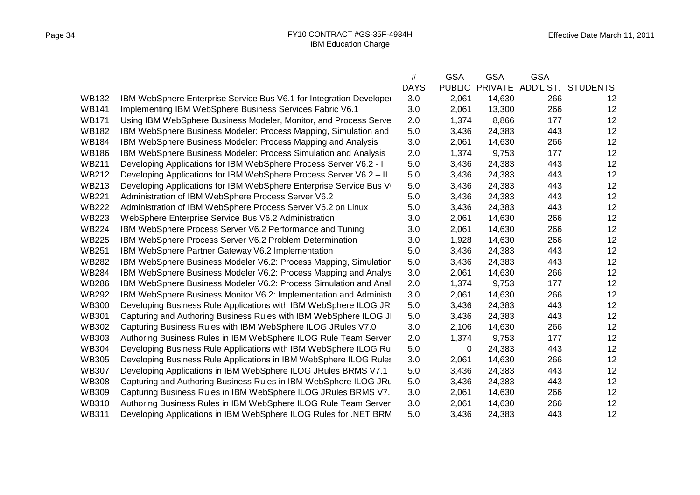|              |                                                                     | #           | <b>GSA</b>    | <b>GSA</b>     | <b>GSA</b> |                 |
|--------------|---------------------------------------------------------------------|-------------|---------------|----------------|------------|-----------------|
|              |                                                                     | <b>DAYS</b> | <b>PUBLIC</b> | <b>PRIVATE</b> | ADD'L ST.  | <b>STUDENTS</b> |
| <b>WB132</b> | IBM WebSphere Enterprise Service Bus V6.1 for Integration Developer | 3.0         | 2,061         | 14,630         | 266        | 12              |
| <b>WB141</b> | Implementing IBM WebSphere Business Services Fabric V6.1            | 3.0         | 2,061         | 13,300         | 266        | 12              |
| <b>WB171</b> | Using IBM WebSphere Business Modeler, Monitor, and Process Serve    | 2.0         | 1,374         | 8,866          | 177        | 12              |
| <b>WB182</b> | IBM WebSphere Business Modeler: Process Mapping, Simulation and     | 5.0         | 3,436         | 24,383         | 443        | 12              |
| <b>WB184</b> | IBM WebSphere Business Modeler: Process Mapping and Analysis        | 3.0         | 2,061         | 14,630         | 266        | 12              |
| <b>WB186</b> | IBM WebSphere Business Modeler: Process Simulation and Analysis     | 2.0         | 1,374         | 9,753          | 177        | 12              |
| <b>WB211</b> | Developing Applications for IBM WebSphere Process Server V6.2 - I   | 5.0         | 3,436         | 24,383         | 443        | 12              |
| <b>WB212</b> | Developing Applications for IBM WebSphere Process Server V6.2 - II  | 5.0         | 3,436         | 24,383         | 443        | 12              |
| <b>WB213</b> | Developing Applications for IBM WebSphere Enterprise Service Bus VI | 5.0         | 3,436         | 24,383         | 443        | 12              |
| <b>WB221</b> | Administration of IBM WebSphere Process Server V6.2                 | 5.0         | 3,436         | 24,383         | 443        | 12              |
| <b>WB222</b> | Administration of IBM WebSphere Process Server V6.2 on Linux        | 5.0         | 3,436         | 24,383         | 443        | 12              |
| <b>WB223</b> | WebSphere Enterprise Service Bus V6.2 Administration                | 3.0         | 2,061         | 14,630         | 266        | 12              |
| <b>WB224</b> | IBM WebSphere Process Server V6.2 Performance and Tuning            | 3.0         | 2,061         | 14,630         | 266        | 12              |
| <b>WB225</b> | IBM WebSphere Process Server V6.2 Problem Determination             | 3.0         | 1,928         | 14,630         | 266        | 12              |
| <b>WB251</b> | IBM WebSphere Partner Gateway V6.2 Implementation                   | 5.0         | 3,436         | 24,383         | 443        | 12              |
| <b>WB282</b> | IBM WebSphere Business Modeler V6.2: Process Mapping, Simulation    | 5.0         | 3,436         | 24,383         | 443        | 12              |
| <b>WB284</b> | IBM WebSphere Business Modeler V6.2: Process Mapping and Analys     | 3.0         | 2,061         | 14,630         | 266        | 12              |
| <b>WB286</b> | IBM WebSphere Business Modeler V6.2: Process Simulation and Anal    | 2.0         | 1,374         | 9,753          | 177        | 12              |
| <b>WB292</b> | IBM WebSphere Business Monitor V6.2: Implementation and Administr   | 3.0         | 2,061         | 14,630         | 266        | 12              |
| <b>WB300</b> | Developing Business Rule Applications with IBM WebSphere ILOG JR    | 5.0         | 3,436         | 24,383         | 443        | 12              |
| <b>WB301</b> | Capturing and Authoring Business Rules with IBM WebSphere ILOG JI   | 5.0         | 3,436         | 24,383         | 443        | 12              |
| <b>WB302</b> | Capturing Business Rules with IBM WebSphere ILOG JRules V7.0        | 3.0         | 2,106         | 14,630         | 266        | 12              |
| <b>WB303</b> | Authoring Business Rules in IBM WebSphere ILOG Rule Team Server     | 2.0         | 1,374         | 9,753          | 177        | 12              |
| <b>WB304</b> | Developing Business Rule Applications with IBM WebSphere ILOG Ru    | 5.0         | 0             | 24,383         | 443        | 12              |
| <b>WB305</b> | Developing Business Rule Applications in IBM WebSphere ILOG Rules   | 3.0         | 2,061         | 14,630         | 266        | 12              |
| <b>WB307</b> | Developing Applications in IBM WebSphere ILOG JRules BRMS V7.1      | 5.0         | 3,436         | 24,383         | 443        | 12              |
| <b>WB308</b> | Capturing and Authoring Business Rules in IBM WebSphere ILOG JRu    | 5.0         | 3,436         | 24,383         | 443        | 12              |
| <b>WB309</b> | Capturing Business Rules in IBM WebSphere ILOG JRules BRMS V7.      | 3.0         | 2,061         | 14,630         | 266        | 12              |
| <b>WB310</b> | Authoring Business Rules in IBM WebSphere ILOG Rule Team Server     | 3.0         | 2,061         | 14,630         | 266        | 12              |
| <b>WB311</b> | Developing Applications in IBM WebSphere ILOG Rules for .NET BRM    | 5.0         | 3,436         | 24,383         | 443        | 12              |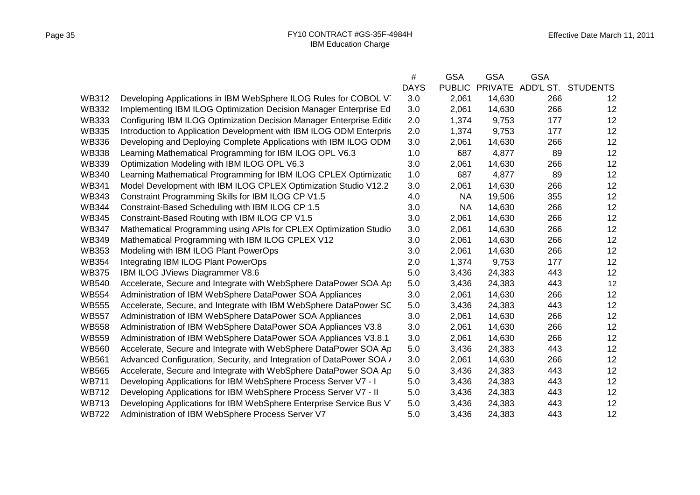|              |                                                                       | #           | <b>GSA</b>    | <b>GSA</b>     | <b>GSA</b> |                    |
|--------------|-----------------------------------------------------------------------|-------------|---------------|----------------|------------|--------------------|
|              |                                                                       | <b>DAYS</b> | <b>PUBLIC</b> | <b>PRIVATE</b> |            | ADD'L ST. STUDENTS |
| <b>WB312</b> | Developing Applications in IBM WebSphere ILOG Rules for COBOL Vi      | 3.0         | 2,061         | 14,630         | 266        | 12                 |
| <b>WB332</b> | Implementing IBM ILOG Optimization Decision Manager Enterprise Ed     | 3.0         | 2,061         | 14,630         | 266        | 12 <sup>2</sup>    |
| <b>WB333</b> | Configuring IBM ILOG Optimization Decision Manager Enterprise Edition | 2.0         | 1,374         | 9,753          | 177        | 12 <sup>2</sup>    |
| <b>WB335</b> | Introduction to Application Development with IBM ILOG ODM Enterpris   | 2.0         | 1,374         | 9,753          | 177        | 12                 |
| <b>WB336</b> | Developing and Deploying Complete Applications with IBM ILOG ODM      | 3.0         | 2,061         | 14,630         | 266        | 12                 |
| <b>WB338</b> | Learning Mathematical Programming for IBM ILOG OPL V6.3               | 1.0         | 687           | 4,877          | 89         | 12                 |
| <b>WB339</b> | Optimization Modeling with IBM ILOG OPL V6.3                          | 3.0         | 2,061         | 14,630         | 266        | 12                 |
| <b>WB340</b> | Learning Mathematical Programming for IBM ILOG CPLEX Optimizatio      | 1.0         | 687           | 4,877          | 89         | 12                 |
| <b>WB341</b> | Model Development with IBM ILOG CPLEX Optimization Studio V12.2       | 3.0         | 2,061         | 14,630         | 266        | 12                 |
| <b>WB343</b> | Constraint Programming Skills for IBM ILOG CP V1.5                    | 4.0         | NA            | 19,506         | 355        | 12                 |
| <b>WB344</b> | Constraint-Based Scheduling with IBM ILOG CP 1.5                      | 3.0         | <b>NA</b>     | 14,630         | 266        | 12                 |
| <b>WB345</b> | Constraint-Based Routing with IBM ILOG CP V1.5                        | 3.0         | 2,061         | 14,630         | 266        | 12                 |
| <b>WB347</b> | Mathematical Programming using APIs for CPLEX Optimization Studio     | 3.0         | 2,061         | 14,630         | 266        | 12                 |
| <b>WB349</b> | Mathematical Programming with IBM ILOG CPLEX V12                      | 3.0         | 2,061         | 14,630         | 266        | 12                 |
| <b>WB353</b> | Modeling with IBM ILOG Plant PowerOps                                 | 3.0         | 2,061         | 14,630         | 266        | 12                 |
| <b>WB354</b> | Integrating IBM ILOG Plant PowerOps                                   | 2.0         | 1,374         | 9,753          | 177        | 12                 |
| <b>WB375</b> | <b>IBM ILOG JViews Diagrammer V8.6</b>                                | 5.0         | 3,436         | 24,383         | 443        | 12                 |
| <b>WB540</b> | Accelerate, Secure and Integrate with WebSphere DataPower SOA Ap      | 5.0         | 3,436         | 24,383         | 443        | 12                 |
| <b>WB554</b> | Administration of IBM WebSphere DataPower SOA Appliances              | 3.0         | 2,061         | 14,630         | 266        | 12                 |
| <b>WB555</b> | Accelerate, Secure, and Integrate with IBM WebSphere DataPower SC     | 5.0         | 3,436         | 24,383         | 443        | 12                 |
| <b>WB557</b> | Administration of IBM WebSphere DataPower SOA Appliances              | 3.0         | 2,061         | 14,630         | 266        | 12                 |
| <b>WB558</b> | Administration of IBM WebSphere DataPower SOA Appliances V3.8         | 3.0         | 2,061         | 14,630         | 266        | 12                 |
| <b>WB559</b> | Administration of IBM WebSphere DataPower SOA Appliances V3.8.1       | 3.0         | 2,061         | 14,630         | 266        | 12                 |
| <b>WB560</b> | Accelerate, Secure and Integrate with WebSphere DataPower SOA Ap      | 5.0         | 3,436         | 24,383         | 443        | 12                 |
| <b>WB561</b> | Advanced Configuration, Security, and Integration of DataPower SOA /  | 3.0         | 2,061         | 14,630         | 266        | 12                 |
| <b>WB565</b> | Accelerate, Secure and Integrate with WebSphere DataPower SOA Ap      | 5.0         | 3,436         | 24,383         | 443        | 12                 |
| <b>WB711</b> | Developing Applications for IBM WebSphere Process Server V7 - I       | 5.0         | 3,436         | 24,383         | 443        | 12                 |
| <b>WB712</b> | Developing Applications for IBM WebSphere Process Server V7 - II      | 5.0         | 3,436         | 24,383         | 443        | 12                 |
| <b>WB713</b> | Developing Applications for IBM WebSphere Enterprise Service Bus V.   | 5.0         | 3,436         | 24,383         | 443        | 12                 |
| <b>WB722</b> | Administration of IBM WebSphere Process Server V7                     | 5.0         | 3,436         | 24,383         | 443        | 12                 |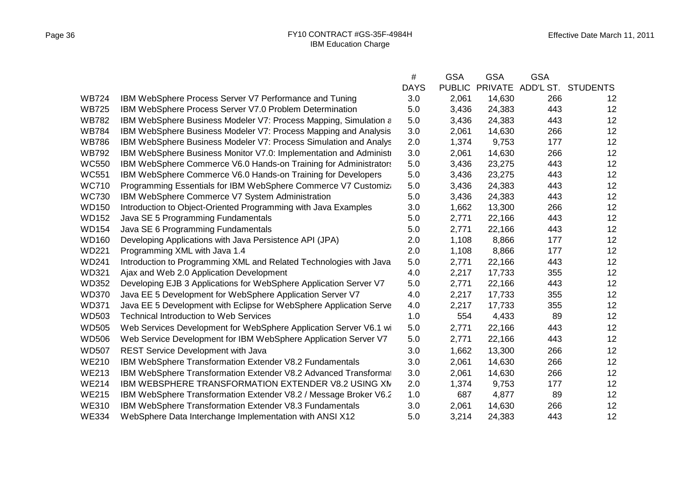|              |                                                                    | $\#$        | <b>GSA</b>    | <b>GSA</b>     | <b>GSA</b> |                    |
|--------------|--------------------------------------------------------------------|-------------|---------------|----------------|------------|--------------------|
|              |                                                                    | <b>DAYS</b> | <b>PUBLIC</b> | <b>PRIVATE</b> |            | ADD'L ST. STUDENTS |
| <b>WB724</b> | IBM WebSphere Process Server V7 Performance and Tuning             | 3.0         | 2,061         | 14,630         | 266        | $12 \overline{ }$  |
| <b>WB725</b> | IBM WebSphere Process Server V7.0 Problem Determination            | 5.0         | 3,436         | 24,383         | 443        | 12                 |
| <b>WB782</b> | IBM WebSphere Business Modeler V7: Process Mapping, Simulation a   | 5.0         | 3,436         | 24,383         | 443        | 12                 |
| <b>WB784</b> | IBM WebSphere Business Modeler V7: Process Mapping and Analysis    | 3.0         | 2,061         | 14,630         | 266        | 12                 |
| <b>WB786</b> | IBM WebSphere Business Modeler V7: Process Simulation and Analys   | 2.0         | 1,374         | 9,753          | 177        | 12                 |
| <b>WB792</b> | IBM WebSphere Business Monitor V7.0: Implementation and Administr  | 3.0         | 2,061         | 14,630         | 266        | 12                 |
| <b>WC550</b> | IBM WebSphere Commerce V6.0 Hands-on Training for Administrators   | 5.0         | 3,436         | 23,275         | 443        | 12                 |
| <b>WC551</b> | IBM WebSphere Commerce V6.0 Hands-on Training for Developers       | 5.0         | 3,436         | 23,275         | 443        | 12                 |
| <b>WC710</b> | Programming Essentials for IBM WebSphere Commerce V7 Customiza     | 5.0         | 3,436         | 24,383         | 443        | 12                 |
| <b>WC730</b> | IBM WebSphere Commerce V7 System Administration                    | 5.0         | 3,436         | 24,383         | 443        | 12                 |
| <b>WD150</b> | Introduction to Object-Oriented Programming with Java Examples     | 3.0         | 1,662         | 13,300         | 266        | 12                 |
| <b>WD152</b> | Java SE 5 Programming Fundamentals                                 | 5.0         | 2,771         | 22,166         | 443        | 12                 |
| <b>WD154</b> | Java SE 6 Programming Fundamentals                                 | 5.0         | 2,771         | 22,166         | 443        | 12                 |
| <b>WD160</b> | Developing Applications with Java Persistence API (JPA)            | 2.0         | 1,108         | 8,866          | 177        | 12                 |
| <b>WD221</b> | Programming XML with Java 1.4                                      | 2.0         | 1,108         | 8,866          | 177        | 12                 |
| <b>WD241</b> | Introduction to Programming XML and Related Technologies with Java | 5.0         | 2,771         | 22,166         | 443        | 12                 |
| <b>WD321</b> | Ajax and Web 2.0 Application Development                           | 4.0         | 2,217         | 17,733         | 355        | 12                 |
| <b>WD352</b> | Developing EJB 3 Applications for WebSphere Application Server V7  | 5.0         | 2,771         | 22,166         | 443        | 12                 |
| <b>WD370</b> | Java EE 5 Development for WebSphere Application Server V7          | 4.0         | 2,217         | 17,733         | 355        | 12                 |
| <b>WD371</b> | Java EE 5 Development with Eclipse for WebSphere Application Serve | 4.0         | 2,217         | 17,733         | 355        | 12                 |
| WD503        | <b>Technical Introduction to Web Services</b>                      | 1.0         | 554           | 4,433          | 89         | 12                 |
| <b>WD505</b> | Web Services Development for WebSphere Application Server V6.1 wi  | 5.0         | 2,771         | 22,166         | 443        | 12                 |
| <b>WD506</b> | Web Service Development for IBM WebSphere Application Server V7    | 5.0         | 2,771         | 22,166         | 443        | 12                 |
| <b>WD507</b> | <b>REST Service Development with Java</b>                          | 3.0         | 1,662         | 13,300         | 266        | 12                 |
| <b>WE210</b> | IBM WebSphere Transformation Extender V8.2 Fundamentals            | 3.0         | 2,061         | 14,630         | 266        | 12                 |
| <b>WE213</b> | IBM WebSphere Transformation Extender V8.2 Advanced Transformat    | 3.0         | 2,061         | 14,630         | 266        | 12                 |
| <b>WE214</b> | <b>IBM WEBSPHERE TRANSFORMATION EXTENDER V8.2 USING XM</b>         | 2.0         | 1,374         | 9,753          | 177        | 12                 |
| <b>WE215</b> | IBM WebSphere Transformation Extender V8.2 / Message Broker V6.2   | 1.0         | 687           | 4,877          | 89         | 12                 |
| <b>WE310</b> | IBM WebSphere Transformation Extender V8.3 Fundamentals            | 3.0         | 2,061         | 14,630         | 266        | 12                 |
| <b>WE334</b> | WebSphere Data Interchange Implementation with ANSI X12            | 5.0         | 3,214         | 24,383         | 443        | 12                 |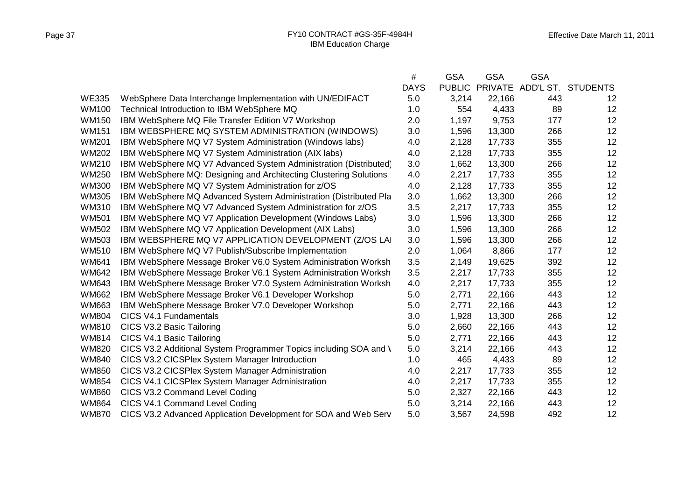|              |                                                                   | #           | <b>GSA</b>    | <b>GSA</b>     | <b>GSA</b> |                 |
|--------------|-------------------------------------------------------------------|-------------|---------------|----------------|------------|-----------------|
|              |                                                                   | <b>DAYS</b> | <b>PUBLIC</b> | <b>PRIVATE</b> | ADD'L ST.  | <b>STUDENTS</b> |
| <b>WE335</b> | WebSphere Data Interchange Implementation with UN/EDIFACT         | 5.0         | 3,214         | 22,166         | 443        | 12              |
| <b>WM100</b> | Technical Introduction to IBM WebSphere MQ                        | 1.0         | 554           | 4,433          | 89         | 12              |
| <b>WM150</b> | IBM WebSphere MQ File Transfer Edition V7 Workshop                | 2.0         | 1,197         | 9,753          | 177        | 12              |
| <b>WM151</b> | IBM WEBSPHERE MQ SYSTEM ADMINISTRATION (WINDOWS)                  | 3.0         | 1,596         | 13,300         | 266        | 12              |
| <b>WM201</b> | IBM WebSphere MQ V7 System Administration (Windows labs)          | 4.0         | 2,128         | 17,733         | 355        | 12              |
| WM202        | IBM WebSphere MQ V7 System Administration (AIX labs)              | 4.0         | 2,128         | 17,733         | 355        | 12              |
| <b>WM210</b> | IBM WebSphere MQ V7 Advanced System Administration (Distributed)  | 3.0         | 1,662         | 13,300         | 266        | 12              |
| <b>WM250</b> | IBM WebSphere MQ: Designing and Architecting Clustering Solutions | 4.0         | 2,217         | 17,733         | 355        | 12              |
| <b>WM300</b> | IBM WebSphere MQ V7 System Administration for z/OS                | 4.0         | 2,128         | 17,733         | 355        | 12              |
| <b>WM305</b> | IBM WebSphere MQ Advanced System Administration (Distributed Pla  | 3.0         | 1,662         | 13,300         | 266        | 12              |
| <b>WM310</b> | IBM WebSphere MQ V7 Advanced System Administration for z/OS       | 3.5         | 2,217         | 17,733         | 355        | 12              |
| <b>WM501</b> | IBM WebSphere MQ V7 Application Development (Windows Labs)        | 3.0         | 1,596         | 13,300         | 266        | 12              |
| <b>WM502</b> | IBM WebSphere MQ V7 Application Development (AIX Labs)            | 3.0         | 1,596         | 13,300         | 266        | 12              |
| <b>WM503</b> | IBM WEBSPHERE MQ V7 APPLICATION DEVELOPMENT (Z/OS LAI             | 3.0         | 1,596         | 13,300         | 266        | 12              |
| <b>WM510</b> | IBM WebSphere MQ V7 Publish/Subscribe Implementation              | 2.0         | 1,064         | 8,866          | 177        | 12              |
| WM641        | IBM WebSphere Message Broker V6.0 System Administration Worksh    | 3.5         | 2,149         | 19,625         | 392        | 12              |
| <b>WM642</b> | IBM WebSphere Message Broker V6.1 System Administration Worksh    | 3.5         | 2,217         | 17,733         | 355        | 12              |
| WM643        | IBM WebSphere Message Broker V7.0 System Administration Worksh    | 4.0         | 2,217         | 17,733         | 355        | 12              |
| <b>WM662</b> | IBM WebSphere Message Broker V6.1 Developer Workshop              | 5.0         | 2,771         | 22,166         | 443        | 12              |
| <b>WM663</b> | IBM WebSphere Message Broker V7.0 Developer Workshop              | 5.0         | 2,771         | 22,166         | 443        | 12              |
| <b>WM804</b> | CICS V4.1 Fundamentals                                            | 3.0         | 1,928         | 13,300         | 266        | 12              |
| <b>WM810</b> | CICS V3.2 Basic Tailoring                                         | 5.0         | 2,660         | 22,166         | 443        | 12              |
| <b>WM814</b> | CICS V4.1 Basic Tailoring                                         | 5.0         | 2,771         | 22,166         | 443        | 12              |
| <b>WM820</b> | CICS V3.2 Additional System Programmer Topics including SOA and V | 5.0         | 3,214         | 22,166         | 443        | 12              |
| <b>WM840</b> | CICS V3.2 CICSPlex System Manager Introduction                    | 1.0         | 465           | 4,433          | 89         | 12              |
| <b>WM850</b> | CICS V3.2 CICSPlex System Manager Administration                  | 4.0         | 2,217         | 17,733         | 355        | 12              |
| <b>WM854</b> | CICS V4.1 CICSPlex System Manager Administration                  | 4.0         | 2,217         | 17,733         | 355        | 12              |
| <b>WM860</b> | CICS V3.2 Command Level Coding                                    | 5.0         | 2,327         | 22,166         | 443        | 12              |
| <b>WM864</b> | CICS V4.1 Command Level Coding                                    | 5.0         | 3,214         | 22,166         | 443        | 12              |
| <b>WM870</b> | CICS V3.2 Advanced Application Development for SOA and Web Serv   | 5.0         | 3,567         | 24,598         | 492        | 12              |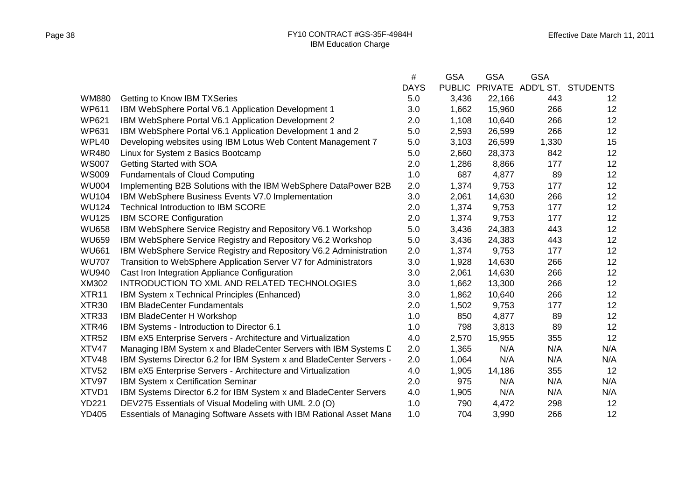|                   |                                                                     | #           | GSA           | GSA     | GSA   |                    |
|-------------------|---------------------------------------------------------------------|-------------|---------------|---------|-------|--------------------|
|                   |                                                                     | <b>DAYS</b> | <b>PUBLIC</b> | PRIVATE |       | ADD'L ST. STUDENTS |
| <b>WM880</b>      | Getting to Know IBM TXSeries                                        | 5.0         | 3,436         | 22,166  | 443   | 12                 |
| <b>WP611</b>      | IBM WebSphere Portal V6.1 Application Development 1                 | 3.0         | 1,662         | 15,960  | 266   | 12                 |
| <b>WP621</b>      | IBM WebSphere Portal V6.1 Application Development 2                 | 2.0         | 1,108         | 10,640  | 266   | 12                 |
| <b>WP631</b>      | IBM WebSphere Portal V6.1 Application Development 1 and 2           | 5.0         | 2,593         | 26,599  | 266   | 12                 |
| WPL40             | Developing websites using IBM Lotus Web Content Management 7        | 5.0         | 3,103         | 26,599  | 1,330 | 15                 |
| <b>WR480</b>      | Linux for System z Basics Bootcamp                                  | 5.0         | 2,660         | 28,373  | 842   | 12                 |
| <b>WS007</b>      | Getting Started with SOA                                            | 2.0         | 1,286         | 8,866   | 177   | 12                 |
| <b>WS009</b>      | <b>Fundamentals of Cloud Computing</b>                              | 1.0         | 687           | 4,877   | 89    | 12                 |
| <b>WU004</b>      | Implementing B2B Solutions with the IBM WebSphere DataPower B2B     | 2.0         | 1,374         | 9,753   | 177   | 12                 |
| <b>WU104</b>      | IBM WebSphere Business Events V7.0 Implementation                   | 3.0         | 2,061         | 14,630  | 266   | 12                 |
| <b>WU124</b>      | <b>Technical Introduction to IBM SCORE</b>                          | 2.0         | 1,374         | 9,753   | 177   | 12                 |
| <b>WU125</b>      | <b>IBM SCORE Configuration</b>                                      | 2.0         | 1,374         | 9,753   | 177   | 12                 |
| <b>WU658</b>      | IBM WebSphere Service Registry and Repository V6.1 Workshop         | 5.0         | 3,436         | 24,383  | 443   | 12                 |
| <b>WU659</b>      | IBM WebSphere Service Registry and Repository V6.2 Workshop         | 5.0         | 3,436         | 24,383  | 443   | 12                 |
| <b>WU661</b>      | IBM WebSphere Service Registry and Repository V6.2 Administration   | 2.0         | 1,374         | 9,753   | 177   | 12                 |
| <b>WU707</b>      | Transition to WebSphere Application Server V7 for Administrators    | 3.0         | 1,928         | 14,630  | 266   | 12                 |
| <b>WU940</b>      | Cast Iron Integration Appliance Configuration                       | 3.0         | 2,061         | 14,630  | 266   | 12                 |
| XM302             | INTRODUCTION TO XML AND RELATED TECHNOLOGIES                        | 3.0         | 1,662         | 13,300  | 266   | 12                 |
| XTR11             | IBM System x Technical Principles (Enhanced)                        | 3.0         | 1,862         | 10,640  | 266   | 12                 |
| XTR30             | <b>IBM BladeCenter Fundamentals</b>                                 | 2.0         | 1,502         | 9,753   | 177   | 12                 |
| XTR33             | IBM BladeCenter H Workshop                                          | 1.0         | 850           | 4,877   | 89    | 12                 |
| XTR46             | IBM Systems - Introduction to Director 6.1                          | 1.0         | 798           | 3,813   | 89    | 12                 |
| XTR <sub>52</sub> | IBM eX5 Enterprise Servers - Architecture and Virtualization        | 4.0         | 2,570         | 15,955  | 355   | 12                 |
| XTV47             | Managing IBM System x and BladeCenter Servers with IBM Systems D    | 2.0         | 1,365         | N/A     | N/A   | N/A                |
| XTV48             | IBM Systems Director 6.2 for IBM System x and BladeCenter Servers - | 2.0         | 1,064         | N/A     | N/A   | N/A                |
| XTV <sub>52</sub> | IBM eX5 Enterprise Servers - Architecture and Virtualization        | 4.0         | 1,905         | 14,186  | 355   | 12                 |
| XTV97             | <b>IBM System x Certification Seminar</b>                           | 2.0         | 975           | N/A     | N/A   | N/A                |
| XTVD1             | IBM Systems Director 6.2 for IBM System x and BladeCenter Servers   | 4.0         | 1,905         | N/A     | N/A   | N/A                |
| <b>YD221</b>      | DEV275 Essentials of Visual Modeling with UML 2.0 (O)               | 1.0         | 790           | 4,472   | 298   | 12                 |
| <b>YD405</b>      | Essentials of Managing Software Assets with IBM Rational Asset Mana | 1.0         | 704           | 3,990   | 266   | 12                 |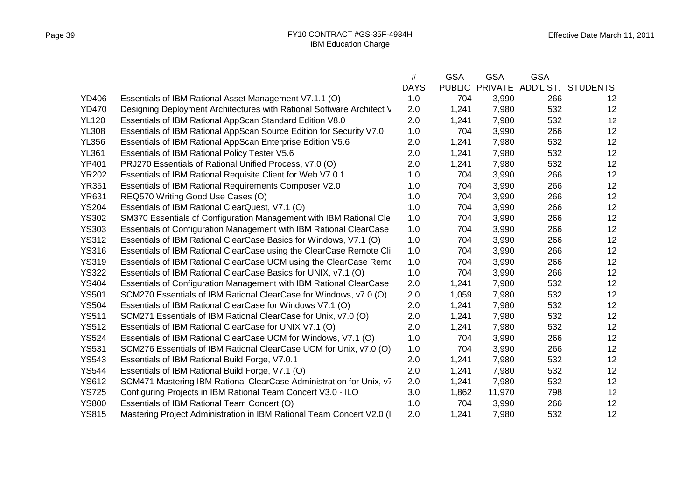|              |                                                                       | #           | <b>GSA</b>    | <b>GSA</b> | <b>GSA</b> |                            |
|--------------|-----------------------------------------------------------------------|-------------|---------------|------------|------------|----------------------------|
|              |                                                                       | <b>DAYS</b> | <b>PUBLIC</b> |            |            | PRIVATE ADD'L ST. STUDENTS |
| <b>YD406</b> | Essentials of IBM Rational Asset Management V7.1.1 (O)                | 1.0         | 704           | 3,990      | 266        | $12 \,$                    |
| <b>YD470</b> | Designing Deployment Architectures with Rational Software Architect V | 2.0         | 1,241         | 7,980      | 532        | $12 \overline{ }$          |
| <b>YL120</b> | Essentials of IBM Rational AppScan Standard Edition V8.0              | 2.0         | 1,241         | 7,980      | 532        | 12                         |
| <b>YL308</b> | Essentials of IBM Rational AppScan Source Edition for Security V7.0   | 1.0         | 704           | 3,990      | 266        | 12                         |
| <b>YL356</b> | Essentials of IBM Rational AppScan Enterprise Edition V5.6            | 2.0         | 1,241         | 7,980      | 532        | 12                         |
| <b>YL361</b> | Essentials of IBM Rational Policy Tester V5.6                         | 2.0         | 1,241         | 7,980      | 532        | 12                         |
| <b>YP401</b> | PRJ270 Essentials of Rational Unified Process, v7.0 (O)               | 2.0         | 1,241         | 7,980      | 532        | 12                         |
| <b>YR202</b> | Essentials of IBM Rational Requisite Client for Web V7.0.1            | 1.0         | 704           | 3,990      | 266        | 12                         |
| <b>YR351</b> | Essentials of IBM Rational Requirements Composer V2.0                 | 1.0         | 704           | 3,990      | 266        | 12                         |
| <b>YR631</b> | REQ570 Writing Good Use Cases (O)                                     | 1.0         | 704           | 3,990      | 266        | 12                         |
| <b>YS204</b> | Essentials of IBM Rational ClearQuest, V7.1 (O)                       | 1.0         | 704           | 3,990      | 266        | 12                         |
| <b>YS302</b> | SM370 Essentials of Configuration Management with IBM Rational Cle    | 1.0         | 704           | 3,990      | 266        | 12                         |
| <b>YS303</b> | Essentials of Configuration Management with IBM Rational ClearCase    | 1.0         | 704           | 3,990      | 266        | 12                         |
| <b>YS312</b> | Essentials of IBM Rational ClearCase Basics for Windows, V7.1 (O)     | 1.0         | 704           | 3,990      | 266        | 12                         |
| <b>YS316</b> | Essentials of IBM Rational ClearCase using the ClearCase Remote Cli   | 1.0         | 704           | 3,990      | 266        | 12                         |
| <b>YS319</b> | Essentials of IBM Rational ClearCase UCM using the ClearCase Remo     | 1.0         | 704           | 3,990      | 266        | 12                         |
| <b>YS322</b> | Essentials of IBM Rational ClearCase Basics for UNIX, v7.1 (O)        | 1.0         | 704           | 3,990      | 266        | 12                         |
| <b>YS404</b> | Essentials of Configuration Management with IBM Rational ClearCase    | 2.0         | 1,241         | 7,980      | 532        | 12                         |
| <b>YS501</b> | SCM270 Essentials of IBM Rational ClearCase for Windows, v7.0 (O)     | 2.0         | 1,059         | 7,980      | 532        | 12                         |
| <b>YS504</b> | Essentials of IBM Rational ClearCase for Windows V7.1 (O)             | 2.0         | 1,241         | 7,980      | 532        | 12                         |
| <b>YS511</b> | SCM271 Essentials of IBM Rational ClearCase for Unix, v7.0 (O)        | 2.0         | 1,241         | 7,980      | 532        | 12                         |
| <b>YS512</b> | Essentials of IBM Rational ClearCase for UNIX V7.1 (O)                | 2.0         | 1,241         | 7,980      | 532        | 12                         |
| <b>YS524</b> | Essentials of IBM Rational ClearCase UCM for Windows, V7.1 (O)        | 1.0         | 704           | 3,990      | 266        | 12                         |
| <b>YS531</b> | SCM276 Essentials of IBM Rational ClearCase UCM for Unix, v7.0 (O)    | 1.0         | 704           | 3,990      | 266        | 12                         |
| <b>YS543</b> | Essentials of IBM Rational Build Forge, V7.0.1                        | 2.0         | 1,241         | 7,980      | 532        | 12                         |
| <b>YS544</b> | Essentials of IBM Rational Build Forge, V7.1 (O)                      | 2.0         | 1,241         | 7,980      | 532        | 12                         |
| <b>YS612</b> | SCM471 Mastering IBM Rational ClearCase Administration for Unix, v7   | 2.0         | 1,241         | 7,980      | 532        | 12                         |
| <b>YS725</b> | Configuring Projects in IBM Rational Team Concert V3.0 - ILO          | 3.0         | 1,862         | 11,970     | 798        | 12                         |
| <b>YS800</b> | Essentials of IBM Rational Team Concert (O)                           | 1.0         | 704           | 3,990      | 266        | 12                         |
| <b>YS815</b> | Mastering Project Administration in IBM Rational Team Concert V2.0 (I | 2.0         | 1,241         | 7,980      | 532        | 12                         |